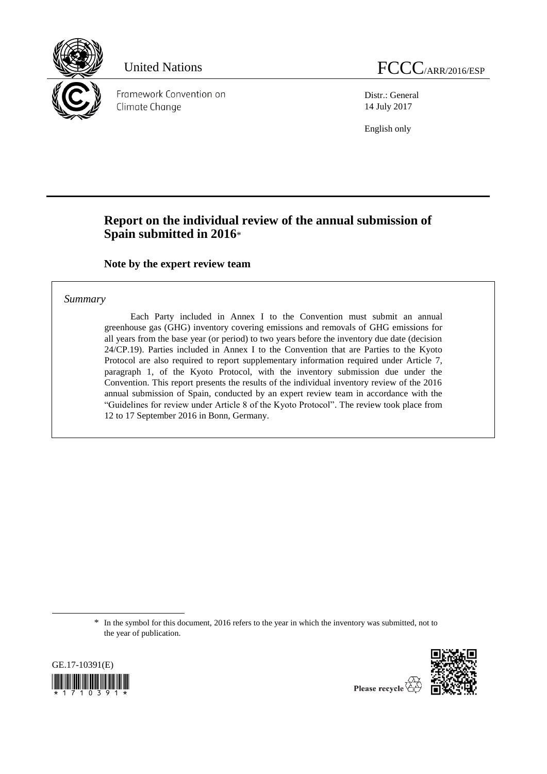

Framework Convention on Climate Change

Distr.: General 14 July 2017

English only

## **Report on the individual review of the annual submission of Spain submitted in 2016**\*

**Note by the expert review team**

#### *Summary*

Each Party included in Annex I to the Convention must submit an annual greenhouse gas (GHG) inventory covering emissions and removals of GHG emissions for all years from the base year (or period) to two years before the inventory due date (decision 24/CP.19). Parties included in Annex I to the Convention that are Parties to the Kyoto Protocol are also required to report supplementary information required under Article 7, paragraph 1, of the Kyoto Protocol, with the inventory submission due under the Convention. This report presents the results of the individual inventory review of the 2016 annual submission of Spain, conducted by an expert review team in accordance with the "Guidelines for review under Article 8 of the Kyoto Protocol". The review took place from 12 to 17 September 2016 in Bonn, Germany.

\* In the symbol for this document, 2016 refers to the year in which the inventory was submitted, not to the year of publication.



-



Please recycle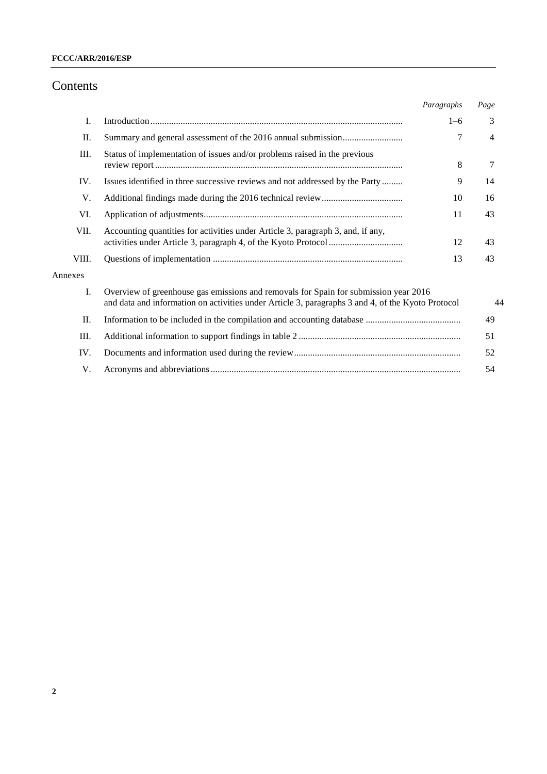## Contents

|         |                                                                                                                                                                                           | Paragraphs | Page |
|---------|-------------------------------------------------------------------------------------------------------------------------------------------------------------------------------------------|------------|------|
| I.      |                                                                                                                                                                                           | $1 - 6$    | 3    |
| П.      | 7                                                                                                                                                                                         |            |      |
| Ш.      | Status of implementation of issues and/or problems raised in the previous<br>8                                                                                                            |            |      |
| IV.     | Issues identified in three successive reviews and not addressed by the Party                                                                                                              | 9          | 14   |
| V.      |                                                                                                                                                                                           | 10         | 16   |
| VI.     | 11                                                                                                                                                                                        |            |      |
| VII.    | Accounting quantities for activities under Article 3, paragraph 3, and, if any,<br>12                                                                                                     |            | 43   |
| VIII.   | 13                                                                                                                                                                                        |            | 43   |
| Annexes |                                                                                                                                                                                           |            |      |
| Ι.      | Overview of greenhouse gas emissions and removals for Spain for submission year 2016<br>and data and information on activities under Article 3, paragraphs 3 and 4, of the Kyoto Protocol |            | 44   |
| П.      |                                                                                                                                                                                           |            |      |
| Ш.      |                                                                                                                                                                                           |            |      |
| IV.     |                                                                                                                                                                                           |            |      |
| V.      |                                                                                                                                                                                           |            | 54   |
|         |                                                                                                                                                                                           |            |      |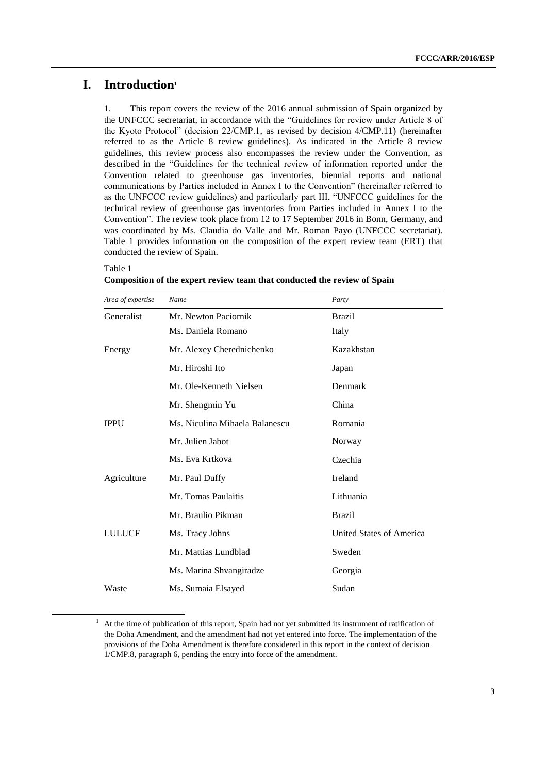## **I. Introduction<sup>1</sup>**

1. This report covers the review of the 2016 annual submission of Spain organized by the UNFCCC secretariat, in accordance with the "Guidelines for review under Article 8 of the Kyoto Protocol" (decision 22/CMP.1, as revised by decision 4/CMP.11) (hereinafter referred to as the Article 8 review guidelines). As indicated in the Article 8 review guidelines, this review process also encompasses the review under the Convention, as described in the "Guidelines for the technical review of information reported under the Convention related to greenhouse gas inventories, biennial reports and national communications by Parties included in Annex I to the Convention" (hereinafter referred to as the UNFCCC review guidelines) and particularly part III, "UNFCCC guidelines for the technical review of greenhouse gas inventories from Parties included in Annex I to the Convention". The review took place from 12 to 17 September 2016 in Bonn, Germany, and was coordinated by Ms. Claudia do Valle and Mr. Roman Payo (UNFCCC secretariat). Table 1 provides information on the composition of the expert review team (ERT) that conducted the review of Spain.

#### Table 1

-

| Composition of the expert review team that conducted the review of Spain |  |
|--------------------------------------------------------------------------|--|
|--------------------------------------------------------------------------|--|

| Area of expertise | Name                           | Party                    |
|-------------------|--------------------------------|--------------------------|
| Generalist        | Mr. Newton Paciornik           | <b>Brazil</b>            |
|                   | Ms. Daniela Romano             | Italy                    |
| Energy            | Mr. Alexey Cherednichenko      | Kazakhstan               |
|                   | Mr. Hiroshi Ito                | Japan                    |
|                   | Mr. Ole-Kenneth Nielsen        | Denmark                  |
|                   | Mr. Shengmin Yu                | China                    |
| <b>IPPU</b>       | Ms. Niculina Mihaela Balanescu | Romania                  |
|                   | Mr. Julien Jabot               | Norway                   |
|                   | Ms. Eva Krtkova                | Czechia                  |
| Agriculture       | Mr. Paul Duffy                 | Ireland                  |
|                   | Mr. Tomas Paulaitis            | Lithuania                |
|                   | Mr. Braulio Pikman             | <b>Brazil</b>            |
| <b>LULUCF</b>     | Ms. Tracy Johns                | United States of America |
|                   | Mr. Mattias Lundblad           | Sweden                   |
|                   | Ms. Marina Shvangiradze        | Georgia                  |
| Waste             | Ms. Sumaia Elsayed             | Sudan                    |

<sup>&</sup>lt;sup>1</sup> At the time of publication of this report, Spain had not yet submitted its instrument of ratification of the Doha Amendment, and the amendment had not yet entered into force. The implementation of the provisions of the Doha Amendment is therefore considered in this report in the context of decision 1/CMP.8, paragraph 6, pending the entry into force of the amendment.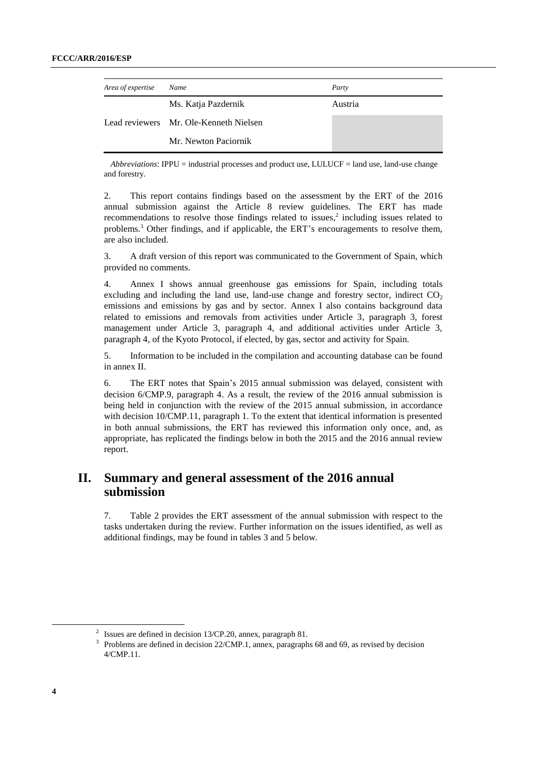| Area of expertise | Name                                   | Party   |  |
|-------------------|----------------------------------------|---------|--|
|                   | Ms. Katja Pazdernik                    | Austria |  |
|                   | Lead reviewers Mr. Ole-Kenneth Nielsen |         |  |
|                   | Mr. Newton Paciornik                   |         |  |

*Abbreviations*: IPPU = industrial processes and product use, LULUCF = land use, land-use change and forestry.

2. This report contains findings based on the assessment by the ERT of the 2016 annual submission against the Article 8 review guidelines. The ERT has made recommendations to resolve those findings related to issues, 2 including issues related to problems.<sup>3</sup> Other findings, and if applicable, the ERT's encouragements to resolve them, are also included.

3. A draft version of this report was communicated to the Government of Spain, which provided no comments.

4. Annex I shows annual greenhouse gas emissions for Spain, including totals excluding and including the land use, land-use change and forestry sector, indirect  $CO<sub>2</sub>$ emissions and emissions by gas and by sector. Annex I also contains background data related to emissions and removals from activities under Article 3, paragraph 3, forest management under Article 3, paragraph 4, and additional activities under Article 3, paragraph 4, of the Kyoto Protocol, if elected, by gas, sector and activity for Spain.

5. Information to be included in the compilation and accounting database can be found in annex II.

6. The ERT notes that Spain's 2015 annual submission was delayed, consistent with decision 6/CMP.9, paragraph 4. As a result, the review of the 2016 annual submission is being held in conjunction with the review of the 2015 annual submission, in accordance with decision 10/CMP.11, paragraph 1. To the extent that identical information is presented in both annual submissions, the ERT has reviewed this information only once, and, as appropriate, has replicated the findings below in both the 2015 and the 2016 annual review report.

## **II. Summary and general assessment of the 2016 annual submission**

7. Table 2 provides the ERT assessment of the annual submission with respect to the tasks undertaken during the review. Further information on the issues identified, as well as additional findings, may be found in tables 3 and 5 below.

<sup>&</sup>lt;sup>2</sup> Issues are defined in decision 13/CP.20, annex, paragraph 81.

 $3$  Problems are defined in decision 22/CMP.1, annex, paragraphs 68 and 69, as revised by decision  $4/CMP$  11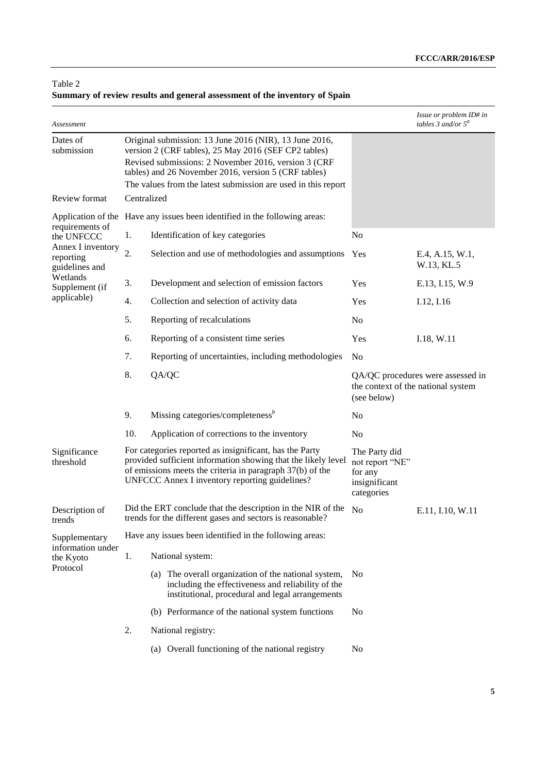#### Table 2

## **Summary of review results and general assessment of the inventory of Spain**

| Assessment                                                                                                                                                                                                                                                                                                                |                  |                                                                                                                                                                                                                                         |                                                                                        | Issue or problem ID# in<br>tables 3 and/or $5^a$ |
|---------------------------------------------------------------------------------------------------------------------------------------------------------------------------------------------------------------------------------------------------------------------------------------------------------------------------|------------------|-----------------------------------------------------------------------------------------------------------------------------------------------------------------------------------------------------------------------------------------|----------------------------------------------------------------------------------------|--------------------------------------------------|
| Original submission: 13 June 2016 (NIR), 13 June 2016,<br>Dates of<br>submission<br>version 2 (CRF tables), 25 May 2016 (SEF CP2 tables)<br>Revised submissions: 2 November 2016, version 3 (CRF<br>tables) and 26 November 2016, version 5 (CRF tables)<br>The values from the latest submission are used in this report |                  |                                                                                                                                                                                                                                         |                                                                                        |                                                  |
| Review format                                                                                                                                                                                                                                                                                                             | Centralized      |                                                                                                                                                                                                                                         |                                                                                        |                                                  |
|                                                                                                                                                                                                                                                                                                                           |                  | Application of the Have any issues been identified in the following areas:                                                                                                                                                              |                                                                                        |                                                  |
| requirements of<br>the UNFCCC                                                                                                                                                                                                                                                                                             | 1.               | Identification of key categories                                                                                                                                                                                                        | No                                                                                     |                                                  |
| Annex I inventory<br>reporting<br>guidelines and                                                                                                                                                                                                                                                                          | $\overline{2}$ . | Selection and use of methodologies and assumptions                                                                                                                                                                                      | Yes                                                                                    | E.4, A.15, W.1,<br>W.13, KL.5                    |
| Wetlands<br>Supplement (if                                                                                                                                                                                                                                                                                                | 3.               | Development and selection of emission factors                                                                                                                                                                                           | Yes                                                                                    | E.13, I.15, W.9                                  |
| applicable)                                                                                                                                                                                                                                                                                                               | 4.               | Collection and selection of activity data                                                                                                                                                                                               | Yes                                                                                    | I.12, I.16                                       |
|                                                                                                                                                                                                                                                                                                                           | 5.               | Reporting of recalculations                                                                                                                                                                                                             | No                                                                                     |                                                  |
|                                                                                                                                                                                                                                                                                                                           | 6.               | Reporting of a consistent time series                                                                                                                                                                                                   | Yes                                                                                    | I.18, W.11                                       |
|                                                                                                                                                                                                                                                                                                                           | 7.               | Reporting of uncertainties, including methodologies                                                                                                                                                                                     | N <sub>o</sub>                                                                         |                                                  |
|                                                                                                                                                                                                                                                                                                                           | 8.               | QA/QC                                                                                                                                                                                                                                   | QA/QC procedures were assessed in<br>the context of the national system<br>(see below) |                                                  |
|                                                                                                                                                                                                                                                                                                                           | 9.               | Missing categories/completeness <sup>b</sup>                                                                                                                                                                                            | No                                                                                     |                                                  |
|                                                                                                                                                                                                                                                                                                                           | 10.              | Application of corrections to the inventory                                                                                                                                                                                             | N <sub>0</sub>                                                                         |                                                  |
| Significance<br>threshold                                                                                                                                                                                                                                                                                                 |                  | For categories reported as insignificant, has the Party<br>provided sufficient information showing that the likely level<br>of emissions meets the criteria in paragraph 37(b) of the<br>UNFCCC Annex I inventory reporting guidelines? | The Party did<br>not report "NE"<br>for any<br>insignificant<br>categories             |                                                  |
| Description of<br>trends                                                                                                                                                                                                                                                                                                  |                  | Did the ERT conclude that the description in the NIR of the<br>trends for the different gases and sectors is reasonable?                                                                                                                | N <sub>0</sub>                                                                         | E.11, I.10, W.11                                 |
| Supplementary                                                                                                                                                                                                                                                                                                             |                  | Have any issues been identified in the following areas:                                                                                                                                                                                 |                                                                                        |                                                  |
| information under<br>the Kyoto                                                                                                                                                                                                                                                                                            | 1.               | National system:                                                                                                                                                                                                                        |                                                                                        |                                                  |
| Protocol                                                                                                                                                                                                                                                                                                                  |                  | (a) The overall organization of the national system,<br>including the effectiveness and reliability of the<br>institutional, procedural and legal arrangements                                                                          | N <sub>0</sub>                                                                         |                                                  |
|                                                                                                                                                                                                                                                                                                                           |                  | (b) Performance of the national system functions                                                                                                                                                                                        | N <sub>0</sub>                                                                         |                                                  |
|                                                                                                                                                                                                                                                                                                                           | 2.               | National registry:                                                                                                                                                                                                                      |                                                                                        |                                                  |
|                                                                                                                                                                                                                                                                                                                           |                  | (a) Overall functioning of the national registry                                                                                                                                                                                        | No                                                                                     |                                                  |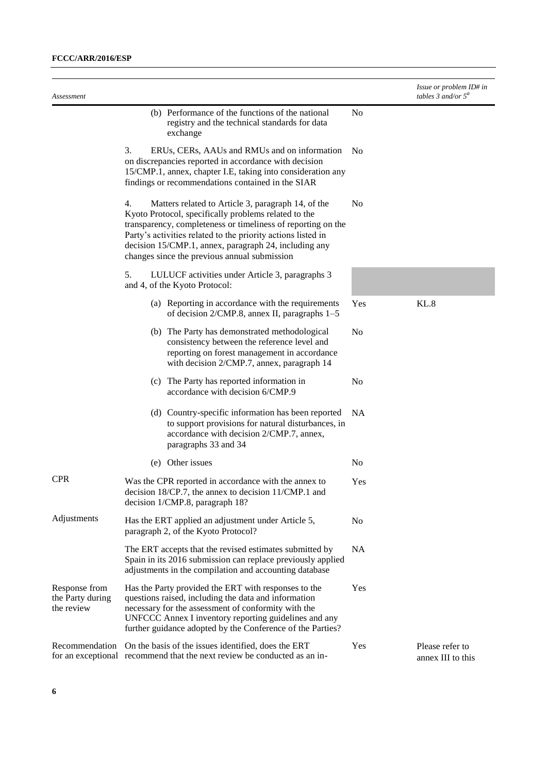| Assessment                                      |                                                                                                                                                                                                                                                                                                                                                           |                | Issue or problem ID# in<br>tables 3 and/or $5^a$ |
|-------------------------------------------------|-----------------------------------------------------------------------------------------------------------------------------------------------------------------------------------------------------------------------------------------------------------------------------------------------------------------------------------------------------------|----------------|--------------------------------------------------|
|                                                 | (b) Performance of the functions of the national<br>registry and the technical standards for data<br>exchange                                                                                                                                                                                                                                             | N <sub>o</sub> |                                                  |
|                                                 | 3.<br>ERUs, CERs, AAUs and RMUs and on information<br>on discrepancies reported in accordance with decision<br>15/CMP.1, annex, chapter I.E, taking into consideration any<br>findings or recommendations contained in the SIAR                                                                                                                           | N <sub>0</sub> |                                                  |
|                                                 | Matters related to Article 3, paragraph 14, of the<br>4.<br>Kyoto Protocol, specifically problems related to the<br>transparency, completeness or timeliness of reporting on the<br>Party's activities related to the priority actions listed in<br>decision 15/CMP.1, annex, paragraph 24, including any<br>changes since the previous annual submission | N <sub>0</sub> |                                                  |
|                                                 | 5.<br>LULUCF activities under Article 3, paragraphs 3<br>and 4, of the Kyoto Protocol:                                                                                                                                                                                                                                                                    |                |                                                  |
|                                                 | (a) Reporting in accordance with the requirements<br>of decision $2/CMP.8$ , annex II, paragraphs $1-5$                                                                                                                                                                                                                                                   | Yes            | KL.8                                             |
|                                                 | (b) The Party has demonstrated methodological<br>consistency between the reference level and<br>reporting on forest management in accordance<br>with decision 2/CMP.7, annex, paragraph 14                                                                                                                                                                | N <sub>0</sub> |                                                  |
|                                                 | (c) The Party has reported information in<br>accordance with decision 6/CMP.9                                                                                                                                                                                                                                                                             | No             |                                                  |
|                                                 | (d) Country-specific information has been reported<br>to support provisions for natural disturbances, in<br>accordance with decision 2/CMP.7, annex,<br>paragraphs 33 and 34                                                                                                                                                                              | <b>NA</b>      |                                                  |
|                                                 | (e) Other issues                                                                                                                                                                                                                                                                                                                                          | N <sub>0</sub> |                                                  |
| <b>CPR</b>                                      | Was the CPR reported in accordance with the annex to<br>decision 18/CP.7, the annex to decision 11/CMP.1 and<br>decision 1/CMP.8, paragraph 18?                                                                                                                                                                                                           | Yes            |                                                  |
| Adjustments                                     | Has the ERT applied an adjustment under Article 5,<br>paragraph 2, of the Kyoto Protocol?                                                                                                                                                                                                                                                                 | No             |                                                  |
|                                                 | The ERT accepts that the revised estimates submitted by<br>Spain in its 2016 submission can replace previously applied<br>adjustments in the compilation and accounting database                                                                                                                                                                          | <b>NA</b>      |                                                  |
| Response from<br>the Party during<br>the review | Has the Party provided the ERT with responses to the<br>questions raised, including the data and information<br>necessary for the assessment of conformity with the<br>UNFCCC Annex I inventory reporting guidelines and any<br>further guidance adopted by the Conference of the Parties?                                                                | Yes            |                                                  |
| Recommendation                                  | On the basis of the issues identified, does the ERT<br>for an exceptional recommend that the next review be conducted as an in-                                                                                                                                                                                                                           | Yes            | Please refer to<br>annex III to this             |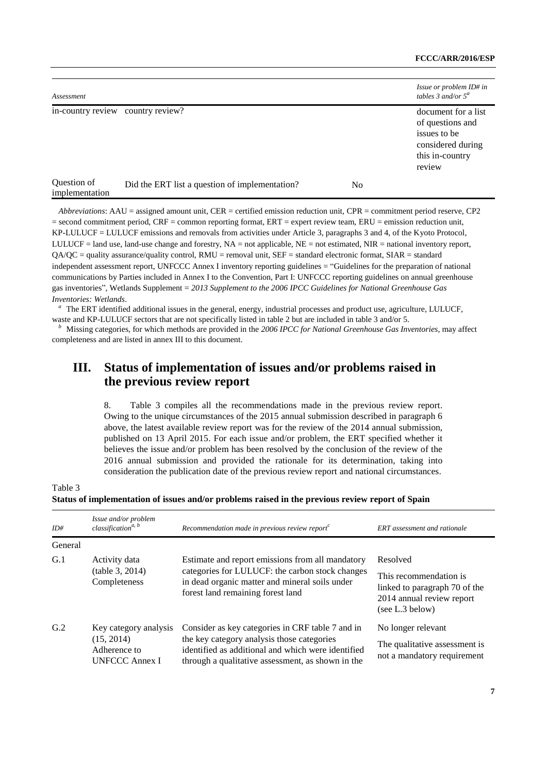| Assessment                    | Issue or problem ID# in<br>tables 3 and/or $5^a$ |    |                                                                                                           |
|-------------------------------|--------------------------------------------------|----|-----------------------------------------------------------------------------------------------------------|
|                               | in-country review country review?                |    | document for a list<br>of questions and<br>issues to be<br>considered during<br>this in-country<br>review |
| Question of<br>implementation | Did the ERT list a question of implementation?   | No |                                                                                                           |

*Abbreviations*: AAU = assigned amount unit, CER = certified emission reduction unit, CPR = commitment period reserve, CP2  $=$  second commitment period, CRF = common reporting format, ERT = expert review team, ERU = emission reduction unit, KP-LULUCF = LULUCF emissions and removals from activities under Article 3, paragraphs 3 and 4, of the Kyoto Protocol, LULUCF = land use, land-use change and forestry,  $NA = not$  applicable,  $NE = not$  estimated,  $NIR =$  national inventory report,  $QA/QC =$  quality assurance/quality control, RMU = removal unit, SEF = standard electronic format, SIAR = standard independent assessment report, UNFCCC Annex I inventory reporting guidelines = "Guidelines for the preparation of national communications by Parties included in Annex I to the Convention, Part I: UNFCCC reporting guidelines on annual greenhouse gas inventories", Wetlands Supplement = *2013 Supplement to the 2006 IPCC Guidelines for National Greenhouse Gas Inventories: Wetlands*.

*<sup>a</sup>*The ERT identified additional issues in the general, energy, industrial processes and product use, agriculture, LULUCF, waste and KP-LULUCF sectors that are not specifically listed in table 2 but are included in table 3 and/or 5.

*b* Missing categories, for which methods are provided in the 2006 IPCC for National Greenhouse Gas Inventories, may affect completeness and are listed in annex III to this document.

## **III. Status of implementation of issues and/or problems raised in the previous review report**

8. Table 3 compiles all the recommendations made in the previous review report. Owing to the unique circumstances of the 2015 annual submission described in paragraph 6 above, the latest available review report was for the review of the 2014 annual submission, published on 13 April 2015. For each issue and/or problem, the ERT specified whether it believes the issue and/or problem has been resolved by the conclusion of the review of the 2016 annual submission and provided the rationale for its determination, taking into consideration the publication date of the previous review report and national circumstances.

Table 3

| Status of implementation of issues and/or problems raised in the previous review report of Spain |  |  |
|--------------------------------------------------------------------------------------------------|--|--|
|                                                                                                  |  |  |

| ID#            | Issue and/or problem<br>classification <sup>a, b</sup>                       | Recommendation made in previous review report $\epsilon$                                                                                                                                                  | ERT assessment and rationale                                                                                        |
|----------------|------------------------------------------------------------------------------|-----------------------------------------------------------------------------------------------------------------------------------------------------------------------------------------------------------|---------------------------------------------------------------------------------------------------------------------|
| General        |                                                                              |                                                                                                                                                                                                           |                                                                                                                     |
| G.1            | Activity data<br>(table 3, 2014)<br>Completeness                             | Estimate and report emissions from all mandatory<br>categories for LULUCF: the carbon stock changes<br>in dead organic matter and mineral soils under<br>forest land remaining forest land                | Resolved<br>This recommendation is<br>linked to paragraph 70 of the<br>2014 annual review report<br>(see L.3 below) |
| G <sub>2</sub> | Key category analysis<br>(15, 2014)<br>Adherence to<br><b>UNFCCC Annex I</b> | Consider as key categories in CRF table 7 and in<br>the key category analysis those categories<br>identified as additional and which were identified<br>through a qualitative assessment, as shown in the | No longer relevant<br>The qualitative assessment is<br>not a mandatory requirement                                  |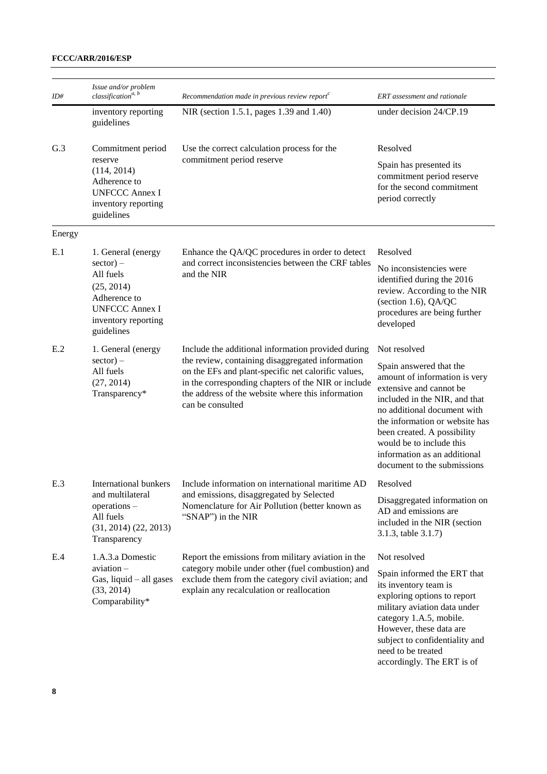| ID#    | Issue and/or problem<br>classification <sup>a, b</sup>                                                                                     | Recommendation made in previous review report <sup>c</sup>                                                                                                                                                                              | ERT assessment and rationale                                                                                                                                                                                                                                                                                    |
|--------|--------------------------------------------------------------------------------------------------------------------------------------------|-----------------------------------------------------------------------------------------------------------------------------------------------------------------------------------------------------------------------------------------|-----------------------------------------------------------------------------------------------------------------------------------------------------------------------------------------------------------------------------------------------------------------------------------------------------------------|
|        | inventory reporting<br>guidelines                                                                                                          | NIR (section 1.5.1, pages 1.39 and 1.40)                                                                                                                                                                                                | under decision $24/CP.19$                                                                                                                                                                                                                                                                                       |
| G.3    | Commitment period                                                                                                                          | Use the correct calculation process for the                                                                                                                                                                                             | Resolved                                                                                                                                                                                                                                                                                                        |
|        | reserve<br>(114, 2014)<br>Adherence to<br><b>UNFCCC Annex I</b><br>inventory reporting<br>guidelines                                       | commitment period reserve                                                                                                                                                                                                               | Spain has presented its<br>commitment period reserve<br>for the second commitment<br>period correctly                                                                                                                                                                                                           |
| Energy |                                                                                                                                            |                                                                                                                                                                                                                                         |                                                                                                                                                                                                                                                                                                                 |
| E.1    | 1. General (energy<br>$sector) -$<br>All fuels<br>(25, 2014)<br>Adherence to<br><b>UNFCCC Annex I</b><br>inventory reporting<br>guidelines | Enhance the QA/QC procedures in order to detect<br>and correct inconsistencies between the CRF tables<br>and the NIR                                                                                                                    | Resolved<br>No inconsistencies were<br>identified during the 2016<br>review. According to the NIR<br>(section 1.6), QA/QC<br>procedures are being further<br>developed                                                                                                                                          |
| E.2    | 1. General (energy                                                                                                                         | Include the additional information provided during                                                                                                                                                                                      | Not resolved                                                                                                                                                                                                                                                                                                    |
|        | $sector) -$<br>All fuels<br>(27, 2014)<br>Transparency*                                                                                    | the review, containing disaggregated information<br>on the EFs and plant-specific net calorific values,<br>in the corresponding chapters of the NIR or include<br>the address of the website where this information<br>can be consulted | Spain answered that the<br>amount of information is very<br>extensive and cannot be<br>included in the NIR, and that<br>no additional document with<br>the information or website has<br>been created. A possibility<br>would be to include this<br>information as an additional<br>document to the submissions |
| E.3    | International bunkers                                                                                                                      | Include information on international maritime AD                                                                                                                                                                                        | Resolved                                                                                                                                                                                                                                                                                                        |
|        | and multilateral<br>operations -<br>All fuels<br>$(31, 2014)$ $(22, 2013)$<br>Transparency                                                 | and emissions, disaggregated by Selected<br>Nomenclature for Air Pollution (better known as<br>"SNAP") in the NIR                                                                                                                       | Disaggregated information on<br>AD and emissions are<br>included in the NIR (section<br>3.1.3, table 3.1.7)                                                                                                                                                                                                     |
| E.4    | 1.A.3.a Domestic                                                                                                                           | Report the emissions from military aviation in the                                                                                                                                                                                      | Not resolved                                                                                                                                                                                                                                                                                                    |
|        | aviation –<br>Gas, liquid $-$ all gases<br>(33, 2014)<br>Comparability*                                                                    | category mobile under other (fuel combustion) and<br>exclude them from the category civil aviation; and<br>explain any recalculation or reallocation                                                                                    | Spain informed the ERT that<br>its inventory team is<br>exploring options to report<br>military aviation data under<br>category 1.A.5, mobile.<br>However, these data are<br>subject to confidentiality and<br>need to be treated<br>accordingly. The ERT is of                                                 |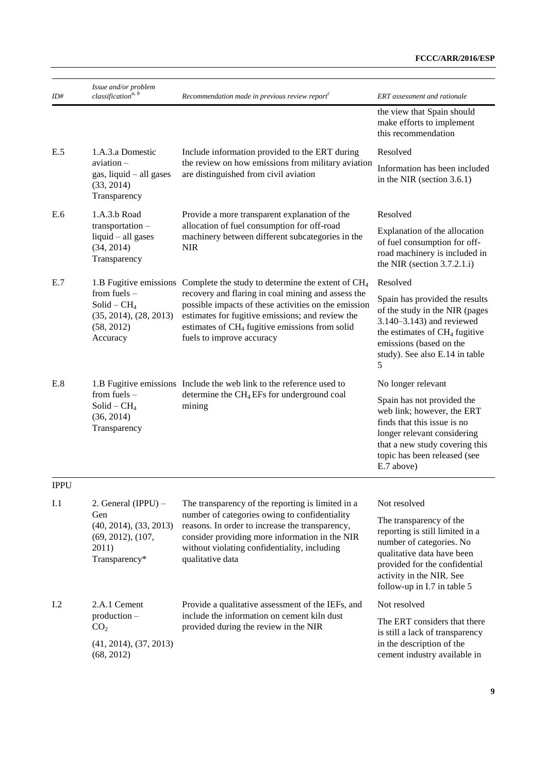| ID#         | Issue and/or problem<br>classification <sup>a, b</sup>                              | Recommendation made in previous review report $\epsilon$                                                                                                                                                                                                  | ERT assessment and rationale                                                                                                                                                                                     |
|-------------|-------------------------------------------------------------------------------------|-----------------------------------------------------------------------------------------------------------------------------------------------------------------------------------------------------------------------------------------------------------|------------------------------------------------------------------------------------------------------------------------------------------------------------------------------------------------------------------|
|             |                                                                                     |                                                                                                                                                                                                                                                           | the view that Spain should<br>make efforts to implement<br>this recommendation                                                                                                                                   |
| E.5         | 1.A.3.a Domestic                                                                    | Include information provided to the ERT during                                                                                                                                                                                                            | Resolved                                                                                                                                                                                                         |
|             | $a$ viation $-$<br>$gas$ , liquid $-$ all gases<br>(33, 2014)<br>Transparency       | the review on how emissions from military aviation<br>are distinguished from civil aviation                                                                                                                                                               | Information has been included<br>in the NIR (section $3.6.1$ )                                                                                                                                                   |
| E.6         | 1.A.3.b Road                                                                        | Provide a more transparent explanation of the                                                                                                                                                                                                             | Resolved                                                                                                                                                                                                         |
|             | transportation -<br>liquid - all gases<br>(34, 2014)<br>Transparency                | allocation of fuel consumption for off-road<br>machinery between different subcategories in the<br><b>NIR</b>                                                                                                                                             | Explanation of the allocation<br>of fuel consumption for off-<br>road machinery is included in<br>the NIR (section $3.7.2.1.i$ )                                                                                 |
| E.7         |                                                                                     | 1.B Fugitive emissions Complete the study to determine the extent of CH <sub>4</sub>                                                                                                                                                                      | Resolved                                                                                                                                                                                                         |
|             | from fuels $-$<br>$Solid - CH4$<br>(35, 2014), (28, 2013)<br>(58, 2012)<br>Accuracy | recovery and flaring in coal mining and assess the<br>possible impacts of these activities on the emission<br>estimates for fugitive emissions; and review the<br>estimates of CH <sub>4</sub> fugitive emissions from solid<br>fuels to improve accuracy | Spain has provided the results<br>of the study in the NIR (pages<br>3.140-3.143) and reviewed<br>the estimates of CH <sub>4</sub> fugitive<br>emissions (based on the<br>study). See also E.14 in table<br>5     |
| E.8         |                                                                                     | 1.B Fugitive emissions Include the web link to the reference used to                                                                                                                                                                                      | No longer relevant                                                                                                                                                                                               |
|             | from fuels $-$<br>$Solid - CH4$<br>(36, 2014)<br>Transparency                       | determine the CH <sub>4</sub> EFs for underground coal<br>mining                                                                                                                                                                                          | Spain has not provided the<br>web link; however, the ERT<br>finds that this issue is no<br>longer relevant considering<br>that a new study covering this<br>topic has been released (see<br>E.7 above)           |
| <b>IPPU</b> |                                                                                     |                                                                                                                                                                                                                                                           |                                                                                                                                                                                                                  |
| I.1         | 2. General (IPPU) $-$                                                               | The transparency of the reporting is limited in a                                                                                                                                                                                                         | Not resolved                                                                                                                                                                                                     |
|             | Gen<br>(40, 2014), (33, 2013)<br>(69, 2012), (107,<br>2011)<br>Transparency*        | number of categories owing to confidentiality<br>reasons. In order to increase the transparency,<br>consider providing more information in the NIR<br>without violating confidentiality, including<br>qualitative data                                    | The transparency of the<br>reporting is still limited in a<br>number of categories. No<br>qualitative data have been<br>provided for the confidential<br>activity in the NIR. See<br>follow-up in I.7 in table 5 |
| I.2         | 2.A.1 Cement                                                                        | Provide a qualitative assessment of the IEFs, and                                                                                                                                                                                                         | Not resolved                                                                                                                                                                                                     |
|             | production-<br>CO <sub>2</sub>                                                      | include the information on cement kiln dust<br>provided during the review in the NIR                                                                                                                                                                      | The ERT considers that there<br>is still a lack of transparency                                                                                                                                                  |
|             | (41, 2014), (37, 2013)<br>(68, 2012)                                                |                                                                                                                                                                                                                                                           | in the description of the<br>cement industry available in                                                                                                                                                        |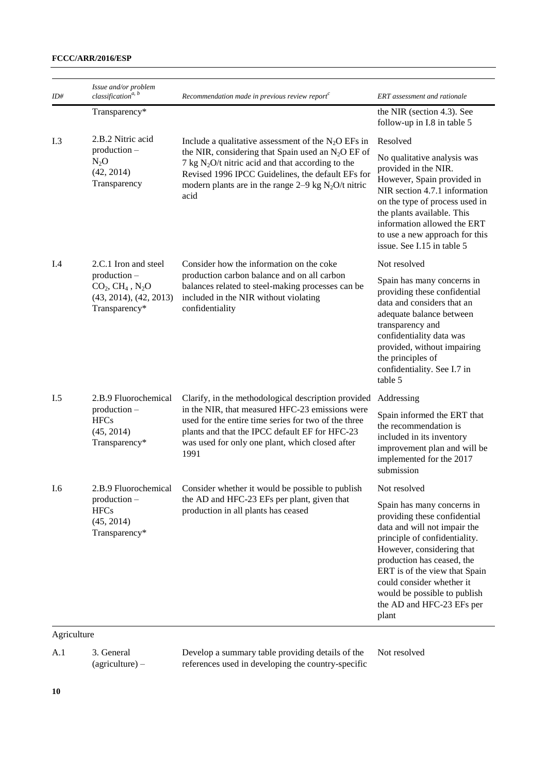| ID# | Issue and/or problem<br>classification <sup>a, b</sup>                      | Recommendation made in previous review report $\epsilon$                                                                                                                                                                                      | ERT assessment and rationale                                                                                                                                                                                                                                                                                               |
|-----|-----------------------------------------------------------------------------|-----------------------------------------------------------------------------------------------------------------------------------------------------------------------------------------------------------------------------------------------|----------------------------------------------------------------------------------------------------------------------------------------------------------------------------------------------------------------------------------------------------------------------------------------------------------------------------|
|     | Transparency*                                                               |                                                                                                                                                                                                                                               | the NIR (section 4.3). See<br>follow-up in I.8 in table 5                                                                                                                                                                                                                                                                  |
| I.3 | 2.B.2 Nitric acid<br>$production -$<br>$N_2O$<br>(42, 2014)<br>Transparency | Include a qualitative assessment of the $N_2O$ EFs in                                                                                                                                                                                         | Resolved                                                                                                                                                                                                                                                                                                                   |
|     |                                                                             | the NIR, considering that Spain used an $N_2O$ EF of<br>7 kg $N_2O/t$ nitric acid and that according to the<br>Revised 1996 IPCC Guidelines, the default EFs for<br>modern plants are in the range $2-9$ kg N <sub>2</sub> O/t nitric<br>acid | No qualitative analysis was<br>provided in the NIR.<br>However, Spain provided in<br>NIR section 4.7.1 information<br>on the type of process used in<br>the plants available. This<br>information allowed the ERT<br>to use a new approach for this<br>issue. See I.15 in table 5                                          |
| I.4 | 2.C.1 Iron and steel                                                        | Consider how the information on the coke                                                                                                                                                                                                      | Not resolved                                                                                                                                                                                                                                                                                                               |
|     | production -<br>$CO2, CH4, N2O$<br>(43, 2014), (42, 2013)<br>Transparency*  | production carbon balance and on all carbon<br>balances related to steel-making processes can be<br>included in the NIR without violating<br>confidentiality                                                                                  | Spain has many concerns in<br>providing these confidential<br>data and considers that an<br>adequate balance between<br>transparency and<br>confidentiality data was<br>provided, without impairing<br>the principles of<br>confidentiality. See I.7 in<br>table 5                                                         |
| I.5 | 2.B.9 Fluorochemical                                                        | Clarify, in the methodological description provided                                                                                                                                                                                           | Addressing                                                                                                                                                                                                                                                                                                                 |
|     | $production -$<br><b>HFCs</b><br>(45, 2014)<br>Transparency*                | in the NIR, that measured HFC-23 emissions were<br>used for the entire time series for two of the three<br>plants and that the IPCC default EF for HFC-23<br>was used for only one plant, which closed after<br>1991                          | Spain informed the ERT that<br>the recommendation is<br>included in its inventory<br>improvement plan and will be<br>implemented for the 2017<br>submission                                                                                                                                                                |
| I.6 | 2.B.9 Fluorochemical                                                        | Consider whether it would be possible to publish                                                                                                                                                                                              | Not resolved                                                                                                                                                                                                                                                                                                               |
|     | $production -$<br><b>HFCs</b><br>(45, 2014)<br>Transparency*                | the AD and HFC-23 EFs per plant, given that<br>production in all plants has ceased                                                                                                                                                            | Spain has many concerns in<br>providing these confidential<br>data and will not impair the<br>principle of confidentiality.<br>However, considering that<br>production has ceased, the<br>ERT is of the view that Spain<br>could consider whether it<br>would be possible to publish<br>the AD and HFC-23 EFs per<br>plant |

### Agriculture

A.1 3. General (agriculture) –

Develop a summary table providing details of the references used in developing the country-specific

Not resolved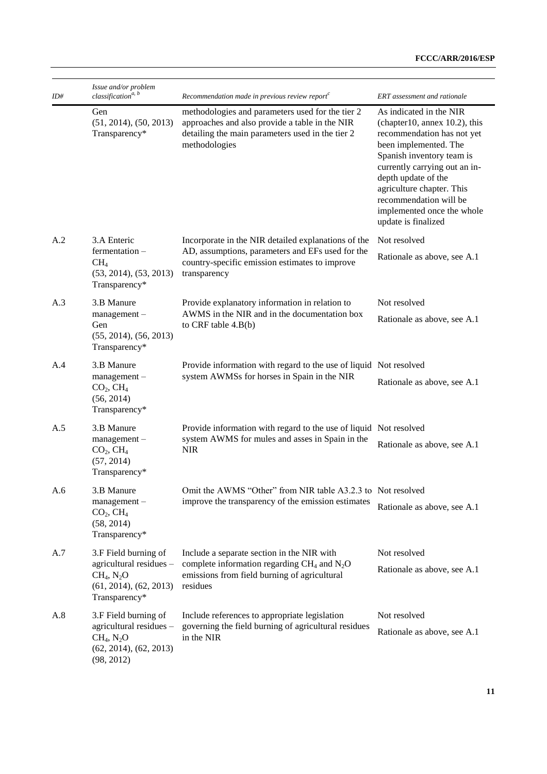| ID# | Issue and/or problem<br>classification <sup>a, b</sup>                                                                         | Recommendation made in previous review report $\epsilon$                                                                                                                | ERT assessment and rationale                                                                                                                                                                                                                                                                                     |
|-----|--------------------------------------------------------------------------------------------------------------------------------|-------------------------------------------------------------------------------------------------------------------------------------------------------------------------|------------------------------------------------------------------------------------------------------------------------------------------------------------------------------------------------------------------------------------------------------------------------------------------------------------------|
|     | Gen<br>(51, 2014), (50, 2013)<br>Transparency*                                                                                 | methodologies and parameters used for the tier 2<br>approaches and also provide a table in the NIR<br>detailing the main parameters used in the tier 2<br>methodologies | As indicated in the NIR<br>(chapter10, annex 10.2), this<br>recommendation has not yet<br>been implemented. The<br>Spanish inventory team is<br>currently carrying out an in-<br>depth update of the<br>agriculture chapter. This<br>recommendation will be<br>implemented once the whole<br>update is finalized |
| A.2 | 3.A Enteric                                                                                                                    | Incorporate in the NIR detailed explanations of the                                                                                                                     | Not resolved                                                                                                                                                                                                                                                                                                     |
|     | fermentation -<br>CH <sub>4</sub><br>(53, 2014), (53, 2013)<br>Transparency*                                                   | AD, assumptions, parameters and EFs used for the<br>country-specific emission estimates to improve<br>transparency                                                      | Rationale as above, see A.1                                                                                                                                                                                                                                                                                      |
| A.3 | 3.B Manure                                                                                                                     | Provide explanatory information in relation to                                                                                                                          | Not resolved                                                                                                                                                                                                                                                                                                     |
|     | management-<br>Gen<br>(55, 2014), (56, 2013)<br>Transparency*                                                                  | AWMS in the NIR and in the documentation box<br>to CRF table 4.B(b)                                                                                                     | Rationale as above, see A.1                                                                                                                                                                                                                                                                                      |
| A.4 | 3.B Manure                                                                                                                     | Provide information with regard to the use of liquid Not resolved                                                                                                       |                                                                                                                                                                                                                                                                                                                  |
|     | system AWMSs for horses in Spain in the NIR<br>management-<br>CO <sub>2</sub> , CH <sub>4</sub><br>(56, 2014)<br>Transparency* | Rationale as above, see A.1                                                                                                                                             |                                                                                                                                                                                                                                                                                                                  |
| A.5 | 3.B Manure                                                                                                                     | Provide information with regard to the use of liquid Not resolved                                                                                                       |                                                                                                                                                                                                                                                                                                                  |
|     | $management -$<br>CO <sub>2</sub> , CH <sub>4</sub><br>(57, 2014)<br>Transparency*                                             | system AWMS for mules and asses in Spain in the<br><b>NIR</b>                                                                                                           | Rationale as above, see A.1                                                                                                                                                                                                                                                                                      |
| A.6 | 3.B Manure                                                                                                                     | Omit the AWMS "Other" from NIR table A3.2.3 to Not resolved                                                                                                             |                                                                                                                                                                                                                                                                                                                  |
|     | management-<br>CO <sub>2</sub> , CH <sub>4</sub><br>(58, 2014)<br>Transparency*                                                | improve the transparency of the emission estimates                                                                                                                      | Rationale as above, see A.1                                                                                                                                                                                                                                                                                      |
| A.7 | 3.F Field burning of                                                                                                           | Include a separate section in the NIR with                                                                                                                              | Not resolved                                                                                                                                                                                                                                                                                                     |
|     | agricultural residues -<br>$CH_4$ , $N_2O$<br>(61, 2014), (62, 2013)<br>Transparency*                                          | complete information regarding $CH_4$ and $N_2O$<br>emissions from field burning of agricultural<br>residues                                                            | Rationale as above, see A.1                                                                                                                                                                                                                                                                                      |
| A.8 | 3.F Field burning of                                                                                                           | Include references to appropriate legislation                                                                                                                           | Not resolved                                                                                                                                                                                                                                                                                                     |
|     | agricultural residues -<br>$CH_4$ , $N_2O$<br>(62, 2014), (62, 2013)<br>(98, 2012)                                             | governing the field burning of agricultural residues<br>in the NIR                                                                                                      | Rationale as above, see A.1                                                                                                                                                                                                                                                                                      |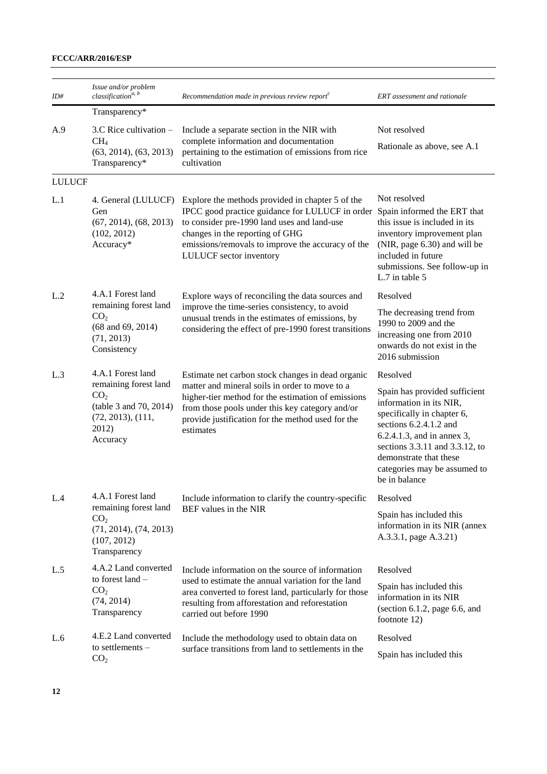| ID#           | Issue and/or problem<br>classification <sup>a, b</sup>                                                       | Recommendation made in previous review report $\epsilon$                                                                                                                                                                                                                                  | ERT assessment and rationale                                                                                                                                                                                                                                |
|---------------|--------------------------------------------------------------------------------------------------------------|-------------------------------------------------------------------------------------------------------------------------------------------------------------------------------------------------------------------------------------------------------------------------------------------|-------------------------------------------------------------------------------------------------------------------------------------------------------------------------------------------------------------------------------------------------------------|
|               | Transparency*                                                                                                |                                                                                                                                                                                                                                                                                           |                                                                                                                                                                                                                                                             |
| A.9           | 3.C Rice cultivation -                                                                                       | Include a separate section in the NIR with                                                                                                                                                                                                                                                | Not resolved                                                                                                                                                                                                                                                |
|               | CH <sub>4</sub><br>(63, 2014), (63, 2013)<br>Transparency*                                                   | complete information and documentation<br>pertaining to the estimation of emissions from rice<br>cultivation                                                                                                                                                                              | Rationale as above, see A.1                                                                                                                                                                                                                                 |
| <b>LULUCF</b> |                                                                                                              |                                                                                                                                                                                                                                                                                           |                                                                                                                                                                                                                                                             |
| L.1           | Gen<br>(67, 2014), (68, 2013)<br>(102, 2012)<br>Accuracy*                                                    | 4. General (LULUCF) Explore the methods provided in chapter 5 of the<br>IPCC good practice guidance for LULUCF in order<br>to consider pre-1990 land uses and land-use<br>changes in the reporting of GHG<br>emissions/removals to improve the accuracy of the<br>LULUCF sector inventory | Not resolved<br>Spain informed the ERT that<br>this issue is included in its<br>inventory improvement plan<br>(NIR, page 6.30) and will be<br>included in future<br>submissions. See follow-up in<br>L.7 in table 5                                         |
| L.2           | 4.A.1 Forest land                                                                                            | Explore ways of reconciling the data sources and                                                                                                                                                                                                                                          | Resolved                                                                                                                                                                                                                                                    |
|               | remaining forest land<br>CO <sub>2</sub><br>$(68$ and $69, 2014)$<br>(71, 2013)<br>Consistency               | improve the time-series consistency, to avoid<br>unusual trends in the estimates of emissions, by<br>considering the effect of pre-1990 forest transitions                                                                                                                                | The decreasing trend from<br>1990 to 2009 and the<br>increasing one from 2010<br>onwards do not exist in the<br>2016 submission                                                                                                                             |
| L.3           | 4.A.1 Forest land                                                                                            | Estimate net carbon stock changes in dead organic                                                                                                                                                                                                                                         | Resolved                                                                                                                                                                                                                                                    |
|               | remaining forest land<br>CO <sub>2</sub><br>(table 3 and 70, 2014)<br>(72, 2013), (111,<br>2012)<br>Accuracy | matter and mineral soils in order to move to a<br>higher-tier method for the estimation of emissions<br>from those pools under this key category and/or<br>provide justification for the method used for the<br>estimates                                                                 | Spain has provided sufficient<br>information in its NIR,<br>specifically in chapter 6,<br>sections 6.2.4.1.2 and<br>6.2.4.1.3, and in annex 3,<br>sections 3.3.11 and 3.3.12, to<br>demonstrate that these<br>categories may be assumed to<br>be in balance |
| L.4           | 4.A.1 Forest land                                                                                            | Include information to clarify the country-specific                                                                                                                                                                                                                                       | Resolved                                                                                                                                                                                                                                                    |
|               | remaining forest land<br>CO <sub>2</sub><br>(71, 2014), (74, 2013)<br>(107, 2012)<br>Transparency            | BEF values in the NIR                                                                                                                                                                                                                                                                     | Spain has included this<br>information in its NIR (annex<br>A.3.3.1, page A.3.21)                                                                                                                                                                           |
| L.5           | 4.A.2 Land converted                                                                                         | Include information on the source of information                                                                                                                                                                                                                                          | Resolved                                                                                                                                                                                                                                                    |
|               | to forest land -<br>CO <sub>2</sub><br>(74, 2014)<br>Transparency                                            | used to estimate the annual variation for the land<br>area converted to forest land, particularly for those<br>resulting from afforestation and reforestation<br>carried out before 1990                                                                                                  | Spain has included this<br>information in its NIR<br>(section $6.1.2$ , page $6.6$ , and<br>footnote 12)                                                                                                                                                    |
| L.6           | 4.E.2 Land converted                                                                                         | Include the methodology used to obtain data on                                                                                                                                                                                                                                            | Resolved                                                                                                                                                                                                                                                    |
|               | to settlements -<br>CO <sub>2</sub>                                                                          | surface transitions from land to settlements in the                                                                                                                                                                                                                                       | Spain has included this                                                                                                                                                                                                                                     |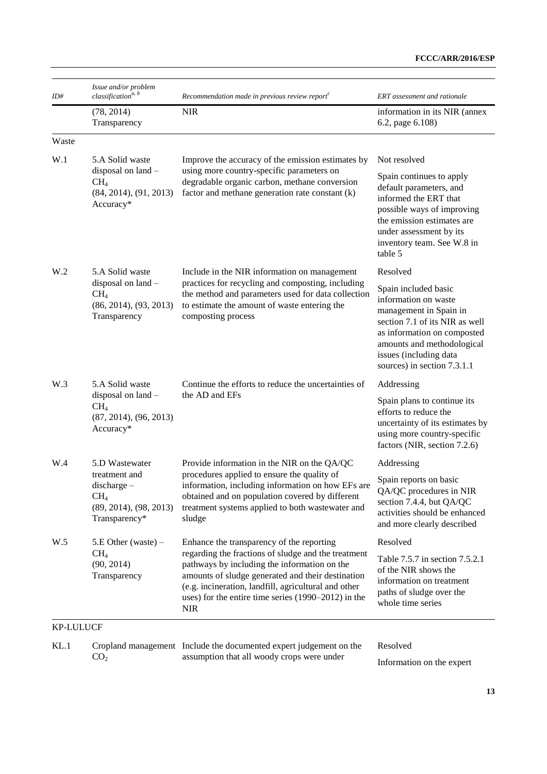| ID#              | Issue and/or problem<br>classification <sup>a, b</sup>                                          | Recommendation made in previous review report $c$                                                                                                                                                                                                                                       | ERT assessment and rationale                                                                                                                                                                                                   |
|------------------|-------------------------------------------------------------------------------------------------|-----------------------------------------------------------------------------------------------------------------------------------------------------------------------------------------------------------------------------------------------------------------------------------------|--------------------------------------------------------------------------------------------------------------------------------------------------------------------------------------------------------------------------------|
|                  | (78, 2014)<br>Transparency                                                                      | <b>NIR</b>                                                                                                                                                                                                                                                                              | information in its NIR (annex)<br>6.2, page 6.108)                                                                                                                                                                             |
| Waste            |                                                                                                 |                                                                                                                                                                                                                                                                                         |                                                                                                                                                                                                                                |
| W.1              | 5.A Solid waste<br>disposal on land -<br>CH <sub>4</sub><br>(84, 2014), (91, 2013)<br>Accuracy* | Improve the accuracy of the emission estimates by<br>using more country-specific parameters on<br>degradable organic carbon, methane conversion<br>factor and methane generation rate constant (k)                                                                                      | Not resolved<br>Spain continues to apply<br>default parameters, and<br>informed the ERT that<br>possible ways of improving<br>the emission estimates are<br>under assessment by its<br>inventory team. See W.8 in<br>table 5   |
| W <sub>.2</sub>  | 5.A Solid waste                                                                                 | Include in the NIR information on management                                                                                                                                                                                                                                            | Resolved                                                                                                                                                                                                                       |
|                  | disposal on land -<br>$CH_4$<br>(86, 2014), (93, 2013)<br>Transparency                          | practices for recycling and composting, including<br>the method and parameters used for data collection<br>to estimate the amount of waste entering the<br>composting process                                                                                                           | Spain included basic<br>information on waste<br>management in Spain in<br>section 7.1 of its NIR as well<br>as information on composted<br>amounts and methodological<br>issues (including data<br>sources) in section 7.3.1.1 |
| W.3              | 5.A Solid waste                                                                                 | Continue the efforts to reduce the uncertainties of                                                                                                                                                                                                                                     | Addressing                                                                                                                                                                                                                     |
|                  | disposal on land -<br>CH <sub>4</sub><br>(87, 2014), (96, 2013)<br>Accuracy*                    | the AD and EFs                                                                                                                                                                                                                                                                          | Spain plans to continue its<br>efforts to reduce the<br>uncertainty of its estimates by<br>using more country-specific<br>factors (NIR, section 7.2.6)                                                                         |
| W.4              | 5.D Wastewater                                                                                  | Provide information in the NIR on the QA/QC                                                                                                                                                                                                                                             | Addressing                                                                                                                                                                                                                     |
|                  | treatment and<br>discharge-<br>CH <sub>4</sub><br>(89, 2014), (98, 2013)<br>Transparency*       | procedures applied to ensure the quality of<br>information, including information on how EFs are<br>obtained and on population covered by different<br>treatment systems applied to both wastewater and<br>sludge                                                                       | Spain reports on basic<br>QA/QC procedures in NIR<br>section 7.4.4, but QA/QC<br>activities should be enhanced<br>and more clearly described                                                                                   |
| W.5              | $5.E$ Other (waste) –                                                                           | Enhance the transparency of the reporting                                                                                                                                                                                                                                               | Resolved                                                                                                                                                                                                                       |
|                  | CH <sub>4</sub><br>(90, 2014)<br>Transparency                                                   | regarding the fractions of sludge and the treatment<br>pathways by including the information on the<br>amounts of sludge generated and their destination<br>(e.g. incineration, landfill, agricultural and other<br>uses) for the entire time series $(1990-2012)$ in the<br><b>NIR</b> | Table 7.5.7 in section 7.5.2.1<br>of the NIR shows the<br>information on treatment<br>paths of sludge over the<br>whole time series                                                                                            |
| <b>KP-LULUCF</b> |                                                                                                 |                                                                                                                                                                                                                                                                                         |                                                                                                                                                                                                                                |
|                  |                                                                                                 |                                                                                                                                                                                                                                                                                         |                                                                                                                                                                                                                                |

KL.1 Cropland management Include the documented expert judgement on the  $CO<sub>2</sub>$ assumption that all woody crops were under

Resolved

Information on the expert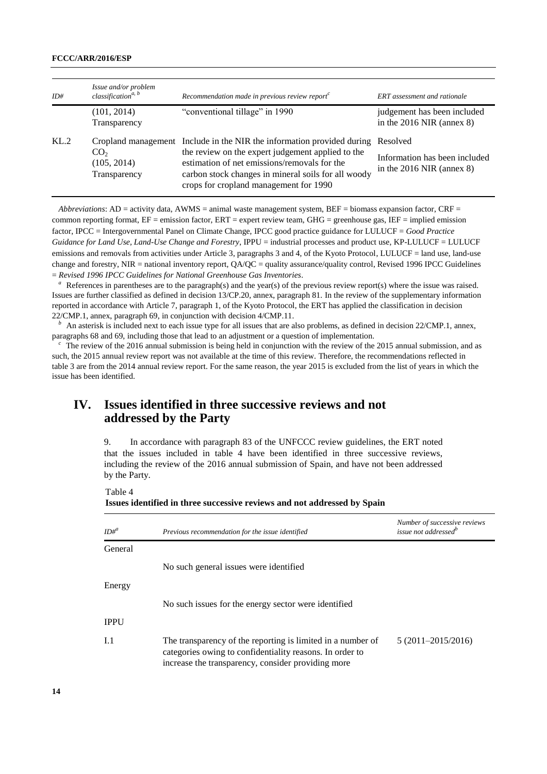| ID#  | Issue and/or problem<br>classification <sup>a, b</sup> | Recommendation made in previous review report $c$                                                                                                                                                                                                                            | <b>ERT</b> assessment and rationale                                      |
|------|--------------------------------------------------------|------------------------------------------------------------------------------------------------------------------------------------------------------------------------------------------------------------------------------------------------------------------------------|--------------------------------------------------------------------------|
|      | (101, 2014)<br>Transparency                            | "conventional tillage" in 1990                                                                                                                                                                                                                                               | judgement has been included<br>in the $2016$ NIR (annex 8)               |
| KL.2 | CO <sub>2</sub><br>(105, 2014)<br>Transparency         | Cropland management Include in the NIR the information provided during<br>the review on the expert judgement applied to the<br>estimation of net emissions/removals for the<br>carbon stock changes in mineral soils for all woody<br>crops for cropland management for 1990 | Resolved<br>Information has been included<br>in the $2016$ NIR (annex 8) |

*Abbreviations*: AD = activity data, AWMS = animal waste management system, BEF = biomass expansion factor, CRF = common reporting format,  $EF =$  emission factor,  $ERT =$  expert review team,  $GHG =$  greenhouse gas,  $IEF =$  implied emission factor, IPCC = Intergovernmental Panel on Climate Change, IPCC good practice guidance for LULUCF = *Good Practice Guidance for Land Use, Land-Use Change and Forestry*, IPPU = industrial processes and product use, KP-LULUCF = LULUCF emissions and removals from activities under Article 3, paragraphs 3 and 4, of the Kyoto Protocol, LULUCF = land use, land-use change and forestry, NIR = national inventory report, QA/QC = quality assurance/quality control, Revised 1996 IPCC Guidelines = *Revised 1996 IPCC Guidelines for National Greenhouse Gas Inventories*.

References in parentheses are to the paragraph(s) and the year(s) of the previous review report(s) where the issue was raised. Issues are further classified as defined in decision 13/CP.20, annex, paragraph 81. In the review of the supplementary information reported in accordance with Article 7, paragraph 1, of the Kyoto Protocol, the ERT has applied the classification in decision 22/CMP.1, annex, paragraph 69, in conjunction with decision 4/CMP.11.

An asterisk is included next to each issue type for all issues that are also problems, as defined in decision 22/CMP.1, annex, paragraphs 68 and 69, including those that lead to an adjustment or a question of implementation.

*<sup>c</sup>*The review of the 2016 annual submission is being held in conjunction with the review of the 2015 annual submission, and as such, the 2015 annual review report was not available at the time of this review. Therefore, the recommendations reflected in table 3 are from the 2014 annual review report. For the same reason, the year 2015 is excluded from the list of years in which the issue has been identified.

## **IV. Issues identified in three successive reviews and not addressed by the Party**

9. In accordance with paragraph 83 of the UNFCCC review guidelines, the ERT noted that the issues included in table 4 have been identified in three successive reviews, including the review of the 2016 annual submission of Spain, and have not been addressed by the Party.

Table 4 **Issues identified in three successive reviews and not addressed by Spain**

|             |                                                                                                                                                                               | Number of successive reviews     |
|-------------|-------------------------------------------------------------------------------------------------------------------------------------------------------------------------------|----------------------------------|
| $ID#^a$     | Previous recommendation for the issue identified                                                                                                                              | issue not addressed <sup>b</sup> |
| General     |                                                                                                                                                                               |                                  |
|             | No such general issues were identified                                                                                                                                        |                                  |
| Energy      |                                                                                                                                                                               |                                  |
|             | No such issues for the energy sector were identified                                                                                                                          |                                  |
| <b>IPPU</b> |                                                                                                                                                                               |                                  |
| I.1         | The transparency of the reporting is limited in a number of<br>categories owing to confidentiality reasons. In order to<br>increase the transparency, consider providing more | $5(2011-2015/2016)$              |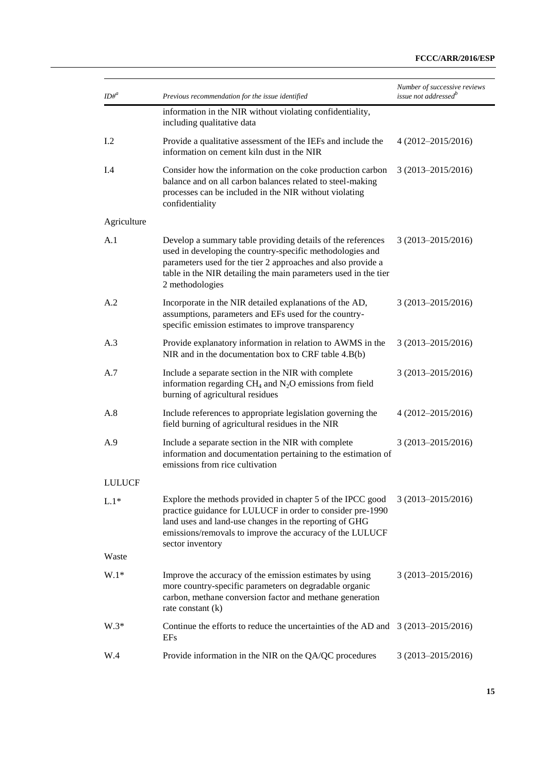| $ID#^a$       | Previous recommendation for the issue identified                                                                                                                                                                                                                               | Number of successive reviews<br>issue not addressed <sup>b</sup> |
|---------------|--------------------------------------------------------------------------------------------------------------------------------------------------------------------------------------------------------------------------------------------------------------------------------|------------------------------------------------------------------|
|               | information in the NIR without violating confidentiality,<br>including qualitative data                                                                                                                                                                                        |                                                                  |
| $1.2\,$       | Provide a qualitative assessment of the IEFs and include the<br>information on cement kiln dust in the NIR                                                                                                                                                                     | 4 (2012-2015/2016)                                               |
| I.4           | Consider how the information on the coke production carbon<br>balance and on all carbon balances related to steel-making<br>processes can be included in the NIR without violating<br>confidentiality                                                                          | $3(2013 - 2015/2016)$                                            |
| Agriculture   |                                                                                                                                                                                                                                                                                |                                                                  |
| A.1           | Develop a summary table providing details of the references<br>used in developing the country-specific methodologies and<br>parameters used for the tier 2 approaches and also provide a<br>table in the NIR detailing the main parameters used in the tier<br>2 methodologies | $3(2013 - 2015/2016)$                                            |
| A.2           | Incorporate in the NIR detailed explanations of the AD,<br>assumptions, parameters and EFs used for the country-<br>specific emission estimates to improve transparency                                                                                                        | $3(2013 - 2015/2016)$                                            |
| A.3           | Provide explanatory information in relation to AWMS in the<br>NIR and in the documentation box to CRF table 4.B(b)                                                                                                                                                             | $3(2013 - 2015/2016)$                                            |
| A.7           | Include a separate section in the NIR with complete<br>information regarding $CH_4$ and $N_2O$ emissions from field<br>burning of agricultural residues                                                                                                                        | $3(2013 - 2015/2016)$                                            |
| A.8           | Include references to appropriate legislation governing the<br>field burning of agricultural residues in the NIR                                                                                                                                                               | $4(2012 - 2015/2016)$                                            |
| A.9           | Include a separate section in the NIR with complete<br>information and documentation pertaining to the estimation of<br>emissions from rice cultivation                                                                                                                        | $3(2013 - 2015/2016)$                                            |
| <b>LULUCF</b> |                                                                                                                                                                                                                                                                                |                                                                  |
| $L.1*$        | Explore the methods provided in chapter 5 of the IPCC good<br>practice guidance for LULUCF in order to consider pre-1990<br>land uses and land-use changes in the reporting of GHG<br>emissions/removals to improve the accuracy of the LULUCF<br>sector inventory             | $3(2013 - 2015/2016)$                                            |
| Waste         |                                                                                                                                                                                                                                                                                |                                                                  |
| $W.1*$        | Improve the accuracy of the emission estimates by using<br>more country-specific parameters on degradable organic<br>carbon, methane conversion factor and methane generation<br>rate constant $(k)$                                                                           | $3(2013 - 2015/2016)$                                            |
| $W.3*$        | Continue the efforts to reduce the uncertainties of the AD and $3(2013-2015/2016)$<br><b>EFs</b>                                                                                                                                                                               |                                                                  |
| W.4           | Provide information in the NIR on the QA/QC procedures                                                                                                                                                                                                                         | 3 (2013-2015/2016)                                               |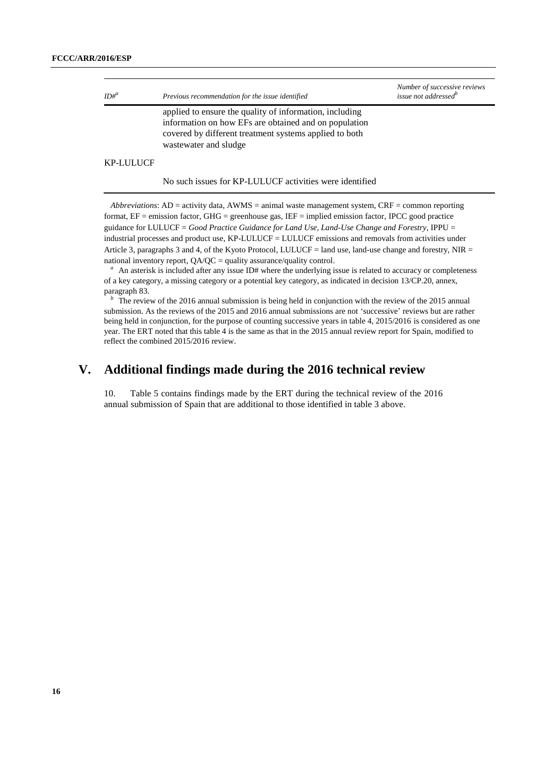| $ID#^a$          | Previous recommendation for the issue identified                                                                                                                                                    | Number of successive reviews<br>issue not addressed <sup>b</sup> |
|------------------|-----------------------------------------------------------------------------------------------------------------------------------------------------------------------------------------------------|------------------------------------------------------------------|
|                  | applied to ensure the quality of information, including<br>information on how EFs are obtained and on population<br>covered by different treatment systems applied to both<br>wastewater and sludge |                                                                  |
| <b>KP-LULUCF</b> |                                                                                                                                                                                                     |                                                                  |

No such issues for KP-LULUCF activities were identified

*Abbreviations*: AD = activity data, AWMS = animal waste management system, CRF = common reporting format, EF = emission factor, GHG = greenhouse gas, IEF = implied emission factor, IPCC good practice guidance for LULUCF = *Good Practice Guidance for Land Use, Land-Use Change and Forestry*, IPPU = industrial processes and product use, KP-LULUCF = LULUCF emissions and removals from activities under Article 3, paragraphs 3 and 4, of the Kyoto Protocol, LULUCF = land use, land-use change and forestry, NIR = national inventory report,  $OA/OC =$  quality assurance/quality control.

<sup>*a*</sup>An asterisk is included after any issue ID# where the underlying issue is related to accuracy or completeness of a key category, a missing category or a potential key category, as indicated in decision 13/CP.20, annex, paragraph 83.

The review of the 2016 annual submission is being held in conjunction with the review of the 2015 annual submission. As the reviews of the 2015 and 2016 annual submissions are not 'successive' reviews but are rather being held in conjunction, for the purpose of counting successive years in table 4, 2015/2016 is considered as one year. The ERT noted that this table 4 is the same as that in the 2015 annual review report for Spain, modified to reflect the combined 2015/2016 review.

## **V. Additional findings made during the 2016 technical review**

10. Table 5 contains findings made by the ERT during the technical review of the 2016 annual submission of Spain that are additional to those identified in table 3 above.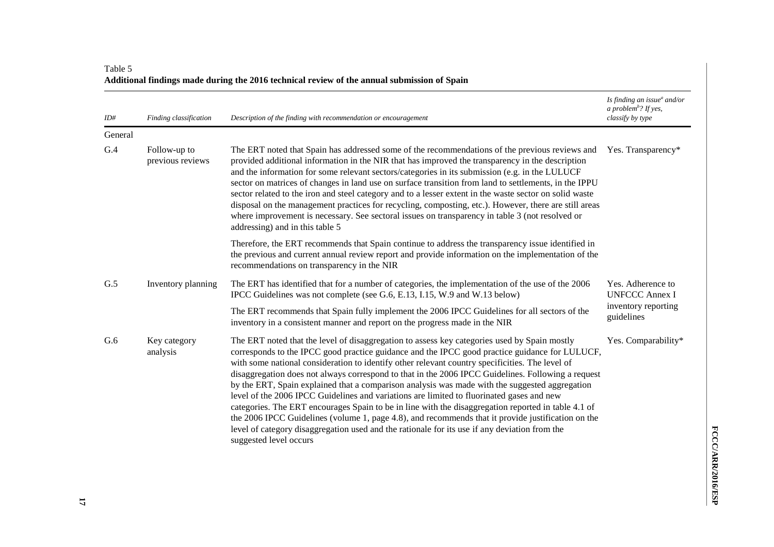| ID#     | Finding classification           | Description of the finding with recommendation or encouragement                                                                                                                                                                                                                                                                                                                                                                                                                                                                                                                                                                                                                                                                                                                                                                                                                                                                                | Is finding an issue $^a$ and/or<br>a problem <sup>b</sup> ? If yes,<br>classify by type |
|---------|----------------------------------|------------------------------------------------------------------------------------------------------------------------------------------------------------------------------------------------------------------------------------------------------------------------------------------------------------------------------------------------------------------------------------------------------------------------------------------------------------------------------------------------------------------------------------------------------------------------------------------------------------------------------------------------------------------------------------------------------------------------------------------------------------------------------------------------------------------------------------------------------------------------------------------------------------------------------------------------|-----------------------------------------------------------------------------------------|
| General |                                  |                                                                                                                                                                                                                                                                                                                                                                                                                                                                                                                                                                                                                                                                                                                                                                                                                                                                                                                                                |                                                                                         |
| G.4     | Follow-up to<br>previous reviews | The ERT noted that Spain has addressed some of the recommendations of the previous reviews and<br>provided additional information in the NIR that has improved the transparency in the description<br>and the information for some relevant sectors/categories in its submission (e.g. in the LULUCF<br>sector on matrices of changes in land use on surface transition from land to settlements, in the IPPU<br>sector related to the iron and steel category and to a lesser extent in the waste sector on solid waste<br>disposal on the management practices for recycling, composting, etc.). However, there are still areas<br>where improvement is necessary. See sectoral issues on transparency in table 3 (not resolved or<br>addressing) and in this table 5                                                                                                                                                                        | Yes. Transparency*                                                                      |
|         |                                  | Therefore, the ERT recommends that Spain continue to address the transparency issue identified in<br>the previous and current annual review report and provide information on the implementation of the<br>recommendations on transparency in the NIR                                                                                                                                                                                                                                                                                                                                                                                                                                                                                                                                                                                                                                                                                          |                                                                                         |
| G.5     | Inventory planning               | The ERT has identified that for a number of categories, the implementation of the use of the 2006<br>IPCC Guidelines was not complete (see G.6, E.13, I.15, W.9 and W.13 below)                                                                                                                                                                                                                                                                                                                                                                                                                                                                                                                                                                                                                                                                                                                                                                | Yes. Adherence to<br><b>UNFCCC Annex I</b>                                              |
|         |                                  | The ERT recommends that Spain fully implement the 2006 IPCC Guidelines for all sectors of the<br>inventory in a consistent manner and report on the progress made in the NIR                                                                                                                                                                                                                                                                                                                                                                                                                                                                                                                                                                                                                                                                                                                                                                   | inventory reporting<br>guidelines                                                       |
| G.6     | Key category<br>analysis         | The ERT noted that the level of disaggregation to assess key categories used by Spain mostly<br>corresponds to the IPCC good practice guidance and the IPCC good practice guidance for LULUCF,<br>with some national consideration to identify other relevant country specificities. The level of<br>disaggregation does not always correspond to that in the 2006 IPCC Guidelines. Following a request<br>by the ERT, Spain explained that a comparison analysis was made with the suggested aggregation<br>level of the 2006 IPCC Guidelines and variations are limited to fluorinated gases and new<br>categories. The ERT encourages Spain to be in line with the disaggregation reported in table 4.1 of<br>the 2006 IPCC Guidelines (volume 1, page 4.8), and recommends that it provide justification on the<br>level of category disaggregation used and the rationale for its use if any deviation from the<br>suggested level occurs | Yes. Comparability*                                                                     |

## Table 5 **Additional findings made during the 2016 technical review of the annual submission of Spain**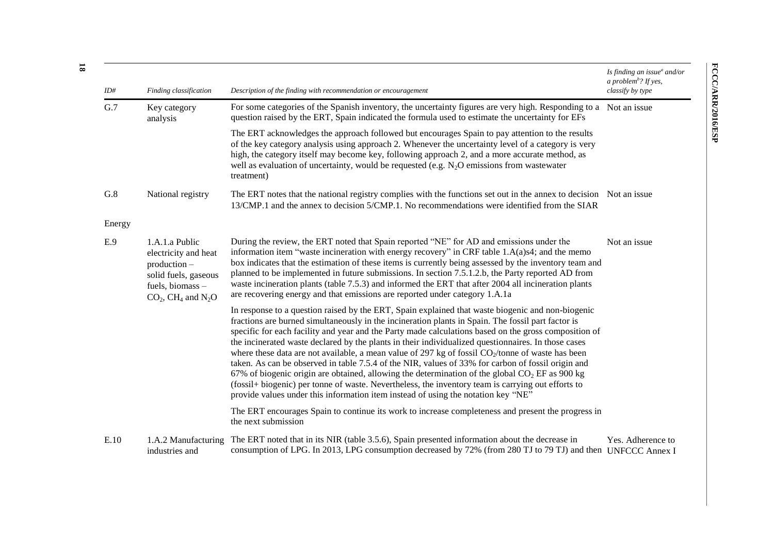| ID#    | Finding classification                                                                                                                            | Description of the finding with recommendation or encouragement                                                                                                                                                                                                                                                                                                                                                                                                                                                                                                                                                                                                                                                                                                                                                                                                                                                                               | Is finding an issue $^a$ and/or<br>a problem <sup>b</sup> ? If yes,<br>classify by type |
|--------|---------------------------------------------------------------------------------------------------------------------------------------------------|-----------------------------------------------------------------------------------------------------------------------------------------------------------------------------------------------------------------------------------------------------------------------------------------------------------------------------------------------------------------------------------------------------------------------------------------------------------------------------------------------------------------------------------------------------------------------------------------------------------------------------------------------------------------------------------------------------------------------------------------------------------------------------------------------------------------------------------------------------------------------------------------------------------------------------------------------|-----------------------------------------------------------------------------------------|
| G.7    | Key category<br>analysis                                                                                                                          | For some categories of the Spanish inventory, the uncertainty figures are very high. Responding to a Not an issue<br>question raised by the ERT, Spain indicated the formula used to estimate the uncertainty for EFs                                                                                                                                                                                                                                                                                                                                                                                                                                                                                                                                                                                                                                                                                                                         |                                                                                         |
|        |                                                                                                                                                   | The ERT acknowledges the approach followed but encourages Spain to pay attention to the results<br>of the key category analysis using approach 2. Whenever the uncertainty level of a category is very<br>high, the category itself may become key, following approach 2, and a more accurate method, as<br>well as evaluation of uncertainty, would be requested (e.g. $N_2O$ emissions from wastewater<br>treatment)                                                                                                                                                                                                                                                                                                                                                                                                                                                                                                                        |                                                                                         |
| G.8    | National registry                                                                                                                                 | The ERT notes that the national registry complies with the functions set out in the annex to decision Not an issue<br>13/CMP.1 and the annex to decision 5/CMP.1. No recommendations were identified from the SIAR                                                                                                                                                                                                                                                                                                                                                                                                                                                                                                                                                                                                                                                                                                                            |                                                                                         |
| Energy |                                                                                                                                                   |                                                                                                                                                                                                                                                                                                                                                                                                                                                                                                                                                                                                                                                                                                                                                                                                                                                                                                                                               |                                                                                         |
| E.9    | 1.A.1.a Public<br>electricity and heat<br>production -<br>solid fuels, gaseous<br>fuels, biomass-<br>$CO2$ , CH <sub>4</sub> and N <sub>2</sub> O | During the review, the ERT noted that Spain reported "NE" for AD and emissions under the<br>information item "waste incineration with energy recovery" in CRF table 1.A(a)s4; and the memo<br>box indicates that the estimation of these items is currently being assessed by the inventory team and<br>planned to be implemented in future submissions. In section 7.5.1.2.b, the Party reported AD from<br>waste incineration plants (table 7.5.3) and informed the ERT that after 2004 all incineration plants<br>are recovering energy and that emissions are reported under category 1.A.1a                                                                                                                                                                                                                                                                                                                                              | Not an issue                                                                            |
|        |                                                                                                                                                   | In response to a question raised by the ERT, Spain explained that waste biogenic and non-biogenic<br>fractions are burned simultaneously in the incineration plants in Spain. The fossil part factor is<br>specific for each facility and year and the Party made calculations based on the gross composition of<br>the incinerated waste declared by the plants in their individualized questionnaires. In those cases<br>where these data are not available, a mean value of 297 kg of fossil CO <sub>2</sub> /tonne of waste has been<br>taken. As can be observed in table 7.5.4 of the NIR, values of 33% for carbon of fossil origin and<br>67% of biogenic origin are obtained, allowing the determination of the global $CO2 EF$ as 900 kg<br>(fossil+ biogenic) per tonne of waste. Nevertheless, the inventory team is carrying out efforts to<br>provide values under this information item instead of using the notation key "NE" |                                                                                         |
|        |                                                                                                                                                   | The ERT encourages Spain to continue its work to increase completeness and present the progress in<br>the next submission                                                                                                                                                                                                                                                                                                                                                                                                                                                                                                                                                                                                                                                                                                                                                                                                                     |                                                                                         |
| E.10   | 1.A.2 Manufacturing<br>industries and                                                                                                             | The ERT noted that in its NIR (table 3.5.6), Spain presented information about the decrease in<br>consumption of LPG. In 2013, LPG consumption decreased by 72% (from 280 TJ to 79 TJ) and then UNFCCC Annex I                                                                                                                                                                                                                                                                                                                                                                                                                                                                                                                                                                                                                                                                                                                                | Yes. Adherence to                                                                       |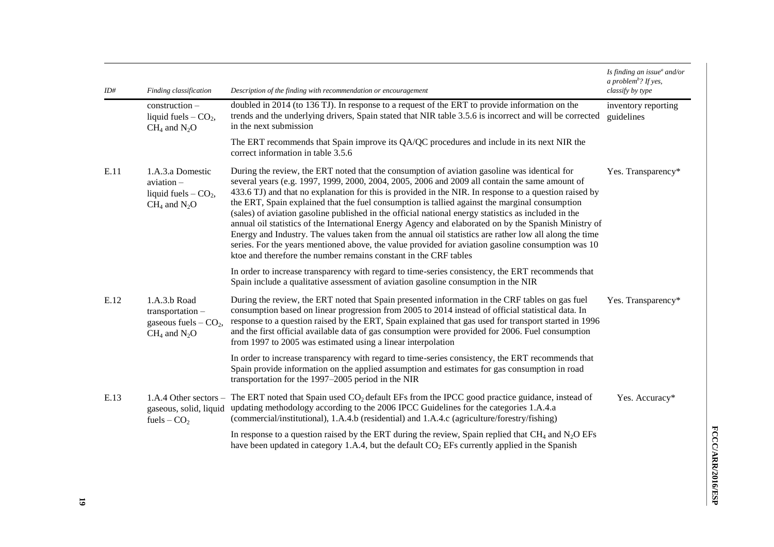| ID#  | Finding classification                                                                       | Description of the finding with recommendation or encouragement                                                                                                                                                                                                                                                                                                                                                                                                                                                                                                                                                                                                                                                                                                                                                                                                                                                 | Is finding an issue <sup>a</sup> and/or<br>a problem <sup>b</sup> ? If yes,<br>classify by type |
|------|----------------------------------------------------------------------------------------------|-----------------------------------------------------------------------------------------------------------------------------------------------------------------------------------------------------------------------------------------------------------------------------------------------------------------------------------------------------------------------------------------------------------------------------------------------------------------------------------------------------------------------------------------------------------------------------------------------------------------------------------------------------------------------------------------------------------------------------------------------------------------------------------------------------------------------------------------------------------------------------------------------------------------|-------------------------------------------------------------------------------------------------|
|      | construction -<br>liquid fuels $-$ CO <sub>2</sub> ,<br>$CH4$ and $N2O$                      | doubled in 2014 (to 136 TJ). In response to a request of the ERT to provide information on the<br>trends and the underlying drivers, Spain stated that NIR table 3.5.6 is incorrect and will be corrected<br>in the next submission                                                                                                                                                                                                                                                                                                                                                                                                                                                                                                                                                                                                                                                                             | inventory reporting<br>guidelines                                                               |
|      |                                                                                              | The ERT recommends that Spain improve its QA/QC procedures and include in its next NIR the<br>correct information in table 3.5.6                                                                                                                                                                                                                                                                                                                                                                                                                                                                                                                                                                                                                                                                                                                                                                                |                                                                                                 |
| E.11 | 1.A.3.a Domestic<br>aviation-<br>liquid fuels $-$ CO <sub>2</sub> ,<br>$CH_4$ and $N_2O$     | During the review, the ERT noted that the consumption of aviation gasoline was identical for<br>several years (e.g. 1997, 1999, 2000, 2004, 2005, 2006 and 2009 all contain the same amount of<br>433.6 TJ) and that no explanation for this is provided in the NIR. In response to a question raised by<br>the ERT, Spain explained that the fuel consumption is tallied against the marginal consumption<br>(sales) of aviation gasoline published in the official national energy statistics as included in the<br>annual oil statistics of the International Energy Agency and elaborated on by the Spanish Ministry of<br>Energy and Industry. The values taken from the annual oil statistics are rather low all along the time<br>series. For the years mentioned above, the value provided for aviation gasoline consumption was 10<br>ktoe and therefore the number remains constant in the CRF tables | Yes. Transparency*                                                                              |
|      |                                                                                              | In order to increase transparency with regard to time-series consistency, the ERT recommends that<br>Spain include a qualitative assessment of aviation gasoline consumption in the NIR                                                                                                                                                                                                                                                                                                                                                                                                                                                                                                                                                                                                                                                                                                                         |                                                                                                 |
| E.12 | 1.A.3.b Road<br>transportation -<br>gaseous fuels $-$ CO <sub>2</sub> ,<br>$CH_4$ and $N_2O$ | During the review, the ERT noted that Spain presented information in the CRF tables on gas fuel<br>consumption based on linear progression from 2005 to 2014 instead of official statistical data. In<br>response to a question raised by the ERT, Spain explained that gas used for transport started in 1996<br>and the first official available data of gas consumption were provided for 2006. Fuel consumption<br>from 1997 to 2005 was estimated using a linear interpolation                                                                                                                                                                                                                                                                                                                                                                                                                             | Yes. Transparency*                                                                              |
|      |                                                                                              | In order to increase transparency with regard to time-series consistency, the ERT recommends that<br>Spain provide information on the applied assumption and estimates for gas consumption in road<br>transportation for the 1997–2005 period in the NIR                                                                                                                                                                                                                                                                                                                                                                                                                                                                                                                                                                                                                                                        |                                                                                                 |
| E.13 | fuels $-CO2$                                                                                 | 1.A.4 Other sectors – The ERT noted that Spain used $CO2$ default EFs from the IPCC good practice guidance, instead of<br>gaseous, solid, liquid updating methodology according to the 2006 IPCC Guidelines for the categories 1.A.4.a<br>(commercial/institutional), 1.A.4.b (residential) and 1.A.4.c (agriculture/forestry/fishing)                                                                                                                                                                                                                                                                                                                                                                                                                                                                                                                                                                          | Yes. Accuracy*                                                                                  |
|      |                                                                                              | In response to a question raised by the ERT during the review, Spain replied that $CH_4$ and $N2O$ EFs<br>have been updated in category 1.A.4, but the default CO <sub>2</sub> EFs currently applied in the Spanish                                                                                                                                                                                                                                                                                                                                                                                                                                                                                                                                                                                                                                                                                             |                                                                                                 |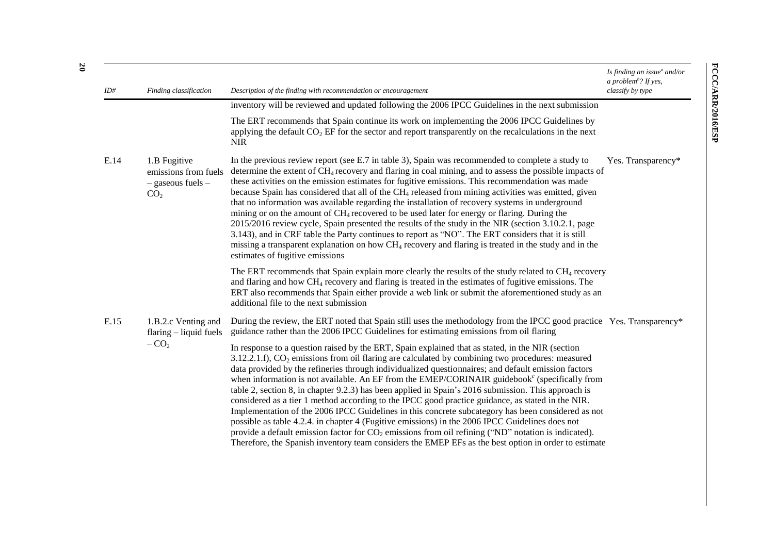| ID#  | Finding classification                                                           | Description of the finding with recommendation or encouragement                                                                                                                                                                                                                                                                                                                                                                                                                                                                                                                                                                                                                                                                                                                                                                                                                                                                                                                                                                                                  | Is finding an issue $^a$ and/or<br>a problem <sup>b</sup> ? If yes,<br>classify by type |
|------|----------------------------------------------------------------------------------|------------------------------------------------------------------------------------------------------------------------------------------------------------------------------------------------------------------------------------------------------------------------------------------------------------------------------------------------------------------------------------------------------------------------------------------------------------------------------------------------------------------------------------------------------------------------------------------------------------------------------------------------------------------------------------------------------------------------------------------------------------------------------------------------------------------------------------------------------------------------------------------------------------------------------------------------------------------------------------------------------------------------------------------------------------------|-----------------------------------------------------------------------------------------|
|      |                                                                                  | inventory will be reviewed and updated following the 2006 IPCC Guidelines in the next submission                                                                                                                                                                                                                                                                                                                                                                                                                                                                                                                                                                                                                                                                                                                                                                                                                                                                                                                                                                 |                                                                                         |
|      |                                                                                  | The ERT recommends that Spain continue its work on implementing the 2006 IPCC Guidelines by<br>applying the default $CO2 EF$ for the sector and report transparently on the recalculations in the next<br><b>NIR</b>                                                                                                                                                                                                                                                                                                                                                                                                                                                                                                                                                                                                                                                                                                                                                                                                                                             |                                                                                         |
| E.14 | 1.B Fugitive<br>emissions from fuels<br>$-$ gaseous fuels $-$<br>CO <sub>2</sub> | In the previous review report (see E.7 in table 3), Spain was recommended to complete a study to<br>determine the extent of $CH_4$ recovery and flaring in coal mining, and to assess the possible impacts of<br>these activities on the emission estimates for fugitive emissions. This recommendation was made<br>because Spain has considered that all of the CH <sub>4</sub> released from mining activities was emitted, given<br>that no information was available regarding the installation of recovery systems in underground<br>mining or on the amount of $CH_4$ recovered to be used later for energy or flaring. During the<br>2015/2016 review cycle, Spain presented the results of the study in the NIR (section 3.10.2.1, page<br>3.143), and in CRF table the Party continues to report as "NO". The ERT considers that it is still<br>missing a transparent explanation on how $CH_4$ recovery and flaring is treated in the study and in the<br>estimates of fugitive emissions                                                              | Yes. Transparency*                                                                      |
|      |                                                                                  | The ERT recommends that Spain explain more clearly the results of the study related to CH <sub>4</sub> recovery<br>and flaring and how CH <sub>4</sub> recovery and flaring is treated in the estimates of fugitive emissions. The<br>ERT also recommends that Spain either provide a web link or submit the aforementioned study as an<br>additional file to the next submission                                                                                                                                                                                                                                                                                                                                                                                                                                                                                                                                                                                                                                                                                |                                                                                         |
| E.15 | 1.B.2.c Venting and<br>$flaring - liquid$ fuels                                  | During the review, the ERT noted that Spain still uses the methodology from the IPCC good practice Yes. Transparency*<br>guidance rather than the 2006 IPCC Guidelines for estimating emissions from oil flaring                                                                                                                                                                                                                                                                                                                                                                                                                                                                                                                                                                                                                                                                                                                                                                                                                                                 |                                                                                         |
|      | $-CO2$                                                                           | In response to a question raised by the ERT, Spain explained that as stated, in the NIR (section<br>$3.12.2.1.f$ , $CO2$ emissions from oil flaring are calculated by combining two procedures: measured<br>data provided by the refineries through individualized questionnaires; and default emission factors<br>when information is not available. An EF from the EMEP/CORINAIR guidebook $\epsilon$ (specifically from<br>table 2, section 8, in chapter 9.2.3) has been applied in Spain's 2016 submission. This approach is<br>considered as a tier 1 method according to the IPCC good practice guidance, as stated in the NIR.<br>Implementation of the 2006 IPCC Guidelines in this concrete subcategory has been considered as not<br>possible as table 4.2.4. in chapter 4 (Fugitive emissions) in the 2006 IPCC Guidelines does not<br>provide a default emission factor for $CO2$ emissions from oil refining ("ND" notation is indicated).<br>Therefore, the Spanish inventory team considers the EMEP EFs as the best option in order to estimate |                                                                                         |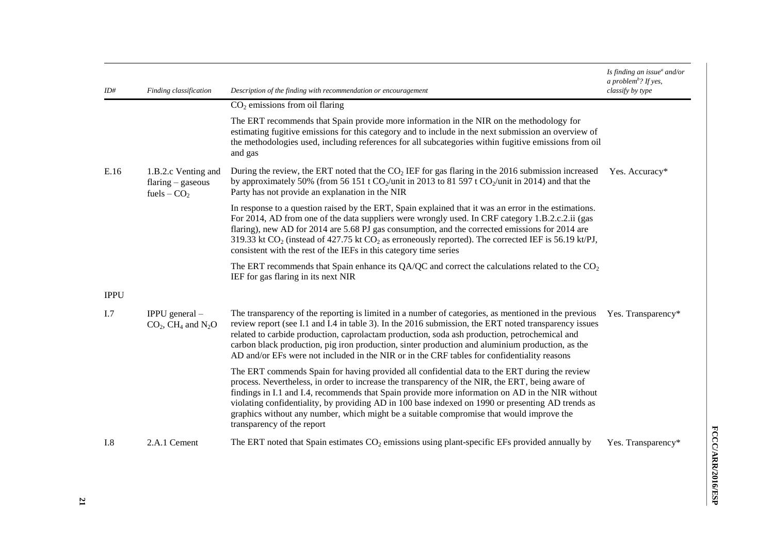| ID#         | Finding classification                                           | Description of the finding with recommendation or encouragement                                                                                                                                                                                                                                                                                                                                                                                                                                                                      | Is finding an issue $^a$ and/or<br>a problem <sup>b</sup> ? If yes,<br>classify by type |
|-------------|------------------------------------------------------------------|--------------------------------------------------------------------------------------------------------------------------------------------------------------------------------------------------------------------------------------------------------------------------------------------------------------------------------------------------------------------------------------------------------------------------------------------------------------------------------------------------------------------------------------|-----------------------------------------------------------------------------------------|
|             |                                                                  | $CO2$ emissions from oil flaring                                                                                                                                                                                                                                                                                                                                                                                                                                                                                                     |                                                                                         |
|             |                                                                  | The ERT recommends that Spain provide more information in the NIR on the methodology for<br>estimating fugitive emissions for this category and to include in the next submission an overview of<br>the methodologies used, including references for all subcategories within fugitive emissions from oil<br>and gas                                                                                                                                                                                                                 |                                                                                         |
| E.16        | 1.B.2.c Venting and<br>$flaring-gaseous$<br>fuels $-CO2$         | During the review, the ERT noted that the $CO2$ IEF for gas flaring in the 2016 submission increased<br>by approximately 50% (from 56 151 t $CO_2$ /unit in 2013 to 81 597 t $CO_2$ /unit in 2014) and that the<br>Party has not provide an explanation in the NIR                                                                                                                                                                                                                                                                   | Yes. Accuracy*                                                                          |
|             |                                                                  | In response to a question raised by the ERT, Spain explained that it was an error in the estimations.<br>For 2014, AD from one of the data suppliers were wrongly used. In CRF category 1.B.2.c.2.ii (gas<br>flaring), new AD for 2014 are 5.68 PJ gas consumption, and the corrected emissions for 2014 are<br>319.33 kt $CO_2$ (instead of 427.75 kt $CO_2$ as erroneously reported). The corrected IEF is 56.19 kt/PJ,<br>consistent with the rest of the IEFs in this category time series                                       |                                                                                         |
|             |                                                                  | The ERT recommends that Spain enhance its QA/QC and correct the calculations related to the $CO2$<br>IEF for gas flaring in its next NIR                                                                                                                                                                                                                                                                                                                                                                                             |                                                                                         |
| <b>IPPU</b> |                                                                  |                                                                                                                                                                                                                                                                                                                                                                                                                                                                                                                                      |                                                                                         |
| I.7         | IPPU general $-$<br>$CO2$ , CH <sub>4</sub> and N <sub>2</sub> O | The transparency of the reporting is limited in a number of categories, as mentioned in the previous<br>review report (see I.1 and I.4 in table 3). In the 2016 submission, the ERT noted transparency issues<br>related to carbide production, caprolactam production, soda ash production, petrochemical and<br>carbon black production, pig iron production, sinter production and aluminium production, as the<br>AD and/or EFs were not included in the NIR or in the CRF tables for confidentiality reasons                    | Yes. Transparency*                                                                      |
|             |                                                                  | The ERT commends Spain for having provided all confidential data to the ERT during the review<br>process. Nevertheless, in order to increase the transparency of the NIR, the ERT, being aware of<br>findings in I.1 and I.4, recommends that Spain provide more information on AD in the NIR without<br>violating confidentiality, by providing AD in 100 base indexed on 1990 or presenting AD trends as<br>graphics without any number, which might be a suitable compromise that would improve the<br>transparency of the report |                                                                                         |
| I.8         | 2.A.1 Cement                                                     | The ERT noted that Spain estimates $CO2$ emissions using plant-specific EFs provided annually by                                                                                                                                                                                                                                                                                                                                                                                                                                     | Yes. Transparency*                                                                      |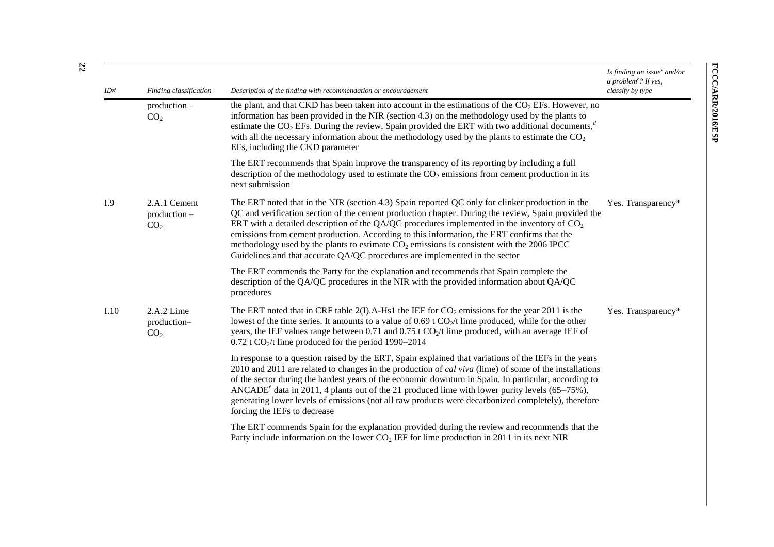| ID#  | Finding classification                            | Description of the finding with recommendation or encouragement                                                                                                                                                                                                                                                                                                                                                                                                                                                                                                                                  | Is finding an issue <sup>a</sup> and/or<br>a problem <sup>b</sup> ? If yes,<br>classify by type |
|------|---------------------------------------------------|--------------------------------------------------------------------------------------------------------------------------------------------------------------------------------------------------------------------------------------------------------------------------------------------------------------------------------------------------------------------------------------------------------------------------------------------------------------------------------------------------------------------------------------------------------------------------------------------------|-------------------------------------------------------------------------------------------------|
|      | $production -$<br>CO <sub>2</sub>                 | the plant, and that CKD has been taken into account in the estimations of the $CO2$ EFs. However, no<br>information has been provided in the NIR (section 4.3) on the methodology used by the plants to<br>estimate the $CO_2$ EFs. During the review, Spain provided the ERT with two additional documents, <sup>d</sup><br>with all the necessary information about the methodology used by the plants to estimate the $CO2$<br>EFs, including the CKD parameter                                                                                                                               |                                                                                                 |
|      |                                                   | The ERT recommends that Spain improve the transparency of its reporting by including a full<br>description of the methodology used to estimate the $CO2$ emissions from cement production in its<br>next submission                                                                                                                                                                                                                                                                                                                                                                              |                                                                                                 |
| I.9  | 2.A.1 Cement<br>$production -$<br>CO <sub>2</sub> | The ERT noted that in the NIR (section 4.3) Spain reported QC only for clinker production in the<br>QC and verification section of the cement production chapter. During the review, Spain provided the<br>ERT with a detailed description of the QA/QC procedures implemented in the inventory of $CO2$<br>emissions from cement production. According to this information, the ERT confirms that the<br>methodology used by the plants to estimate $CO2$ emissions is consistent with the 2006 IPCC<br>Guidelines and that accurate QA/QC procedures are implemented in the sector             | Yes. Transparency*                                                                              |
|      |                                                   | The ERT commends the Party for the explanation and recommends that Spain complete the<br>description of the QA/QC procedures in the NIR with the provided information about QA/QC<br>procedures                                                                                                                                                                                                                                                                                                                                                                                                  |                                                                                                 |
| I.10 | 2.A.2 Lime<br>production-<br>CO <sub>2</sub>      | The ERT noted that in CRF table 2(I).A-Hs1 the IEF for $CO_2$ emissions for the year 2011 is the<br>lowest of the time series. It amounts to a value of $0.69$ t CO <sub>2</sub> /t lime produced, while for the other<br>years, the IEF values range between 0.71 and 0.75 t CO <sub>2</sub> /t lime produced, with an average IEF of<br>$0.72$ t CO <sub>2</sub> /t lime produced for the period 1990–2014                                                                                                                                                                                     | Yes. Transparency*                                                                              |
|      |                                                   | In response to a question raised by the ERT, Spain explained that variations of the IEFs in the years<br>2010 and 2011 are related to changes in the production of <i>cal viva</i> (lime) of some of the installations<br>of the sector during the hardest years of the economic downturn in Spain. In particular, according to<br>ANCADE <sup><math>e</math></sup> data in 2011, 4 plants out of the 21 produced lime with lower purity levels (65–75%),<br>generating lower levels of emissions (not all raw products were decarbonized completely), therefore<br>forcing the IEFs to decrease |                                                                                                 |
|      |                                                   | The ERT commends Spain for the explanation provided during the review and recommends that the<br>Party include information on the lower $CO2 IEF$ for lime production in 2011 in its next NIR                                                                                                                                                                                                                                                                                                                                                                                                    |                                                                                                 |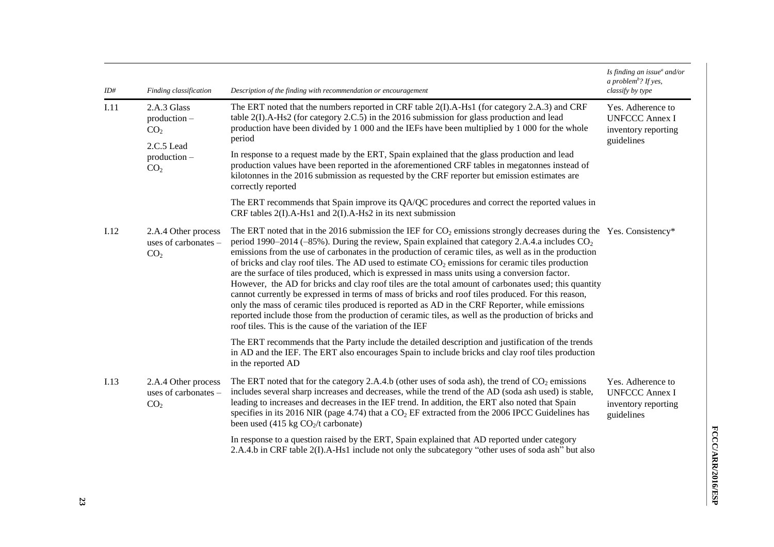| ID#  | Finding classification                                         | Description of the finding with recommendation or encouragement                                                                                                                                                                                                                                                                                                                                                                                                                                                                                                                                                                                                                                                                                                                                                                                                                                                                                                                                                                     | Is finding an issue $^a$ and/or<br>a problem <sup>b</sup> ? If yes,<br>classify by type |
|------|----------------------------------------------------------------|-------------------------------------------------------------------------------------------------------------------------------------------------------------------------------------------------------------------------------------------------------------------------------------------------------------------------------------------------------------------------------------------------------------------------------------------------------------------------------------------------------------------------------------------------------------------------------------------------------------------------------------------------------------------------------------------------------------------------------------------------------------------------------------------------------------------------------------------------------------------------------------------------------------------------------------------------------------------------------------------------------------------------------------|-----------------------------------------------------------------------------------------|
| I.11 | 2.A.3 Glass<br>$production -$<br>CO <sub>2</sub>               | The ERT noted that the numbers reported in CRF table 2(I).A-Hs1 (for category 2.A.3) and CRF<br>table $2(I)$ .A-Hs2 (for category 2.C.5) in the 2016 submission for glass production and lead<br>production have been divided by 1 000 and the IEFs have been multiplied by 1 000 for the whole<br>period                                                                                                                                                                                                                                                                                                                                                                                                                                                                                                                                                                                                                                                                                                                           | Yes. Adherence to<br><b>UNFCCC Annex I</b><br>inventory reporting<br>guidelines         |
|      | 2.C.5 Lead<br>production -<br>CO <sub>2</sub>                  | In response to a request made by the ERT, Spain explained that the glass production and lead<br>production values have been reported in the aforementioned CRF tables in megatonnes instead of<br>kilotonnes in the 2016 submission as requested by the CRF reporter but emission estimates are<br>correctly reported                                                                                                                                                                                                                                                                                                                                                                                                                                                                                                                                                                                                                                                                                                               |                                                                                         |
|      |                                                                | The ERT recommends that Spain improve its QA/QC procedures and correct the reported values in<br>CRF tables $2(I)$ . A-Hs1 and $2(I)$ . A-Hs2 in its next submission                                                                                                                                                                                                                                                                                                                                                                                                                                                                                                                                                                                                                                                                                                                                                                                                                                                                |                                                                                         |
| I.12 | 2.A.4 Other process<br>uses of carbonates -<br>CO <sub>2</sub> | The ERT noted that in the 2016 submission the IEF for $CO_2$ emissions strongly decreases during the Yes. Consistency*<br>period 1990–2014 (-85%). During the review, Spain explained that category 2.A.4.a includes $CO_2$<br>emissions from the use of carbonates in the production of ceramic tiles, as well as in the production<br>of bricks and clay roof tiles. The AD used to estimate $CO2$ emissions for ceramic tiles production<br>are the surface of tiles produced, which is expressed in mass units using a conversion factor.<br>However, the AD for bricks and clay roof tiles are the total amount of carbonates used; this quantity<br>cannot currently be expressed in terms of mass of bricks and roof tiles produced. For this reason,<br>only the mass of ceramic tiles produced is reported as AD in the CRF Reporter, while emissions<br>reported include those from the production of ceramic tiles, as well as the production of bricks and<br>roof tiles. This is the cause of the variation of the IEF |                                                                                         |
|      |                                                                | The ERT recommends that the Party include the detailed description and justification of the trends<br>in AD and the IEF. The ERT also encourages Spain to include bricks and clay roof tiles production<br>in the reported AD                                                                                                                                                                                                                                                                                                                                                                                                                                                                                                                                                                                                                                                                                                                                                                                                       |                                                                                         |
| I.13 | 2.A.4 Other process<br>uses of carbonates –<br>CO <sub>2</sub> | The ERT noted that for the category 2.A.4.b (other uses of soda ash), the trend of $CO_2$ emissions<br>includes several sharp increases and decreases, while the trend of the AD (soda ash used) is stable,<br>leading to increases and decreases in the IEF trend. In addition, the ERT also noted that Spain<br>specifies in its 2016 NIR (page 4.74) that a $CO2$ EF extracted from the 2006 IPCC Guidelines has<br>been used $(415 \text{ kg CO}_{2}/t \text{ carbonate})$                                                                                                                                                                                                                                                                                                                                                                                                                                                                                                                                                      | Yes. Adherence to<br><b>UNFCCC Annex I</b><br>inventory reporting<br>guidelines         |
|      |                                                                | In response to a question raised by the ERT, Spain explained that AD reported under category<br>2.A.4.b in CRF table 2(I).A-Hs1 include not only the subcategory "other uses of soda ash" but also                                                                                                                                                                                                                                                                                                                                                                                                                                                                                                                                                                                                                                                                                                                                                                                                                                  |                                                                                         |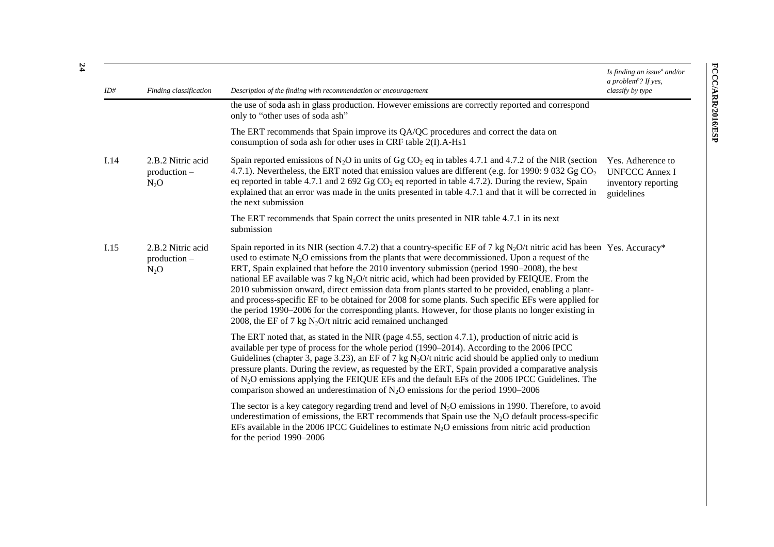|      |                                               |                                                                                                                                                                                                                                                                                                                                                                                                                                                                                                                                                                                                                                                                                                                                                                                                                                | Is finding an issue $^a$ and/or<br>a problem <sup>b</sup> ? If yes,             |
|------|-----------------------------------------------|--------------------------------------------------------------------------------------------------------------------------------------------------------------------------------------------------------------------------------------------------------------------------------------------------------------------------------------------------------------------------------------------------------------------------------------------------------------------------------------------------------------------------------------------------------------------------------------------------------------------------------------------------------------------------------------------------------------------------------------------------------------------------------------------------------------------------------|---------------------------------------------------------------------------------|
| ID#  | Finding classification                        | Description of the finding with recommendation or encouragement<br>the use of soda ash in glass production. However emissions are correctly reported and correspond<br>only to "other uses of soda ash"                                                                                                                                                                                                                                                                                                                                                                                                                                                                                                                                                                                                                        | classify by type                                                                |
|      |                                               | The ERT recommends that Spain improve its QA/QC procedures and correct the data on<br>consumption of soda ash for other uses in CRF table 2(I).A-Hs1                                                                                                                                                                                                                                                                                                                                                                                                                                                                                                                                                                                                                                                                           |                                                                                 |
| I.14 | 2.B.2 Nitric acid<br>production -<br>$N_2O$   | Spain reported emissions of N <sub>2</sub> O in units of Gg CO <sub>2</sub> eq in tables 4.7.1 and 4.7.2 of the NIR (section<br>4.7.1). Nevertheless, the ERT noted that emission values are different (e.g. for 1990: 9 032 Gg $CO2$<br>eq reported in table 4.7.1 and 2 692 Gg $CO2$ eq reported in table 4.7.2). During the review, Spain<br>explained that an error was made in the units presented in table 4.7.1 and that it will be corrected in<br>the next submission                                                                                                                                                                                                                                                                                                                                                 | Yes. Adherence to<br><b>UNFCCC Annex I</b><br>inventory reporting<br>guidelines |
|      |                                               | The ERT recommends that Spain correct the units presented in NIR table 4.7.1 in its next<br>submission                                                                                                                                                                                                                                                                                                                                                                                                                                                                                                                                                                                                                                                                                                                         |                                                                                 |
| I.15 | 2.B.2 Nitric acid<br>$production -$<br>$N_2O$ | Spain reported in its NIR (section 4.7.2) that a country-specific EF of 7 kg N <sub>2</sub> O/t nitric acid has been Yes. Accuracy*<br>used to estimate $N_2O$ emissions from the plants that were decommissioned. Upon a request of the<br>ERT, Spain explained that before the 2010 inventory submission (period 1990–2008), the best<br>national EF available was 7 kg $N_2O/t$ nitric acid, which had been provided by FEIQUE. From the<br>2010 submission onward, direct emission data from plants started to be provided, enabling a plant-<br>and process-specific EF to be obtained for 2008 for some plants. Such specific EFs were applied for<br>the period 1990–2006 for the corresponding plants. However, for those plants no longer existing in<br>2008, the EF of 7 kg $N_2O/t$ nitric acid remained unchanged |                                                                                 |
|      |                                               | The ERT noted that, as stated in the NIR (page 4.55, section 4.7.1), production of nitric acid is<br>available per type of process for the whole period (1990–2014). According to the 2006 IPCC<br>Guidelines (chapter 3, page 3.23), an EF of 7 kg N <sub>2</sub> O/t nitric acid should be applied only to medium<br>pressure plants. During the review, as requested by the ERT, Spain provided a comparative analysis<br>of N <sub>2</sub> O emissions applying the FEIQUE EFs and the default EFs of the 2006 IPCC Guidelines. The<br>comparison showed an underestimation of $N_2O$ emissions for the period 1990–2006                                                                                                                                                                                                   |                                                                                 |
|      |                                               | The sector is a key category regarding trend and level of $N_2O$ emissions in 1990. Therefore, to avoid<br>underestimation of emissions, the ERT recommends that Spain use the $N_2O$ default process-specific<br>EFs available in the 2006 IPCC Guidelines to estimate $N_2O$ emissions from nitric acid production<br>for the period $1990-2006$                                                                                                                                                                                                                                                                                                                                                                                                                                                                             |                                                                                 |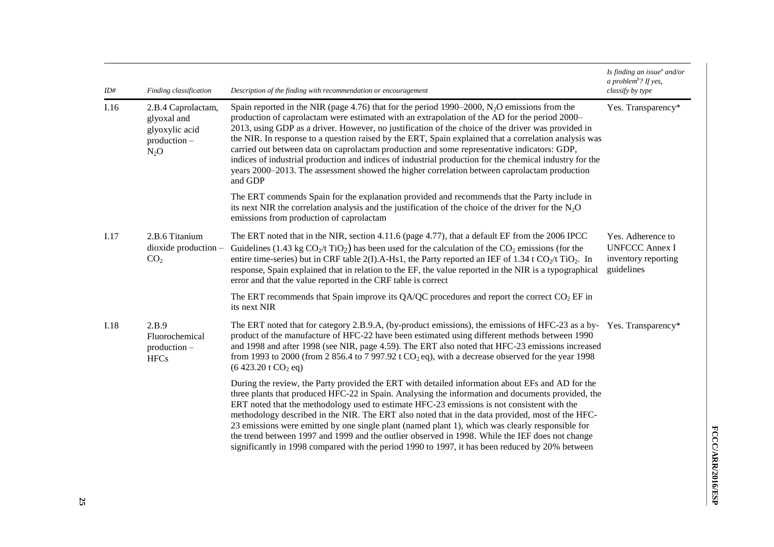| ID#  | Finding classification                                                        | Description of the finding with recommendation or encouragement                                                                                                                                                                                                                                                                                                                                                                                                                                                                                                                                                                                                                                                                     | Is finding an issue <sup>a</sup> and/or<br>a problem <sup>b</sup> ? If yes,<br>classify by type |
|------|-------------------------------------------------------------------------------|-------------------------------------------------------------------------------------------------------------------------------------------------------------------------------------------------------------------------------------------------------------------------------------------------------------------------------------------------------------------------------------------------------------------------------------------------------------------------------------------------------------------------------------------------------------------------------------------------------------------------------------------------------------------------------------------------------------------------------------|-------------------------------------------------------------------------------------------------|
| I.16 | 2.B.4 Caprolactam,<br>glyoxal and<br>glyoxylic acid<br>production -<br>$N_2O$ | Spain reported in the NIR (page 4.76) that for the period 1990–2000, $N_2O$ emissions from the<br>production of caprolactam were estimated with an extrapolation of the AD for the period 2000–<br>2013, using GDP as a driver. However, no justification of the choice of the driver was provided in<br>the NIR. In response to a question raised by the ERT, Spain explained that a correlation analysis was<br>carried out between data on caprolactam production and some representative indicators: GDP,<br>indices of industrial production and indices of industrial production for the chemical industry for the<br>years 2000–2013. The assessment showed the higher correlation between caprolactam production<br>and GDP | Yes. Transparency*                                                                              |
|      |                                                                               | The ERT commends Spain for the explanation provided and recommends that the Party include in<br>its next NIR the correlation analysis and the justification of the choice of the driver for the $N_2O$<br>emissions from production of caprolactam                                                                                                                                                                                                                                                                                                                                                                                                                                                                                  |                                                                                                 |
| I.17 | 2.B.6 Titanium<br>$dioxide$ production $-$<br>CO <sub>2</sub>                 | The ERT noted that in the NIR, section 4.11.6 (page 4.77), that a default EF from the 2006 IPCC<br>Guidelines (1.43 kg $CO_2$ /t TiO <sub>2</sub> ) has been used for the calculation of the $CO_2$ emissions (for the<br>entire time-series) but in CRF table 2(I).A-Hs1, the Party reported an IEF of 1.34 t CO <sub>2</sub> /t TiO <sub>2</sub> . In<br>response, Spain explained that in relation to the EF, the value reported in the NIR is a typographical<br>error and that the value reported in the CRF table is correct                                                                                                                                                                                                  | Yes. Adherence to<br><b>UNFCCC Annex I</b><br>inventory reporting<br>guidelines                 |
|      |                                                                               | The ERT recommends that Spain improve its QA/QC procedures and report the correct $CO2$ EF in<br>its next NIR                                                                                                                                                                                                                                                                                                                                                                                                                                                                                                                                                                                                                       |                                                                                                 |
| I.18 | 2.B.9<br>Fluorochemical<br>$production -$<br><b>HFCs</b>                      | The ERT noted that for category 2.B.9.A, (by-product emissions), the emissions of HFC-23 as a by-Yes. Transparency*<br>product of the manufacture of HFC-22 have been estimated using different methods between 1990<br>and 1998 and after 1998 (see NIR, page 4.59). The ERT also noted that HFC-23 emissions increased<br>from 1993 to 2000 (from 2 856.4 to 7 997.92 t CO <sub>2</sub> eq), with a decrease observed for the year 1998<br>$(6\,423.20\,\mathrm{t}\,CO_2\,\mathrm{eq})$                                                                                                                                                                                                                                           |                                                                                                 |
|      |                                                                               | During the review, the Party provided the ERT with detailed information about EFs and AD for the<br>three plants that produced HFC-22 in Spain. Analysing the information and documents provided, the<br>ERT noted that the methodology used to estimate HFC-23 emissions is not consistent with the<br>methodology described in the NIR. The ERT also noted that in the data provided, most of the HFC-<br>23 emissions were emitted by one single plant (named plant 1), which was clearly responsible for<br>the trend between 1997 and 1999 and the outlier observed in 1998. While the IEF does not change<br>significantly in 1998 compared with the period 1990 to 1997, it has been reduced by 20% between                  |                                                                                                 |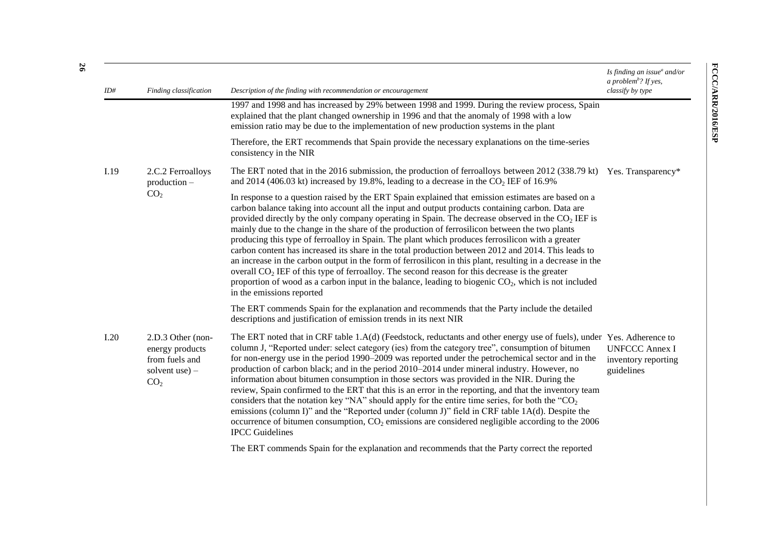| ID#  | Finding classification                                                                         | Description of the finding with recommendation or encouragement                                                                                                                                                                                                                                                                                                                                                                                                                                                                                                                                                                                                                                                                                                                                                                                                                                                                                                                      | Is finding an issue $^a$ and/or<br>a problem <sup>b</sup> ? If yes,<br>classify by type |
|------|------------------------------------------------------------------------------------------------|--------------------------------------------------------------------------------------------------------------------------------------------------------------------------------------------------------------------------------------------------------------------------------------------------------------------------------------------------------------------------------------------------------------------------------------------------------------------------------------------------------------------------------------------------------------------------------------------------------------------------------------------------------------------------------------------------------------------------------------------------------------------------------------------------------------------------------------------------------------------------------------------------------------------------------------------------------------------------------------|-----------------------------------------------------------------------------------------|
|      |                                                                                                | 1997 and 1998 and has increased by 29% between 1998 and 1999. During the review process, Spain<br>explained that the plant changed ownership in 1996 and that the anomaly of 1998 with a low<br>emission ratio may be due to the implementation of new production systems in the plant                                                                                                                                                                                                                                                                                                                                                                                                                                                                                                                                                                                                                                                                                               |                                                                                         |
|      |                                                                                                | Therefore, the ERT recommends that Spain provide the necessary explanations on the time-series<br>consistency in the NIR                                                                                                                                                                                                                                                                                                                                                                                                                                                                                                                                                                                                                                                                                                                                                                                                                                                             |                                                                                         |
| I.19 | 2.C.2 Ferroalloys<br>$production -$<br>CO <sub>2</sub>                                         | The ERT noted that in the 2016 submission, the production of ferroalloys between 2012 (338.79 kt) Yes. Transparency*<br>and 2014 (406.03 kt) increased by 19.8%, leading to a decrease in the $CO2 IEF$ of 16.9%                                                                                                                                                                                                                                                                                                                                                                                                                                                                                                                                                                                                                                                                                                                                                                     |                                                                                         |
|      |                                                                                                | In response to a question raised by the ERT Spain explained that emission estimates are based on a<br>carbon balance taking into account all the input and output products containing carbon. Data are<br>provided directly by the only company operating in Spain. The decrease observed in the $CO2 IEF$ is<br>mainly due to the change in the share of the production of ferrosilicon between the two plants<br>producing this type of ferroalloy in Spain. The plant which produces ferrosilicon with a greater<br>carbon content has increased its share in the total production between 2012 and 2014. This leads to<br>an increase in the carbon output in the form of ferrosilicon in this plant, resulting in a decrease in the<br>overall $CO2 IEF$ of this type of ferroalloy. The second reason for this decrease is the greater<br>proportion of wood as a carbon input in the balance, leading to biogenic $CO_2$ , which is not included<br>in the emissions reported |                                                                                         |
|      |                                                                                                | The ERT commends Spain for the explanation and recommends that the Party include the detailed<br>descriptions and justification of emission trends in its next NIR                                                                                                                                                                                                                                                                                                                                                                                                                                                                                                                                                                                                                                                                                                                                                                                                                   |                                                                                         |
| I.20 | 2.D.3 Other (non-<br>energy products<br>from fuels and<br>solvent use $)$ –<br>CO <sub>2</sub> | The ERT noted that in CRF table 1.A(d) (Feedstock, reductants and other energy use of fuels), under Yes. Adherence to<br>column J, "Reported under: select category (ies) from the category tree", consumption of bitumen<br>for non-energy use in the period 1990–2009 was reported under the petrochemical sector and in the<br>production of carbon black; and in the period 2010–2014 under mineral industry. However, no<br>information about bitumen consumption in those sectors was provided in the NIR. During the<br>review, Spain confirmed to the ERT that this is an error in the reporting, and that the inventory team<br>considers that the notation key "NA" should apply for the entire time series, for both the " $CO2$<br>emissions (column I)" and the "Reported under (column J)" field in CRF table 1A(d). Despite the<br>occurrence of bitumen consumption, $CO2$ emissions are considered negligible according to the 2006<br><b>IPCC</b> Guidelines       | <b>UNFCCC Annex I</b><br>inventory reporting<br>guidelines                              |
|      |                                                                                                | The ERT commends Spain for the explanation and recommends that the Party correct the reported                                                                                                                                                                                                                                                                                                                                                                                                                                                                                                                                                                                                                                                                                                                                                                                                                                                                                        |                                                                                         |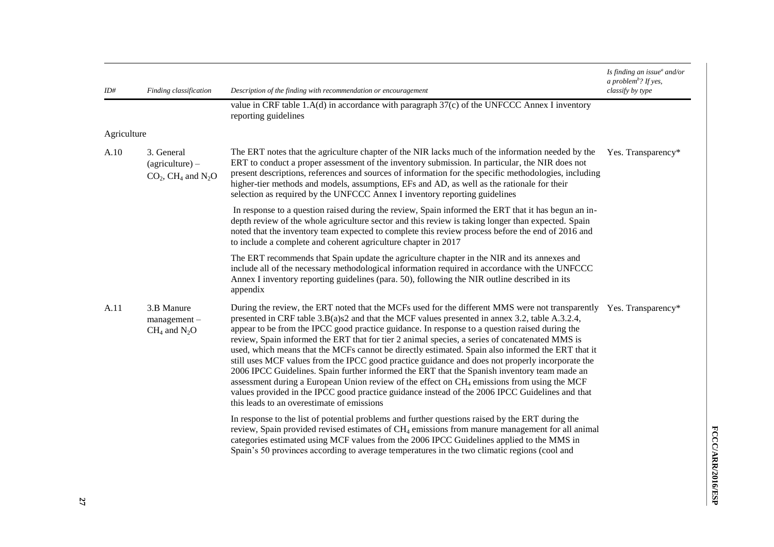| ID#         | Finding classification                                                          | Description of the finding with recommendation or encouragement                                                                                                                                                                                                                                                                                                                                                                                                                                                                                                                                                                                                                                                                                                                                                                                                                                                                                                                                | Is finding an issue $^a$ and/or<br>a problem <sup>b</sup> ? If yes,<br>classify by type |
|-------------|---------------------------------------------------------------------------------|------------------------------------------------------------------------------------------------------------------------------------------------------------------------------------------------------------------------------------------------------------------------------------------------------------------------------------------------------------------------------------------------------------------------------------------------------------------------------------------------------------------------------------------------------------------------------------------------------------------------------------------------------------------------------------------------------------------------------------------------------------------------------------------------------------------------------------------------------------------------------------------------------------------------------------------------------------------------------------------------|-----------------------------------------------------------------------------------------|
|             |                                                                                 | value in CRF table 1.A(d) in accordance with paragraph $37(c)$ of the UNFCCC Annex I inventory<br>reporting guidelines                                                                                                                                                                                                                                                                                                                                                                                                                                                                                                                                                                                                                                                                                                                                                                                                                                                                         |                                                                                         |
| Agriculture |                                                                                 |                                                                                                                                                                                                                                                                                                                                                                                                                                                                                                                                                                                                                                                                                                                                                                                                                                                                                                                                                                                                |                                                                                         |
| A.10        | 3. General<br>$(agriculture)$ –<br>$CO2$ , CH <sub>4</sub> and N <sub>2</sub> O | The ERT notes that the agriculture chapter of the NIR lacks much of the information needed by the<br>ERT to conduct a proper assessment of the inventory submission. In particular, the NIR does not<br>present descriptions, references and sources of information for the specific methodologies, including<br>higher-tier methods and models, assumptions, EFs and AD, as well as the rationale for their<br>selection as required by the UNFCCC Annex I inventory reporting guidelines                                                                                                                                                                                                                                                                                                                                                                                                                                                                                                     | Yes. Transparency*                                                                      |
|             |                                                                                 | In response to a question raised during the review, Spain informed the ERT that it has begun an in-<br>depth review of the whole agriculture sector and this review is taking longer than expected. Spain<br>noted that the inventory team expected to complete this review process before the end of 2016 and<br>to include a complete and coherent agriculture chapter in 2017                                                                                                                                                                                                                                                                                                                                                                                                                                                                                                                                                                                                               |                                                                                         |
|             |                                                                                 | The ERT recommends that Spain update the agriculture chapter in the NIR and its annexes and<br>include all of the necessary methodological information required in accordance with the UNFCCC<br>Annex I inventory reporting guidelines (para. 50), following the NIR outline described in its<br>appendix                                                                                                                                                                                                                                                                                                                                                                                                                                                                                                                                                                                                                                                                                     |                                                                                         |
| A.11        | 3.B Manure<br>$management -$<br>$CH_4$ and $N_2O$                               | During the review, the ERT noted that the MCFs used for the different MMS were not transparently Yes. Transparency*<br>presented in CRF table 3.B(a)s2 and that the MCF values presented in annex 3.2, table A.3.2.4,<br>appear to be from the IPCC good practice guidance. In response to a question raised during the<br>review, Spain informed the ERT that for tier 2 animal species, a series of concatenated MMS is<br>used, which means that the MCFs cannot be directly estimated. Spain also informed the ERT that it<br>still uses MCF values from the IPCC good practice guidance and does not properly incorporate the<br>2006 IPCC Guidelines. Spain further informed the ERT that the Spanish inventory team made an<br>assessment during a European Union review of the effect on CH <sub>4</sub> emissions from using the MCF<br>values provided in the IPCC good practice guidance instead of the 2006 IPCC Guidelines and that<br>this leads to an overestimate of emissions |                                                                                         |
|             |                                                                                 | In response to the list of potential problems and further questions raised by the ERT during the<br>review, Spain provided revised estimates of CH <sub>4</sub> emissions from manure management for all animal<br>categories estimated using MCF values from the 2006 IPCC Guidelines applied to the MMS in<br>Spain's 50 provinces according to average temperatures in the two climatic regions (cool and                                                                                                                                                                                                                                                                                                                                                                                                                                                                                                                                                                                   |                                                                                         |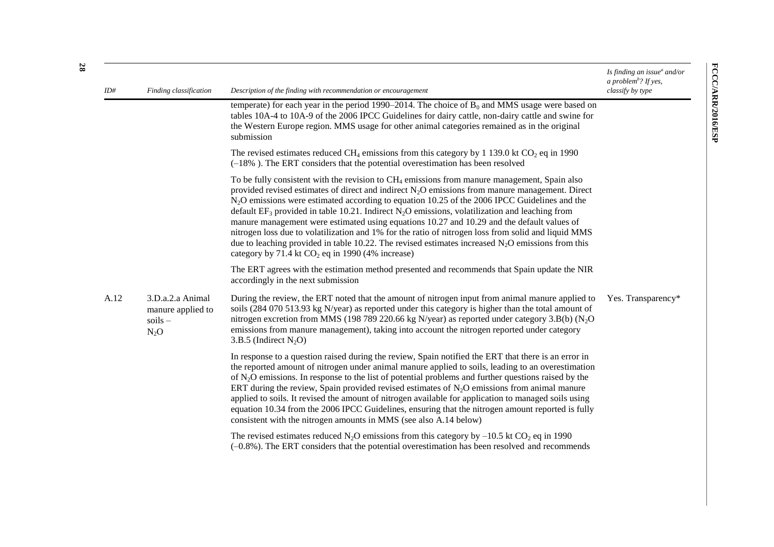| ID#  | Finding classification                                       | Description of the finding with recommendation or encouragement                                                                                                                                                                                                                                                                                                                                                                                                                                                                                                                                                                                                                                                                                                                          | Is finding an issue $^a$ and/or<br>a problem <sup>b</sup> ? If yes,<br>classify by type |
|------|--------------------------------------------------------------|------------------------------------------------------------------------------------------------------------------------------------------------------------------------------------------------------------------------------------------------------------------------------------------------------------------------------------------------------------------------------------------------------------------------------------------------------------------------------------------------------------------------------------------------------------------------------------------------------------------------------------------------------------------------------------------------------------------------------------------------------------------------------------------|-----------------------------------------------------------------------------------------|
|      |                                                              | temperate) for each year in the period 1990–2014. The choice of $B_0$ and MMS usage were based on<br>tables 10A-4 to 10A-9 of the 2006 IPCC Guidelines for dairy cattle, non-dairy cattle and swine for<br>the Western Europe region. MMS usage for other animal categories remained as in the original<br>submission                                                                                                                                                                                                                                                                                                                                                                                                                                                                    |                                                                                         |
|      |                                                              | The revised estimates reduced CH <sub>4</sub> emissions from this category by 1 139.0 kt CO <sub>2</sub> eq in 1990<br>$(-18\%)$ . The ERT considers that the potential overestimation has been resolved                                                                                                                                                                                                                                                                                                                                                                                                                                                                                                                                                                                 |                                                                                         |
|      |                                                              | To be fully consistent with the revision to $CH4$ emissions from manure management, Spain also<br>provided revised estimates of direct and indirect $N_2O$ emissions from manure management. Direct<br>$N2O$ emissions were estimated according to equation 10.25 of the 2006 IPCC Guidelines and the<br>default $EF_3$ provided in table 10.21. Indirect N <sub>2</sub> O emissions, volatilization and leaching from<br>manure management were estimated using equations 10.27 and 10.29 and the default values of<br>nitrogen loss due to volatilization and 1% for the ratio of nitrogen loss from solid and liquid MMS<br>due to leaching provided in table 10.22. The revised estimates increased $N_2O$ emissions from this<br>category by 71.4 kt $CO2$ eq in 1990 (4% increase) |                                                                                         |
|      |                                                              | The ERT agrees with the estimation method presented and recommends that Spain update the NIR<br>accordingly in the next submission                                                                                                                                                                                                                                                                                                                                                                                                                                                                                                                                                                                                                                                       |                                                                                         |
| A.12 | 3.D.a.2.a Animal<br>manure applied to<br>$soids -$<br>$N_2O$ | During the review, the ERT noted that the amount of nitrogen input from animal manure applied to<br>soils (284 070 513.93 kg N/year) as reported under this category is higher than the total amount of<br>nitrogen excretion from MMS (198 789 220.66 kg N/year) as reported under category 3.B(b) (N <sub>2</sub> O<br>emissions from manure management), taking into account the nitrogen reported under category<br>3.B.5 (Indirect $N_2O$ )                                                                                                                                                                                                                                                                                                                                         | Yes. Transparency*                                                                      |
|      |                                                              | In response to a question raised during the review, Spain notified the ERT that there is an error in<br>the reported amount of nitrogen under animal manure applied to soils, leading to an overestimation<br>of $N_2O$ emissions. In response to the list of potential problems and further questions raised by the<br>ERT during the review, Spain provided revised estimates of $N_2O$ emissions from animal manure<br>applied to soils. It revised the amount of nitrogen available for application to managed soils using<br>equation 10.34 from the 2006 IPCC Guidelines, ensuring that the nitrogen amount reported is fully<br>consistent with the nitrogen amounts in MMS (see also A.14 below)                                                                                 |                                                                                         |
|      |                                                              | The revised estimates reduced N <sub>2</sub> O emissions from this category by $-10.5$ kt CO <sub>2</sub> eq in 1990<br>$(-0.8\%)$ . The ERT considers that the potential overestimation has been resolved and recommends                                                                                                                                                                                                                                                                                                                                                                                                                                                                                                                                                                |                                                                                         |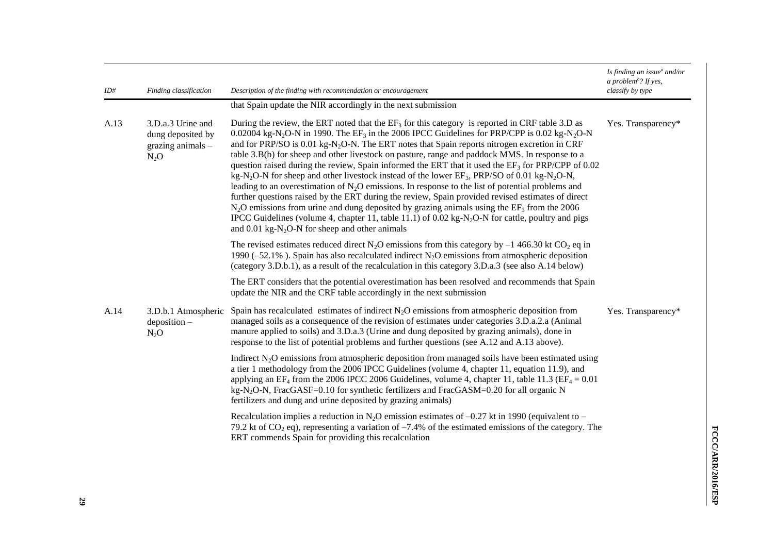| ID#  | Finding classification                                                | Description of the finding with recommendation or encouragement                                                                                                                                                                                                                                                                                                                                                                                                                                                                                                                                                                                                                                                                                                                                                                                                                                                                                                                                                                                                                                                                                                                                       | Is finding an issue $^a$ and/or<br>a problem <sup>b</sup> ? If yes,<br>classify by type |
|------|-----------------------------------------------------------------------|-------------------------------------------------------------------------------------------------------------------------------------------------------------------------------------------------------------------------------------------------------------------------------------------------------------------------------------------------------------------------------------------------------------------------------------------------------------------------------------------------------------------------------------------------------------------------------------------------------------------------------------------------------------------------------------------------------------------------------------------------------------------------------------------------------------------------------------------------------------------------------------------------------------------------------------------------------------------------------------------------------------------------------------------------------------------------------------------------------------------------------------------------------------------------------------------------------|-----------------------------------------------------------------------------------------|
|      |                                                                       | that Spain update the NIR accordingly in the next submission                                                                                                                                                                                                                                                                                                                                                                                                                                                                                                                                                                                                                                                                                                                                                                                                                                                                                                                                                                                                                                                                                                                                          |                                                                                         |
| A.13 | 3.D.a.3 Urine and<br>dung deposited by<br>grazing animals -<br>$N_2O$ | During the review, the ERT noted that the $EF_3$ for this category is reported in CRF table 3.D as<br>0.02004 kg-N <sub>2</sub> O-N in 1990. The EF <sub>3</sub> in the 2006 IPCC Guidelines for PRP/CPP is 0.02 kg-N <sub>2</sub> O-N<br>and for PRP/SO is 0.01 kg-N <sub>2</sub> O-N. The ERT notes that Spain reports nitrogen excretion in CRF<br>table 3.B(b) for sheep and other livestock on pasture, range and paddock MMS. In response to a<br>question raised during the review, Spain informed the ERT that it used the $EF_3$ for PRP/CPP of 0.02<br>kg-N <sub>2</sub> O-N for sheep and other livestock instead of the lower EF <sub>3</sub> , PRP/SO of 0.01 kg-N <sub>2</sub> O-N,<br>leading to an overestimation of $N_2O$ emissions. In response to the list of potential problems and<br>further questions raised by the ERT during the review, Spain provided revised estimates of direct<br>$N_2O$ emissions from urine and dung deposited by grazing animals using the $EF_3$ from the 2006<br>IPCC Guidelines (volume 4, chapter 11, table 11.1) of 0.02 kg-N <sub>2</sub> O-N for cattle, poultry and pigs<br>and $0.01 \text{ kg-N}_2\text{O-N}$ for sheep and other animals | Yes. Transparency*                                                                      |
|      |                                                                       | The revised estimates reduced direct N <sub>2</sub> O emissions from this category by $-1$ 466.30 kt CO <sub>2</sub> eq in<br>1990 (-52.1%). Spain has also recalculated indirect $N_2O$ emissions from atmospheric deposition<br>(category 3.D.b.1), as a result of the recalculation in this category 3.D.a.3 (see also A.14 below)                                                                                                                                                                                                                                                                                                                                                                                                                                                                                                                                                                                                                                                                                                                                                                                                                                                                 |                                                                                         |
|      |                                                                       | The ERT considers that the potential overestimation has been resolved and recommends that Spain<br>update the NIR and the CRF table accordingly in the next submission                                                                                                                                                                                                                                                                                                                                                                                                                                                                                                                                                                                                                                                                                                                                                                                                                                                                                                                                                                                                                                |                                                                                         |
| A.14 | 3.D.b.1 Atmospheric<br>deposition-<br>$N_2O$                          | Spain has recalculated estimates of indirect $N_2O$ emissions from atmospheric deposition from<br>managed soils as a consequence of the revision of estimates under categories 3.D.a.2.a (Animal<br>manure applied to soils) and 3.D.a.3 (Urine and dung deposited by grazing animals), done in<br>response to the list of potential problems and further questions (see A.12 and A.13 above).                                                                                                                                                                                                                                                                                                                                                                                                                                                                                                                                                                                                                                                                                                                                                                                                        | Yes. Transparency*                                                                      |
|      |                                                                       | Indirect $N_2O$ emissions from atmospheric deposition from managed soils have been estimated using<br>a tier 1 methodology from the 2006 IPCC Guidelines (volume 4, chapter 11, equation 11.9), and<br>applying an EF <sub>4</sub> from the 2006 IPCC 2006 Guidelines, volume 4, chapter 11, table 11.3 (EF <sub>4</sub> = 0.01)<br>$kg-N2O-N$ , FracGASF=0.10 for synthetic fertilizers and FracGASM=0.20 for all organic N<br>fertilizers and dung and urine deposited by grazing animals)                                                                                                                                                                                                                                                                                                                                                                                                                                                                                                                                                                                                                                                                                                          |                                                                                         |
|      |                                                                       | Recalculation implies a reduction in N <sub>2</sub> O emission estimates of $-0.27$ kt in 1990 (equivalent to –<br>79.2 kt of $CO_2$ eq), representing a variation of -7.4% of the estimated emissions of the category. The<br>ERT commends Spain for providing this recalculation                                                                                                                                                                                                                                                                                                                                                                                                                                                                                                                                                                                                                                                                                                                                                                                                                                                                                                                    |                                                                                         |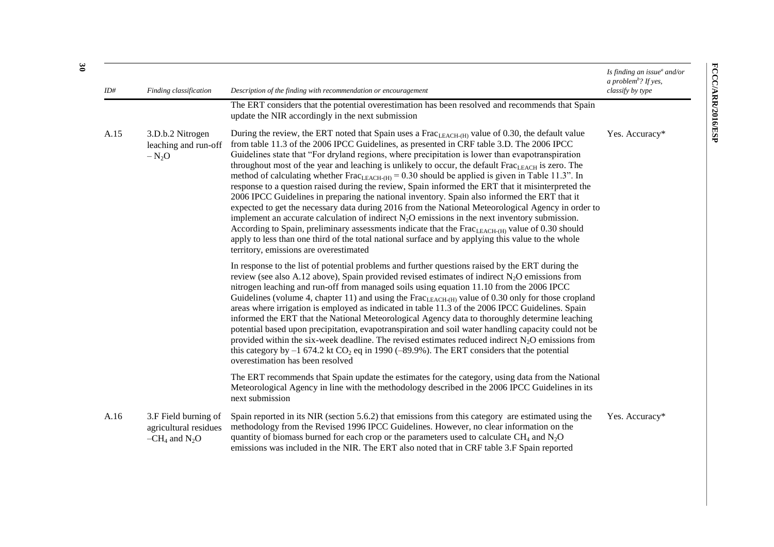| ID#  | Finding classification                                              | Description of the finding with recommendation or encouragement                                                                                                                                                                                                                                                                                                                                                                                                                                                                                                                                                                                                                                                                                                                                                                                                                                                                                                                                                                                                                                                                                                                                                    | Is finding an issue $^a$ and/or<br>a problem <sup>b</sup> ? If yes,<br>classify by type |
|------|---------------------------------------------------------------------|--------------------------------------------------------------------------------------------------------------------------------------------------------------------------------------------------------------------------------------------------------------------------------------------------------------------------------------------------------------------------------------------------------------------------------------------------------------------------------------------------------------------------------------------------------------------------------------------------------------------------------------------------------------------------------------------------------------------------------------------------------------------------------------------------------------------------------------------------------------------------------------------------------------------------------------------------------------------------------------------------------------------------------------------------------------------------------------------------------------------------------------------------------------------------------------------------------------------|-----------------------------------------------------------------------------------------|
|      |                                                                     | The ERT considers that the potential overestimation has been resolved and recommends that Spain<br>update the NIR accordingly in the next submission                                                                                                                                                                                                                                                                                                                                                                                                                                                                                                                                                                                                                                                                                                                                                                                                                                                                                                                                                                                                                                                               |                                                                                         |
| A.15 | 3.D.b.2 Nitrogen<br>leaching and run-off<br>$-N_2O$                 | During the review, the ERT noted that Spain uses a Frac $_{LEACH-(H)}$ value of 0.30, the default value<br>from table 11.3 of the 2006 IPCC Guidelines, as presented in CRF table 3.D. The 2006 IPCC<br>Guidelines state that "For dryland regions, where precipitation is lower than evapotranspiration<br>throughout most of the year and leaching is unlikely to occur, the default Frac <sub>LEACH</sub> is zero. The<br>method of calculating whether Frac <sub>LEACH-(H)</sub> = 0.30 should be applied is given in Table 11.3". In<br>response to a question raised during the review, Spain informed the ERT that it misinterpreted the<br>2006 IPCC Guidelines in preparing the national inventory. Spain also informed the ERT that it<br>expected to get the necessary data during 2016 from the National Meteorological Agency in order to<br>implement an accurate calculation of indirect $N_2O$ emissions in the next inventory submission.<br>According to Spain, preliminary assessments indicate that the $Frac_{LEACH(H)}$ value of 0.30 should<br>apply to less than one third of the total national surface and by applying this value to the whole<br>territory, emissions are overestimated | Yes. Accuracy*                                                                          |
|      |                                                                     | In response to the list of potential problems and further questions raised by the ERT during the<br>review (see also A.12 above), Spain provided revised estimates of indirect $N_2O$ emissions from<br>nitrogen leaching and run-off from managed soils using equation 11.10 from the 2006 IPCC<br>Guidelines (volume 4, chapter 11) and using the $Frac_{LEACH(H)}$ value of 0.30 only for those cropland<br>areas where irrigation is employed as indicated in table 11.3 of the 2006 IPCC Guidelines. Spain<br>informed the ERT that the National Meteorological Agency data to thoroughly determine leaching<br>potential based upon precipitation, evapotranspiration and soil water handling capacity could not be<br>provided within the six-week deadline. The revised estimates reduced indirect $N_2O$ emissions from<br>this category by $-1$ 674.2 kt CO <sub>2</sub> eq in 1990 (-89.9%). The ERT considers that the potential<br>overestimation has been resolved                                                                                                                                                                                                                                   |                                                                                         |
|      |                                                                     | The ERT recommends that Spain update the estimates for the category, using data from the National<br>Meteorological Agency in line with the methodology described in the 2006 IPCC Guidelines in its<br>next submission                                                                                                                                                                                                                                                                                                                                                                                                                                                                                                                                                                                                                                                                                                                                                                                                                                                                                                                                                                                            |                                                                                         |
| A.16 | 3.F Field burning of<br>agricultural residues<br>$-CH_4$ and $N_2O$ | Spain reported in its NIR (section 5.6.2) that emissions from this category are estimated using the<br>methodology from the Revised 1996 IPCC Guidelines. However, no clear information on the<br>quantity of biomass burned for each crop or the parameters used to calculate $CH_4$ and $N_2O$<br>emissions was included in the NIR. The ERT also noted that in CRF table 3.F Spain reported                                                                                                                                                                                                                                                                                                                                                                                                                                                                                                                                                                                                                                                                                                                                                                                                                     | Yes. Accuracy*                                                                          |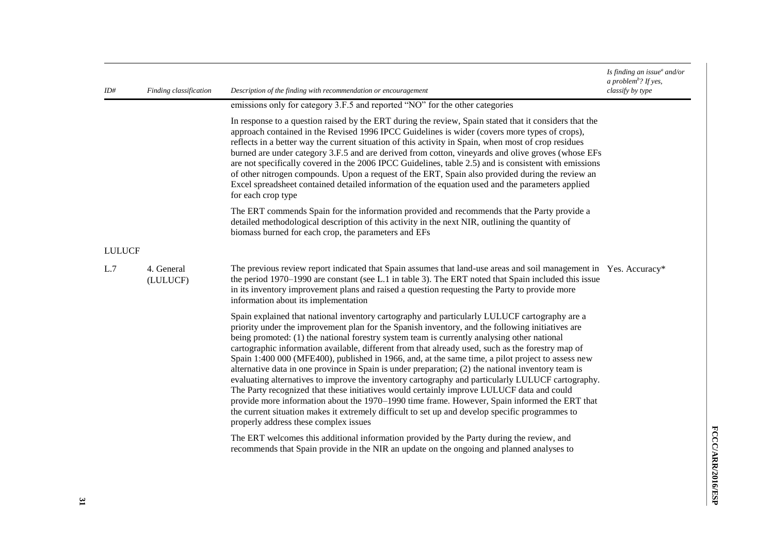| ID#           | Finding classification | Description of the finding with recommendation or encouragement                                                                                                                                                                                                                                                                                                                                                                                                                                                                                                                                                                                                                                                                                                                                                                                                                                                                                                                                                                                                                                                                                              | Is finding an issue $^a$ and/or<br>a problem <sup>b</sup> ? If yes,<br>classify by type |
|---------------|------------------------|--------------------------------------------------------------------------------------------------------------------------------------------------------------------------------------------------------------------------------------------------------------------------------------------------------------------------------------------------------------------------------------------------------------------------------------------------------------------------------------------------------------------------------------------------------------------------------------------------------------------------------------------------------------------------------------------------------------------------------------------------------------------------------------------------------------------------------------------------------------------------------------------------------------------------------------------------------------------------------------------------------------------------------------------------------------------------------------------------------------------------------------------------------------|-----------------------------------------------------------------------------------------|
|               |                        | emissions only for category 3.F.5 and reported "NO" for the other categories                                                                                                                                                                                                                                                                                                                                                                                                                                                                                                                                                                                                                                                                                                                                                                                                                                                                                                                                                                                                                                                                                 |                                                                                         |
|               |                        | In response to a question raised by the ERT during the review, Spain stated that it considers that the<br>approach contained in the Revised 1996 IPCC Guidelines is wider (covers more types of crops),<br>reflects in a better way the current situation of this activity in Spain, when most of crop residues<br>burned are under category 3.F.5 and are derived from cotton, vineyards and olive groves (whose EFs<br>are not specifically covered in the 2006 IPCC Guidelines, table 2.5) and is consistent with emissions<br>of other nitrogen compounds. Upon a request of the ERT, Spain also provided during the review an<br>Excel spreadsheet contained detailed information of the equation used and the parameters applied<br>for each crop type                                                                                                                                                                                                                                                                                                                                                                                                 |                                                                                         |
|               |                        | The ERT commends Spain for the information provided and recommends that the Party provide a<br>detailed methodological description of this activity in the next NIR, outlining the quantity of<br>biomass burned for each crop, the parameters and EFs                                                                                                                                                                                                                                                                                                                                                                                                                                                                                                                                                                                                                                                                                                                                                                                                                                                                                                       |                                                                                         |
| <b>LULUCF</b> |                        |                                                                                                                                                                                                                                                                                                                                                                                                                                                                                                                                                                                                                                                                                                                                                                                                                                                                                                                                                                                                                                                                                                                                                              |                                                                                         |
| L.7           | 4. General<br>(LULUCF) | The previous review report indicated that Spain assumes that land-use areas and soil management in Yes. Accuracy*<br>the period 1970–1990 are constant (see L.1 in table 3). The ERT noted that Spain included this issue<br>in its inventory improvement plans and raised a question requesting the Party to provide more<br>information about its implementation                                                                                                                                                                                                                                                                                                                                                                                                                                                                                                                                                                                                                                                                                                                                                                                           |                                                                                         |
|               |                        | Spain explained that national inventory cartography and particularly LULUCF cartography are a<br>priority under the improvement plan for the Spanish inventory, and the following initiatives are<br>being promoted: (1) the national forestry system team is currently analysing other national<br>cartographic information available, different from that already used, such as the forestry map of<br>Spain 1:400 000 (MFE400), published in 1966, and, at the same time, a pilot project to assess new<br>alternative data in one province in Spain is under preparation; (2) the national inventory team is<br>evaluating alternatives to improve the inventory cartography and particularly LULUCF cartography.<br>The Party recognized that these initiatives would certainly improve LULUCF data and could<br>provide more information about the 1970–1990 time frame. However, Spain informed the ERT that<br>the current situation makes it extremely difficult to set up and develop specific programmes to<br>properly address these complex issues<br>The ERT welcomes this additional information provided by the Party during the review, and |                                                                                         |
|               |                        | recommends that Spain provide in the NIR an update on the ongoing and planned analyses to                                                                                                                                                                                                                                                                                                                                                                                                                                                                                                                                                                                                                                                                                                                                                                                                                                                                                                                                                                                                                                                                    |                                                                                         |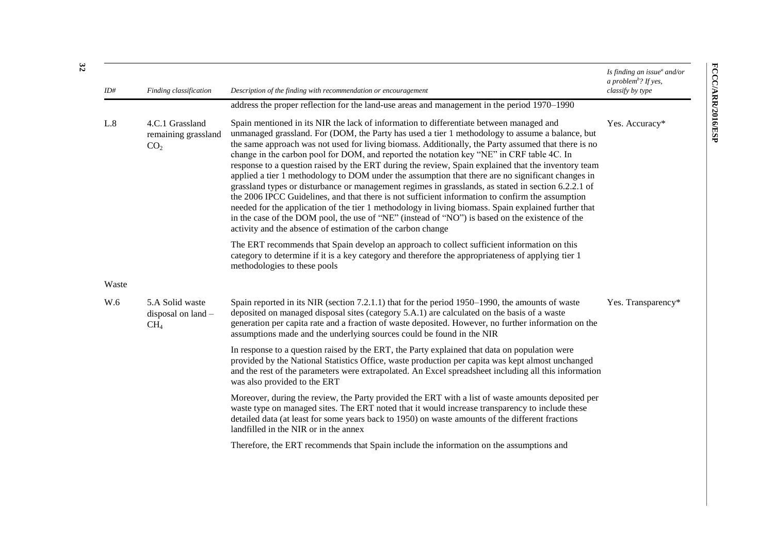| ID#   | Finding classification                                    | Description of the finding with recommendation or encouragement                                                                                                                                                                                                                                                                                                                                                                                                                                                                                                                                                                                                                                                                                                                                                                                                                                                                                                                                                                                                                                 | Is finding an issue $^a$ and/or<br>a problem <sup>b</sup> ? If yes,<br>classify by type |
|-------|-----------------------------------------------------------|-------------------------------------------------------------------------------------------------------------------------------------------------------------------------------------------------------------------------------------------------------------------------------------------------------------------------------------------------------------------------------------------------------------------------------------------------------------------------------------------------------------------------------------------------------------------------------------------------------------------------------------------------------------------------------------------------------------------------------------------------------------------------------------------------------------------------------------------------------------------------------------------------------------------------------------------------------------------------------------------------------------------------------------------------------------------------------------------------|-----------------------------------------------------------------------------------------|
|       |                                                           | address the proper reflection for the land-use areas and management in the period 1970–1990                                                                                                                                                                                                                                                                                                                                                                                                                                                                                                                                                                                                                                                                                                                                                                                                                                                                                                                                                                                                     |                                                                                         |
| L.8   | 4.C.1 Grassland<br>remaining grassland<br>CO <sub>2</sub> | Spain mentioned in its NIR the lack of information to differentiate between managed and<br>unmanaged grassland. For (DOM, the Party has used a tier 1 methodology to assume a balance, but<br>the same approach was not used for living biomass. Additionally, the Party assumed that there is no<br>change in the carbon pool for DOM, and reported the notation key "NE" in CRF table 4C. In<br>response to a question raised by the ERT during the review, Spain explained that the inventory team<br>applied a tier 1 methodology to DOM under the assumption that there are no significant changes in<br>grassland types or disturbance or management regimes in grasslands, as stated in section 6.2.2.1 of<br>the 2006 IPCC Guidelines, and that there is not sufficient information to confirm the assumption<br>needed for the application of the tier 1 methodology in living biomass. Spain explained further that<br>in the case of the DOM pool, the use of "NE" (instead of "NO") is based on the existence of the<br>activity and the absence of estimation of the carbon change | Yes. Accuracy*                                                                          |
|       |                                                           | The ERT recommends that Spain develop an approach to collect sufficient information on this<br>category to determine if it is a key category and therefore the appropriateness of applying tier 1<br>methodologies to these pools                                                                                                                                                                                                                                                                                                                                                                                                                                                                                                                                                                                                                                                                                                                                                                                                                                                               |                                                                                         |
| Waste |                                                           |                                                                                                                                                                                                                                                                                                                                                                                                                                                                                                                                                                                                                                                                                                                                                                                                                                                                                                                                                                                                                                                                                                 |                                                                                         |
| W.6   | 5.A Solid waste<br>disposal on land -<br>CH <sub>4</sub>  | Spain reported in its NIR (section 7.2.1.1) that for the period 1950–1990, the amounts of waste<br>deposited on managed disposal sites (category 5.A.1) are calculated on the basis of a waste<br>generation per capita rate and a fraction of waste deposited. However, no further information on the<br>assumptions made and the underlying sources could be found in the NIR                                                                                                                                                                                                                                                                                                                                                                                                                                                                                                                                                                                                                                                                                                                 | Yes. Transparency*                                                                      |
|       |                                                           | In response to a question raised by the ERT, the Party explained that data on population were<br>provided by the National Statistics Office, waste production per capita was kept almost unchanged<br>and the rest of the parameters were extrapolated. An Excel spreadsheet including all this information<br>was also provided to the ERT                                                                                                                                                                                                                                                                                                                                                                                                                                                                                                                                                                                                                                                                                                                                                     |                                                                                         |
|       |                                                           | Moreover, during the review, the Party provided the ERT with a list of waste amounts deposited per<br>waste type on managed sites. The ERT noted that it would increase transparency to include these<br>detailed data (at least for some years back to 1950) on waste amounts of the different fractions<br>landfilled in the NIR or in the annex                                                                                                                                                                                                                                                                                                                                                                                                                                                                                                                                                                                                                                                                                                                                              |                                                                                         |
|       |                                                           | Therefore, the ERT recommends that Spain include the information on the assumptions and                                                                                                                                                                                                                                                                                                                                                                                                                                                                                                                                                                                                                                                                                                                                                                                                                                                                                                                                                                                                         |                                                                                         |

FCCC/ARN2016/ESP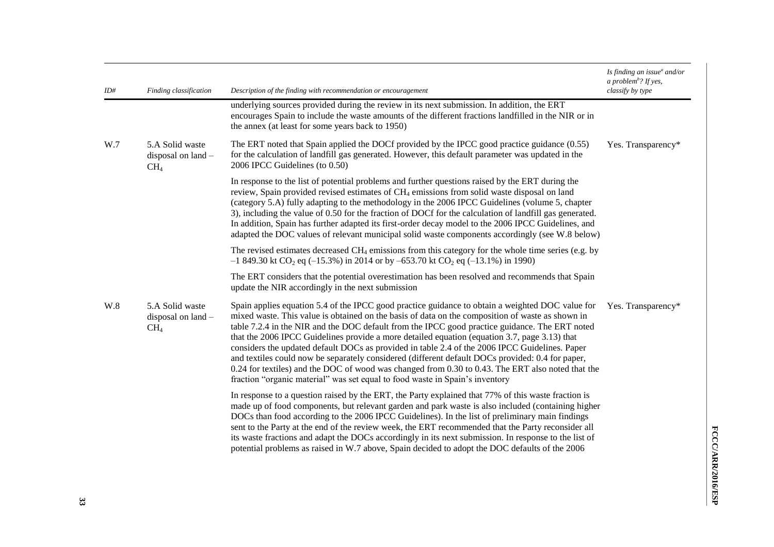| ID# | Finding classification                                   | Description of the finding with recommendation or encouragement                                                                                                                                                                                                                                                                                                                                                                                                                                                                                                                                                                                                                                                                                                                                    | Is finding an issue <sup>a</sup> and/or<br>a problem <sup>b</sup> ? If yes,<br>classify by type |
|-----|----------------------------------------------------------|----------------------------------------------------------------------------------------------------------------------------------------------------------------------------------------------------------------------------------------------------------------------------------------------------------------------------------------------------------------------------------------------------------------------------------------------------------------------------------------------------------------------------------------------------------------------------------------------------------------------------------------------------------------------------------------------------------------------------------------------------------------------------------------------------|-------------------------------------------------------------------------------------------------|
|     |                                                          | underlying sources provided during the review in its next submission. In addition, the ERT<br>encourages Spain to include the waste amounts of the different fractions landfilled in the NIR or in<br>the annex (at least for some years back to 1950)                                                                                                                                                                                                                                                                                                                                                                                                                                                                                                                                             |                                                                                                 |
| W.7 | 5.A Solid waste<br>disposal on land -<br>CH <sub>4</sub> | The ERT noted that Spain applied the DOCf provided by the IPCC good practice guidance (0.55)<br>for the calculation of landfill gas generated. However, this default parameter was updated in the<br>2006 IPCC Guidelines (to 0.50)                                                                                                                                                                                                                                                                                                                                                                                                                                                                                                                                                                | Yes. Transparency*                                                                              |
|     |                                                          | In response to the list of potential problems and further questions raised by the ERT during the<br>review, Spain provided revised estimates of CH <sub>4</sub> emissions from solid waste disposal on land<br>(category 5.A) fully adapting to the methodology in the 2006 IPCC Guidelines (volume 5, chapter<br>3), including the value of 0.50 for the fraction of DOCf for the calculation of landfill gas generated.<br>In addition, Spain has further adapted its first-order decay model to the 2006 IPCC Guidelines, and<br>adapted the DOC values of relevant municipal solid waste components accordingly (see W.8 below)                                                                                                                                                                |                                                                                                 |
|     |                                                          | The revised estimates decreased $CH_4$ emissions from this category for the whole time series (e.g. by<br>$-1849.30$ kt CO <sub>2</sub> eq ( $-15.3\%$ ) in 2014 or by $-653.70$ kt CO <sub>2</sub> eq ( $-13.1\%$ ) in 1990)                                                                                                                                                                                                                                                                                                                                                                                                                                                                                                                                                                      |                                                                                                 |
|     |                                                          | The ERT considers that the potential overestimation has been resolved and recommends that Spain<br>update the NIR accordingly in the next submission                                                                                                                                                                                                                                                                                                                                                                                                                                                                                                                                                                                                                                               |                                                                                                 |
| W.8 | 5.A Solid waste<br>disposal on land -<br>CH <sub>4</sub> | Spain applies equation 5.4 of the IPCC good practice guidance to obtain a weighted DOC value for<br>mixed waste. This value is obtained on the basis of data on the composition of waste as shown in<br>table 7.2.4 in the NIR and the DOC default from the IPCC good practice guidance. The ERT noted<br>that the 2006 IPCC Guidelines provide a more detailed equation (equation 3.7, page 3.13) that<br>considers the updated default DOCs as provided in table 2.4 of the 2006 IPCC Guidelines. Paper<br>and textiles could now be separately considered (different default DOCs provided: 0.4 for paper,<br>0.24 for textiles) and the DOC of wood was changed from 0.30 to 0.43. The ERT also noted that the<br>fraction "organic material" was set equal to food waste in Spain's inventory | Yes. Transparency*                                                                              |
|     |                                                          | In response to a question raised by the ERT, the Party explained that 77% of this waste fraction is<br>made up of food components, but relevant garden and park waste is also included (containing higher<br>DOCs than food according to the 2006 IPCC Guidelines). In the list of preliminary main findings<br>sent to the Party at the end of the review week, the ERT recommended that the Party reconsider all<br>its waste fractions and adapt the DOCs accordingly in its next submission. In response to the list of<br>potential problems as raised in W.7 above, Spain decided to adopt the DOC defaults of the 2006                                                                                                                                                                      |                                                                                                 |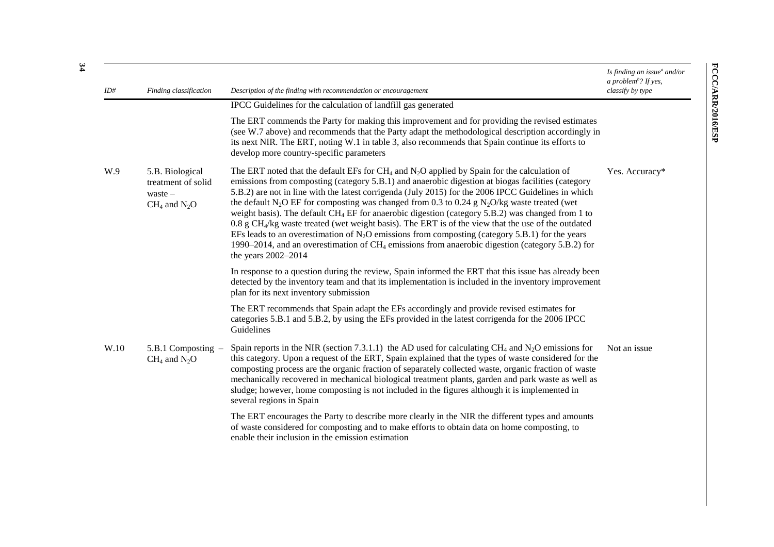| ID#  | Finding classification                                                  | Description of the finding with recommendation or encouragement                                                                                                                                                                                                                                                                                                                                                                                                                                                                                                                                                                                                                                                                                                                                                                                                                                              | Is finding an issue $^a$ and/or<br>a problem <sup>b</sup> ? If yes,<br>classify by type |
|------|-------------------------------------------------------------------------|--------------------------------------------------------------------------------------------------------------------------------------------------------------------------------------------------------------------------------------------------------------------------------------------------------------------------------------------------------------------------------------------------------------------------------------------------------------------------------------------------------------------------------------------------------------------------------------------------------------------------------------------------------------------------------------------------------------------------------------------------------------------------------------------------------------------------------------------------------------------------------------------------------------|-----------------------------------------------------------------------------------------|
|      |                                                                         | IPCC Guidelines for the calculation of landfill gas generated                                                                                                                                                                                                                                                                                                                                                                                                                                                                                                                                                                                                                                                                                                                                                                                                                                                |                                                                                         |
|      |                                                                         | The ERT commends the Party for making this improvement and for providing the revised estimates<br>(see W.7 above) and recommends that the Party adapt the methodological description accordingly in<br>its next NIR. The ERT, noting W.1 in table 3, also recommends that Spain continue its efforts to<br>develop more country-specific parameters                                                                                                                                                                                                                                                                                                                                                                                                                                                                                                                                                          |                                                                                         |
| W.9  | 5.B. Biological<br>treatment of solid<br>waste $-$<br>$CH_4$ and $N_2O$ | The ERT noted that the default EFs for CH <sub>4</sub> and $N_2O$ applied by Spain for the calculation of<br>emissions from composting (category 5.B.1) and anaerobic digestion at biogas facilities (category<br>5.B.2) are not in line with the latest corrigenda (July 2015) for the 2006 IPCC Guidelines in which<br>the default N <sub>2</sub> O EF for composting was changed from 0.3 to 0.24 g N <sub>2</sub> O/kg waste treated (wet<br>weight basis). The default CH <sub>4</sub> EF for anaerobic digestion (category $5.B.2$ ) was changed from 1 to<br>0.8 g $CH_4$ /kg waste treated (wet weight basis). The ERT is of the view that the use of the outdated<br>EFs leads to an overestimation of $N_2O$ emissions from composting (category 5.B.1) for the years<br>1990–2014, and an overestimation of $CH_4$ emissions from anaerobic digestion (category 5.B.2) for<br>the years 2002-2014 | Yes. Accuracy*                                                                          |
|      |                                                                         | In response to a question during the review, Spain informed the ERT that this issue has already been<br>detected by the inventory team and that its implementation is included in the inventory improvement<br>plan for its next inventory submission                                                                                                                                                                                                                                                                                                                                                                                                                                                                                                                                                                                                                                                        |                                                                                         |
|      |                                                                         | The ERT recommends that Spain adapt the EFs accordingly and provide revised estimates for<br>categories 5.B.1 and 5.B.2, by using the EFs provided in the latest corrigenda for the 2006 IPCC<br>Guidelines                                                                                                                                                                                                                                                                                                                                                                                                                                                                                                                                                                                                                                                                                                  |                                                                                         |
| W.10 | 5.B.1 Composting -<br>$CH_4$ and $N_2O$                                 | Spain reports in the NIR (section 7.3.1.1) the AD used for calculating CH <sub>4</sub> and N <sub>2</sub> O emissions for<br>this category. Upon a request of the ERT, Spain explained that the types of waste considered for the<br>composting process are the organic fraction of separately collected waste, organic fraction of waste<br>mechanically recovered in mechanical biological treatment plants, garden and park waste as well as<br>sludge; however, home composting is not included in the figures although it is implemented in<br>several regions in Spain                                                                                                                                                                                                                                                                                                                                 | Not an issue                                                                            |
|      |                                                                         | The ERT encourages the Party to describe more clearly in the NIR the different types and amounts<br>of waste considered for composting and to make efforts to obtain data on home composting, to<br>enable their inclusion in the emission estimation                                                                                                                                                                                                                                                                                                                                                                                                                                                                                                                                                                                                                                                        |                                                                                         |

FCCC/ARR/2016/ESP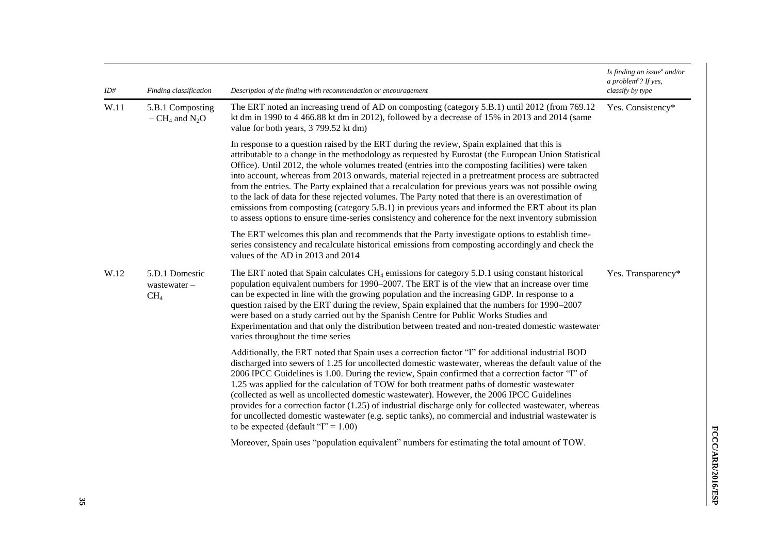| ID#  | Finding classification                                                                                                                                                                                                                                                                                                                                                                                                                                                                                                                                                                                                                                                                                                                                                                                                                    | Description of the finding with recommendation or encouragement                                                                                                                                                                                                                                                                                                                                                                                                                                                                                                                                                                                                                                                                                                       | Is finding an issue $^a$ and/or<br>a problem <sup>b</sup> ? If yes,<br>classify by type |  |
|------|-------------------------------------------------------------------------------------------------------------------------------------------------------------------------------------------------------------------------------------------------------------------------------------------------------------------------------------------------------------------------------------------------------------------------------------------------------------------------------------------------------------------------------------------------------------------------------------------------------------------------------------------------------------------------------------------------------------------------------------------------------------------------------------------------------------------------------------------|-----------------------------------------------------------------------------------------------------------------------------------------------------------------------------------------------------------------------------------------------------------------------------------------------------------------------------------------------------------------------------------------------------------------------------------------------------------------------------------------------------------------------------------------------------------------------------------------------------------------------------------------------------------------------------------------------------------------------------------------------------------------------|-----------------------------------------------------------------------------------------|--|
| W.11 | 5.B.1 Composting<br>$-CH_4$ and N <sub>2</sub> O                                                                                                                                                                                                                                                                                                                                                                                                                                                                                                                                                                                                                                                                                                                                                                                          | The ERT noted an increasing trend of AD on composting (category 5.B.1) until 2012 (from 769.12<br>kt dm in 1990 to $4\,466.88$ kt dm in 2012), followed by a decrease of 15% in 2013 and 2014 (same<br>value for both years, 3 799.52 kt dm)                                                                                                                                                                                                                                                                                                                                                                                                                                                                                                                          | Yes. Consistency*                                                                       |  |
|      | In response to a question raised by the ERT during the review, Spain explained that this is<br>attributable to a change in the methodology as requested by Eurostat (the European Union Statistical<br>Office). Until 2012, the whole volumes treated (entries into the composting facilities) were taken<br>into account, whereas from 2013 onwards, material rejected in a pretreatment process are subtracted<br>from the entries. The Party explained that a recalculation for previous years was not possible owing<br>to the lack of data for these rejected volumes. The Party noted that there is an overestimation of<br>emissions from composting (category 5.B.1) in previous years and informed the ERT about its plan<br>to assess options to ensure time-series consistency and coherence for the next inventory submission |                                                                                                                                                                                                                                                                                                                                                                                                                                                                                                                                                                                                                                                                                                                                                                       |                                                                                         |  |
|      |                                                                                                                                                                                                                                                                                                                                                                                                                                                                                                                                                                                                                                                                                                                                                                                                                                           | The ERT welcomes this plan and recommends that the Party investigate options to establish time-<br>series consistency and recalculate historical emissions from composting accordingly and check the<br>values of the AD in 2013 and 2014                                                                                                                                                                                                                                                                                                                                                                                                                                                                                                                             |                                                                                         |  |
| W.12 | 5.D.1 Domestic<br>wastewater-<br>CH <sub>4</sub>                                                                                                                                                                                                                                                                                                                                                                                                                                                                                                                                                                                                                                                                                                                                                                                          | The ERT noted that Spain calculates $CH_4$ emissions for category 5.D.1 using constant historical<br>population equivalent numbers for 1990–2007. The ERT is of the view that an increase over time<br>can be expected in line with the growing population and the increasing GDP. In response to a<br>question raised by the ERT during the review, Spain explained that the numbers for 1990–2007<br>were based on a study carried out by the Spanish Centre for Public Works Studies and<br>Experimentation and that only the distribution between treated and non-treated domestic wastewater<br>varies throughout the time series                                                                                                                                | Yes. Transparency*                                                                      |  |
|      |                                                                                                                                                                                                                                                                                                                                                                                                                                                                                                                                                                                                                                                                                                                                                                                                                                           | Additionally, the ERT noted that Spain uses a correction factor "I" for additional industrial BOD<br>discharged into sewers of 1.25 for uncollected domestic wastewater, whereas the default value of the<br>2006 IPCC Guidelines is 1.00. During the review, Spain confirmed that a correction factor "I" of<br>1.25 was applied for the calculation of TOW for both treatment paths of domestic wastewater<br>(collected as well as uncollected domestic wastewater). However, the 2006 IPCC Guidelines<br>provides for a correction factor (1.25) of industrial discharge only for collected wastewater, whereas<br>for uncollected domestic wastewater (e.g. septic tanks), no commercial and industrial wastewater is<br>to be expected (default " $I$ " = 1.00) |                                                                                         |  |
|      |                                                                                                                                                                                                                                                                                                                                                                                                                                                                                                                                                                                                                                                                                                                                                                                                                                           | Moreover, Spain uses "population equivalent" numbers for estimating the total amount of TOW.                                                                                                                                                                                                                                                                                                                                                                                                                                                                                                                                                                                                                                                                          |                                                                                         |  |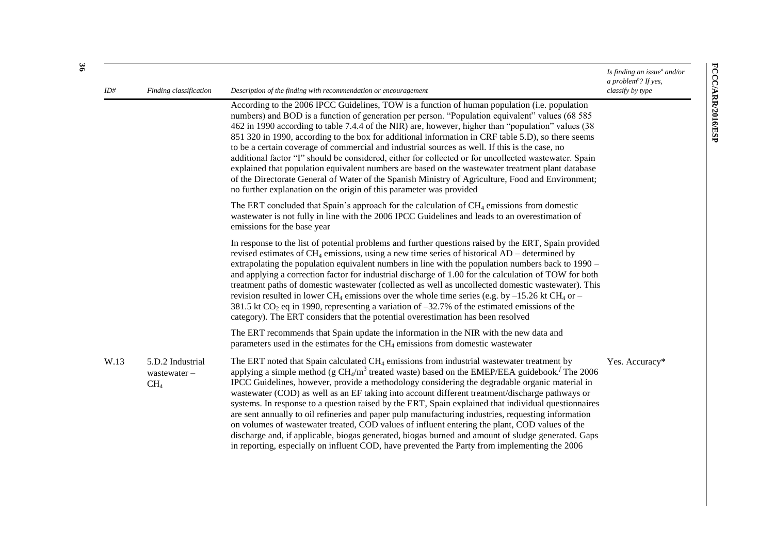| ID#<br>Finding classification |                                                    | Description of the finding with recommendation or encouragement                                                                                                                                                                                                                                                                                                                                                                                                                                                                                                                                                                                                                                                                                                                                                                                                                                                                                                 | Is finding an issue $^a$ and/or<br>a problem <sup>b</sup> ? If yes,<br>classify by type |
|-------------------------------|----------------------------------------------------|-----------------------------------------------------------------------------------------------------------------------------------------------------------------------------------------------------------------------------------------------------------------------------------------------------------------------------------------------------------------------------------------------------------------------------------------------------------------------------------------------------------------------------------------------------------------------------------------------------------------------------------------------------------------------------------------------------------------------------------------------------------------------------------------------------------------------------------------------------------------------------------------------------------------------------------------------------------------|-----------------------------------------------------------------------------------------|
|                               |                                                    | According to the 2006 IPCC Guidelines, TOW is a function of human population (i.e. population<br>numbers) and BOD is a function of generation per person. "Population equivalent" values (68 585<br>462 in 1990 according to table 7.4.4 of the NIR) are, however, higher than "population" values (38<br>851 320 in 1990, according to the box for additional information in CRF table 5.D), so there seems<br>to be a certain coverage of commercial and industrial sources as well. If this is the case, no<br>additional factor "I" should be considered, either for collected or for uncollected wastewater. Spain<br>explained that population equivalent numbers are based on the wastewater treatment plant database<br>of the Directorate General of Water of the Spanish Ministry of Agriculture, Food and Environment;<br>no further explanation on the origin of this parameter was provided                                                        |                                                                                         |
|                               |                                                    | The ERT concluded that Spain's approach for the calculation of $CH_4$ emissions from domestic<br>wastewater is not fully in line with the 2006 IPCC Guidelines and leads to an overestimation of<br>emissions for the base year                                                                                                                                                                                                                                                                                                                                                                                                                                                                                                                                                                                                                                                                                                                                 |                                                                                         |
|                               |                                                    | In response to the list of potential problems and further questions raised by the ERT, Spain provided<br>revised estimates of $CH_4$ emissions, using a new time series of historical AD – determined by<br>extrapolating the population equivalent numbers in line with the population numbers back to 1990 –<br>and applying a correction factor for industrial discharge of 1.00 for the calculation of TOW for both<br>treatment paths of domestic wastewater (collected as well as uncollected domestic wastewater). This<br>revision resulted in lower CH <sub>4</sub> emissions over the whole time series (e.g. by $-15.26$ kt CH <sub>4</sub> or $-$<br>381.5 kt $CO_2$ eq in 1990, representing a variation of -32.7% of the estimated emissions of the<br>category). The ERT considers that the potential overestimation has been resolved                                                                                                           |                                                                                         |
|                               |                                                    | The ERT recommends that Spain update the information in the NIR with the new data and<br>parameters used in the estimates for the $CH4$ emissions from domestic wastewater                                                                                                                                                                                                                                                                                                                                                                                                                                                                                                                                                                                                                                                                                                                                                                                      |                                                                                         |
| W.13                          | 5.D.2 Industrial<br>wastewater-<br>CH <sub>4</sub> | The ERT noted that Spain calculated CH <sub>4</sub> emissions from industrial wastewater treatment by<br>applying a simple method (g $CH_4/m^3$ treated waste) based on the EMEP/EEA guidebook. <sup><math>f</math></sup> The 2006<br>IPCC Guidelines, however, provide a methodology considering the degradable organic material in<br>wastewater (COD) as well as an EF taking into account different treatment/discharge pathways or<br>systems. In response to a question raised by the ERT, Spain explained that individual questionnaires<br>are sent annually to oil refineries and paper pulp manufacturing industries, requesting information<br>on volumes of wastewater treated, COD values of influent entering the plant, COD values of the<br>discharge and, if applicable, biogas generated, biogas burned and amount of sludge generated. Gaps<br>in reporting, especially on influent COD, have prevented the Party from implementing the 2006 | Yes. Accuracy*                                                                          |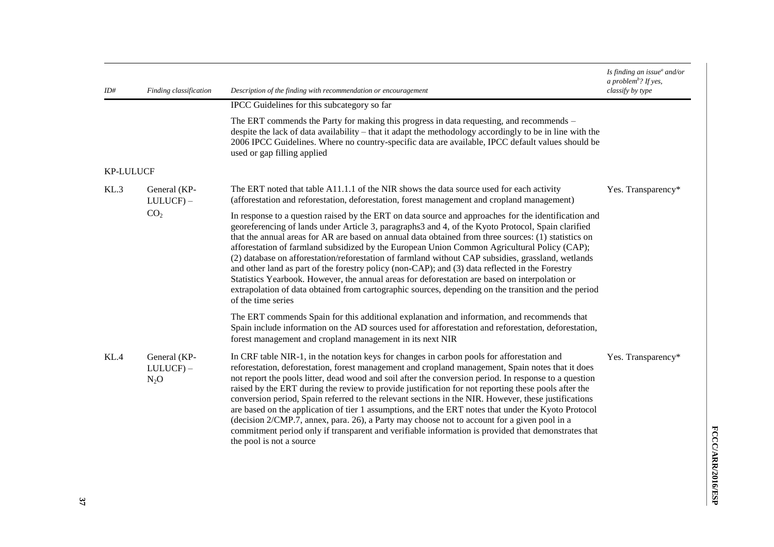| ID#              | Description of the finding with recommendation or encouragement<br>Finding classification |                                                                                                                                                                                                                                                                                                                                                                                                                                                                                                                                                                                                                                                                                                                                                                                                                                                                     | Is finding an issue $^a$ and/or<br>a problem <sup>b</sup> ? If yes,<br>classify by type |
|------------------|-------------------------------------------------------------------------------------------|---------------------------------------------------------------------------------------------------------------------------------------------------------------------------------------------------------------------------------------------------------------------------------------------------------------------------------------------------------------------------------------------------------------------------------------------------------------------------------------------------------------------------------------------------------------------------------------------------------------------------------------------------------------------------------------------------------------------------------------------------------------------------------------------------------------------------------------------------------------------|-----------------------------------------------------------------------------------------|
|                  |                                                                                           | IPCC Guidelines for this subcategory so far                                                                                                                                                                                                                                                                                                                                                                                                                                                                                                                                                                                                                                                                                                                                                                                                                         |                                                                                         |
|                  |                                                                                           | The ERT commends the Party for making this progress in data requesting, and recommends –<br>despite the lack of data availability – that it adapt the methodology accordingly to be in line with the<br>2006 IPCC Guidelines. Where no country-specific data are available, IPCC default values should be<br>used or gap filling applied                                                                                                                                                                                                                                                                                                                                                                                                                                                                                                                            |                                                                                         |
| <b>KP-LULUCF</b> |                                                                                           |                                                                                                                                                                                                                                                                                                                                                                                                                                                                                                                                                                                                                                                                                                                                                                                                                                                                     |                                                                                         |
| KL.3             | General (KP-<br>$LULUCF$ ) –                                                              | The ERT noted that table A11.1.1 of the NIR shows the data source used for each activity<br>(afforestation and reforestation, deforestation, forest management and cropland management)                                                                                                                                                                                                                                                                                                                                                                                                                                                                                                                                                                                                                                                                             | Yes. Transparency*                                                                      |
|                  | CO <sub>2</sub>                                                                           | In response to a question raised by the ERT on data source and approaches for the identification and<br>georeferencing of lands under Article 3, paragraphs3 and 4, of the Kyoto Protocol, Spain clarified<br>that the annual areas for AR are based on annual data obtained from three sources: (1) statistics on<br>afforestation of farmland subsidized by the European Union Common Agricultural Policy (CAP);<br>(2) database on afforestation/reforestation of farmland without CAP subsidies, grassland, wetlands<br>and other land as part of the forestry policy (non-CAP); and (3) data reflected in the Forestry<br>Statistics Yearbook. However, the annual areas for deforestation are based on interpolation or<br>extrapolation of data obtained from cartographic sources, depending on the transition and the period<br>of the time series         |                                                                                         |
|                  |                                                                                           | The ERT commends Spain for this additional explanation and information, and recommends that<br>Spain include information on the AD sources used for afforestation and reforestation, deforestation,<br>forest management and cropland management in its next NIR                                                                                                                                                                                                                                                                                                                                                                                                                                                                                                                                                                                                    |                                                                                         |
| KL.4             | General (KP-<br>$LULUCF$ ) –<br>$N_2O$                                                    | In CRF table NIR-1, in the notation keys for changes in carbon pools for afforestation and<br>reforestation, deforestation, forest management and cropland management, Spain notes that it does<br>not report the pools litter, dead wood and soil after the conversion period. In response to a question<br>raised by the ERT during the review to provide justification for not reporting these pools after the<br>conversion period, Spain referred to the relevant sections in the NIR. However, these justifications<br>are based on the application of tier 1 assumptions, and the ERT notes that under the Kyoto Protocol<br>(decision 2/CMP.7, annex, para. 26), a Party may choose not to account for a given pool in a<br>commitment period only if transparent and verifiable information is provided that demonstrates that<br>the pool is not a source | Yes. Transparency*                                                                      |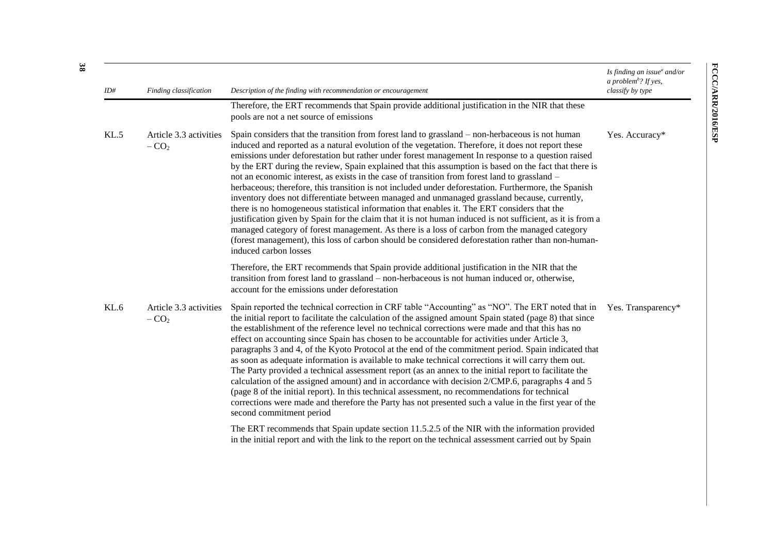| ID#<br>Finding classification<br>Description of the finding with recommendation or encouragement |                                  |                                                                                                                                                                                                                                                                                                                                                                                                                                                                                                                                                                                                                                                                                                                                                                                                                                                                                                                                                                                                                                                                                                                                                                           | Is finding an issue <sup>a</sup> and/or<br>a problem <sup>b</sup> ? If yes,<br>classify by type |  |
|--------------------------------------------------------------------------------------------------|----------------------------------|---------------------------------------------------------------------------------------------------------------------------------------------------------------------------------------------------------------------------------------------------------------------------------------------------------------------------------------------------------------------------------------------------------------------------------------------------------------------------------------------------------------------------------------------------------------------------------------------------------------------------------------------------------------------------------------------------------------------------------------------------------------------------------------------------------------------------------------------------------------------------------------------------------------------------------------------------------------------------------------------------------------------------------------------------------------------------------------------------------------------------------------------------------------------------|-------------------------------------------------------------------------------------------------|--|
|                                                                                                  |                                  | Therefore, the ERT recommends that Spain provide additional justification in the NIR that these<br>pools are not a net source of emissions                                                                                                                                                                                                                                                                                                                                                                                                                                                                                                                                                                                                                                                                                                                                                                                                                                                                                                                                                                                                                                |                                                                                                 |  |
| KL.5                                                                                             | Article 3.3 activities<br>$-CO2$ | Spain considers that the transition from forest land to grassland – non-herbaceous is not human<br>induced and reported as a natural evolution of the vegetation. Therefore, it does not report these<br>emissions under deforestation but rather under forest management In response to a question raised<br>by the ERT during the review, Spain explained that this assumption is based on the fact that there is<br>not an economic interest, as exists in the case of transition from forest land to grassland –<br>herbaceous; therefore, this transition is not included under deforestation. Furthermore, the Spanish<br>inventory does not differentiate between managed and unmanaged grassland because, currently,<br>there is no homogeneous statistical information that enables it. The ERT considers that the<br>justification given by Spain for the claim that it is not human induced is not sufficient, as it is from a<br>managed category of forest management. As there is a loss of carbon from the managed category<br>(forest management), this loss of carbon should be considered deforestation rather than non-human-<br>induced carbon losses | Yes. Accuracy*                                                                                  |  |
|                                                                                                  |                                  | Therefore, the ERT recommends that Spain provide additional justification in the NIR that the<br>transition from forest land to grassland – non-herbaceous is not human induced or, otherwise,<br>account for the emissions under deforestation                                                                                                                                                                                                                                                                                                                                                                                                                                                                                                                                                                                                                                                                                                                                                                                                                                                                                                                           |                                                                                                 |  |
| KL.6                                                                                             | Article 3.3 activities<br>$-CO2$ | Spain reported the technical correction in CRF table "Accounting" as "NO". The ERT noted that in<br>the initial report to facilitate the calculation of the assigned amount Spain stated (page 8) that since<br>the establishment of the reference level no technical corrections were made and that this has no<br>effect on accounting since Spain has chosen to be accountable for activities under Article 3,<br>paragraphs 3 and 4, of the Kyoto Protocol at the end of the commitment period. Spain indicated that<br>as soon as adequate information is available to make technical corrections it will carry them out.<br>The Party provided a technical assessment report (as an annex to the initial report to facilitate the<br>calculation of the assigned amount) and in accordance with decision 2/CMP.6, paragraphs 4 and 5<br>(page 8 of the initial report). In this technical assessment, no recommendations for technical<br>corrections were made and therefore the Party has not presented such a value in the first year of the<br>second commitment period                                                                                         | Yes. Transparency*                                                                              |  |
|                                                                                                  |                                  | The ERT recommends that Spain update section 11.5.2.5 of the NIR with the information provided<br>in the initial report and with the link to the report on the technical assessment carried out by Spain                                                                                                                                                                                                                                                                                                                                                                                                                                                                                                                                                                                                                                                                                                                                                                                                                                                                                                                                                                  |                                                                                                 |  |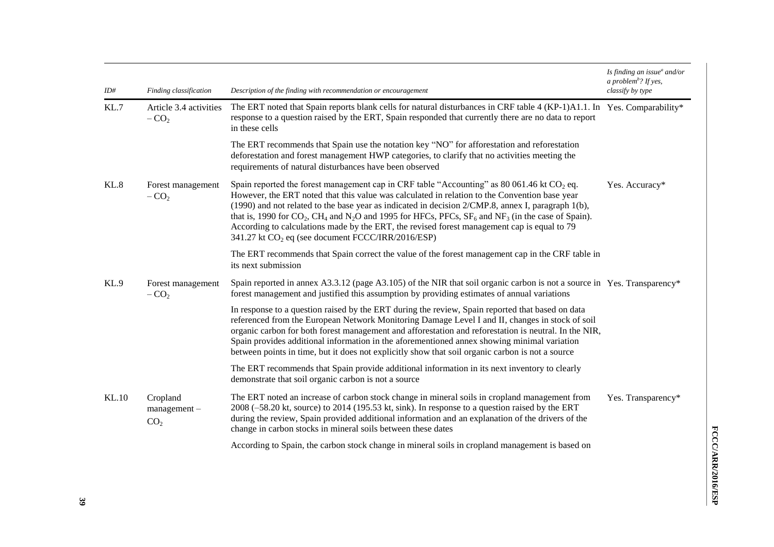| ID#   | Finding classification                        | Description of the finding with recommendation or encouragement                                                                                                                                                                                                                                                                                                                                                                                                                                                                                                                                                             | Is finding an issue $^a$ and/or<br>a problem <sup>b</sup> ? If yes,<br>classify by type |
|-------|-----------------------------------------------|-----------------------------------------------------------------------------------------------------------------------------------------------------------------------------------------------------------------------------------------------------------------------------------------------------------------------------------------------------------------------------------------------------------------------------------------------------------------------------------------------------------------------------------------------------------------------------------------------------------------------------|-----------------------------------------------------------------------------------------|
| KL.7  | Article 3.4 activities<br>$-CO2$              | The ERT noted that Spain reports blank cells for natural disturbances in CRF table 4 (KP-1)A1.1. In Yes. Comparability*<br>response to a question raised by the ERT, Spain responded that currently there are no data to report<br>in these cells                                                                                                                                                                                                                                                                                                                                                                           |                                                                                         |
|       |                                               | The ERT recommends that Spain use the notation key "NO" for afforestation and reforestation<br>deforestation and forest management HWP categories, to clarify that no activities meeting the<br>requirements of natural disturbances have been observed                                                                                                                                                                                                                                                                                                                                                                     |                                                                                         |
| KL.8  | Forest management<br>$-CO2$                   | Spain reported the forest management cap in CRF table "Accounting" as 80 061.46 kt $CO2$ eq.<br>However, the ERT noted that this value was calculated in relation to the Convention base year<br>(1990) and not related to the base year as indicated in decision 2/CMP.8, annex I, paragraph 1(b),<br>that is, 1990 for $CO_2$ , CH <sub>4</sub> and N <sub>2</sub> O and 1995 for HFCs, PFCs, SF <sub>6</sub> and NF <sub>3</sub> (in the case of Spain).<br>According to calculations made by the ERT, the revised forest management cap is equal to 79<br>341.27 kt CO <sub>2</sub> eq (see document FCCC/IRR/2016/ESP) | Yes. Accuracy*                                                                          |
|       |                                               | The ERT recommends that Spain correct the value of the forest management cap in the CRF table in<br>its next submission                                                                                                                                                                                                                                                                                                                                                                                                                                                                                                     |                                                                                         |
| KL.9  | Forest management<br>$-CO2$                   | Spain reported in annex A3.3.12 (page A3.105) of the NIR that soil organic carbon is not a source in Yes. Transparency*<br>forest management and justified this assumption by providing estimates of annual variations                                                                                                                                                                                                                                                                                                                                                                                                      |                                                                                         |
|       |                                               | In response to a question raised by the ERT during the review, Spain reported that based on data<br>referenced from the European Network Monitoring Damage Level I and II, changes in stock of soil<br>organic carbon for both forest management and afforestation and reforestation is neutral. In the NIR,<br>Spain provides additional information in the aforementioned annex showing minimal variation<br>between points in time, but it does not explicitly show that soil organic carbon is not a source                                                                                                             |                                                                                         |
|       |                                               | The ERT recommends that Spain provide additional information in its next inventory to clearly<br>demonstrate that soil organic carbon is not a source                                                                                                                                                                                                                                                                                                                                                                                                                                                                       |                                                                                         |
| KL.10 | Cropland<br>$management -$<br>CO <sub>2</sub> | The ERT noted an increase of carbon stock change in mineral soils in cropland management from<br>2008 (-58.20 kt, source) to 2014 (195.53 kt, sink). In response to a question raised by the ERT<br>during the review, Spain provided additional information and an explanation of the drivers of the<br>change in carbon stocks in mineral soils between these dates                                                                                                                                                                                                                                                       | Yes. Transparency*                                                                      |
|       |                                               | According to Spain, the carbon stock change in mineral soils in cropland management is based on                                                                                                                                                                                                                                                                                                                                                                                                                                                                                                                             |                                                                                         |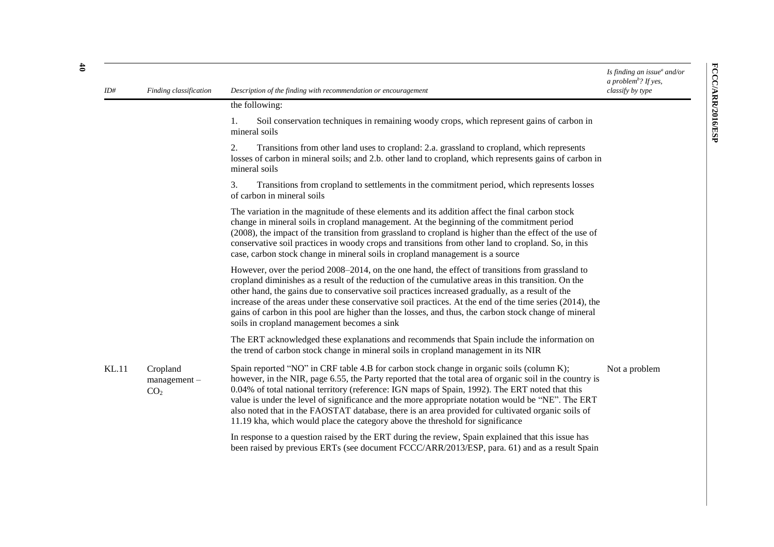| ID#          | Finding classification                        | Description of the finding with recommendation or encouragement                                                                                                                                                                                                                                                                                                                                                                                                                                                                                                                                       | Is finding an issue $^a$ and/or<br>a problem <sup>b</sup> ? If yes,<br>classify by type |
|--------------|-----------------------------------------------|-------------------------------------------------------------------------------------------------------------------------------------------------------------------------------------------------------------------------------------------------------------------------------------------------------------------------------------------------------------------------------------------------------------------------------------------------------------------------------------------------------------------------------------------------------------------------------------------------------|-----------------------------------------------------------------------------------------|
|              |                                               | the following:                                                                                                                                                                                                                                                                                                                                                                                                                                                                                                                                                                                        |                                                                                         |
|              |                                               | Soil conservation techniques in remaining woody crops, which represent gains of carbon in<br>mineral soils                                                                                                                                                                                                                                                                                                                                                                                                                                                                                            |                                                                                         |
|              |                                               | Transitions from other land uses to cropland: 2.a. grassland to cropland, which represents<br>2.<br>losses of carbon in mineral soils; and 2.b. other land to cropland, which represents gains of carbon in<br>mineral soils                                                                                                                                                                                                                                                                                                                                                                          |                                                                                         |
|              |                                               | Transitions from cropland to settlements in the commitment period, which represents losses<br>3.<br>of carbon in mineral soils                                                                                                                                                                                                                                                                                                                                                                                                                                                                        |                                                                                         |
|              |                                               | The variation in the magnitude of these elements and its addition affect the final carbon stock<br>change in mineral soils in cropland management. At the beginning of the commitment period<br>(2008), the impact of the transition from grassland to cropland is higher than the effect of the use of<br>conservative soil practices in woody crops and transitions from other land to cropland. So, in this<br>case, carbon stock change in mineral soils in cropland management is a source                                                                                                       |                                                                                         |
|              |                                               | However, over the period 2008–2014, on the one hand, the effect of transitions from grassland to<br>cropland diminishes as a result of the reduction of the cumulative areas in this transition. On the<br>other hand, the gains due to conservative soil practices increased gradually, as a result of the<br>increase of the areas under these conservative soil practices. At the end of the time series (2014), the<br>gains of carbon in this pool are higher than the losses, and thus, the carbon stock change of mineral<br>soils in cropland management becomes a sink                       |                                                                                         |
|              |                                               | The ERT acknowledged these explanations and recommends that Spain include the information on<br>the trend of carbon stock change in mineral soils in cropland management in its NIR                                                                                                                                                                                                                                                                                                                                                                                                                   |                                                                                         |
| <b>KL.11</b> | Cropland<br>$management -$<br>CO <sub>2</sub> | Spain reported "NO" in CRF table 4.B for carbon stock change in organic soils (column K);<br>however, in the NIR, page 6.55, the Party reported that the total area of organic soil in the country is<br>0.04% of total national territory (reference: IGN maps of Spain, 1992). The ERT noted that this<br>value is under the level of significance and the more appropriate notation would be "NE". The ERT<br>also noted that in the FAOSTAT database, there is an area provided for cultivated organic soils of<br>11.19 kha, which would place the category above the threshold for significance | Not a problem                                                                           |
|              |                                               | In response to a question raised by the ERT during the review, Spain explained that this issue has<br>been raised by previous ERTs (see document FCCC/ARR/2013/ESP, para. 61) and as a result Spain                                                                                                                                                                                                                                                                                                                                                                                                   |                                                                                         |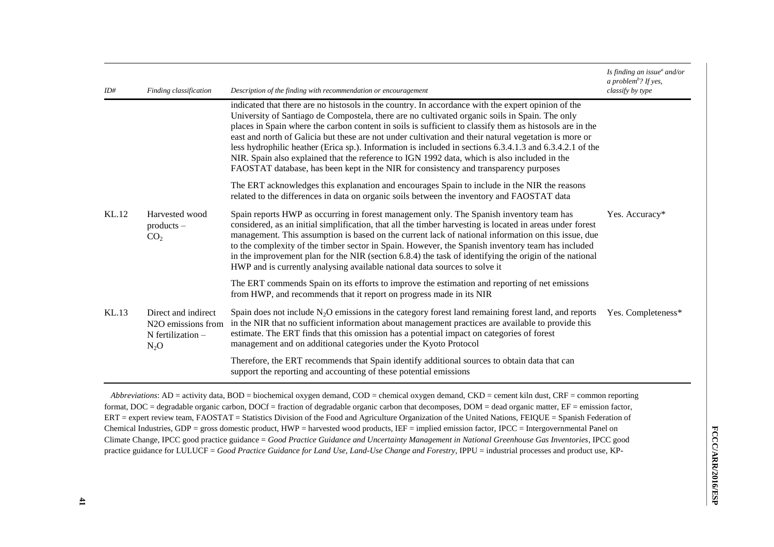| ID#   | Finding classification                                                                    | Description of the finding with recommendation or encouragement                                                                                                                                                                                                                                                                                                                                                                                                                                                                                                                                                                                                                                                               | Is finding an issue <sup>a</sup> and/or<br>a problem <sup>b</sup> ? If yes,<br>classify by type |
|-------|-------------------------------------------------------------------------------------------|-------------------------------------------------------------------------------------------------------------------------------------------------------------------------------------------------------------------------------------------------------------------------------------------------------------------------------------------------------------------------------------------------------------------------------------------------------------------------------------------------------------------------------------------------------------------------------------------------------------------------------------------------------------------------------------------------------------------------------|-------------------------------------------------------------------------------------------------|
|       |                                                                                           | indicated that there are no histosols in the country. In accordance with the expert opinion of the<br>University of Santiago de Compostela, there are no cultivated organic soils in Spain. The only<br>places in Spain where the carbon content in soils is sufficient to classify them as histosols are in the<br>east and north of Galicia but these are not under cultivation and their natural vegetation is more or<br>less hydrophilic heather (Erica sp.). Information is included in sections 6.3.4.1.3 and 6.3.4.2.1 of the<br>NIR. Spain also explained that the reference to IGN 1992 data, which is also included in the<br>FAOSTAT database, has been kept in the NIR for consistency and transparency purposes |                                                                                                 |
|       |                                                                                           | The ERT acknowledges this explanation and encourages Spain to include in the NIR the reasons<br>related to the differences in data on organic soils between the inventory and FAOSTAT data                                                                                                                                                                                                                                                                                                                                                                                                                                                                                                                                    |                                                                                                 |
| KL.12 | Harvested wood<br>$products -$<br>CO <sub>2</sub>                                         | Spain reports HWP as occurring in forest management only. The Spanish inventory team has<br>considered, as an initial simplification, that all the timber harvesting is located in areas under forest<br>management. This assumption is based on the current lack of national information on this issue, due<br>to the complexity of the timber sector in Spain. However, the Spanish inventory team has included<br>in the improvement plan for the NIR (section 6.8.4) the task of identifying the origin of the national<br>HWP and is currently analysing available national data sources to solve it                                                                                                                     | Yes. Accuracy*                                                                                  |
|       |                                                                                           | The ERT commends Spain on its efforts to improve the estimation and reporting of net emissions<br>from HWP, and recommends that it report on progress made in its NIR                                                                                                                                                                                                                                                                                                                                                                                                                                                                                                                                                         |                                                                                                 |
| KL.13 | Direct and indirect<br>N <sub>2</sub> O emissions from<br>$N$ fertilization $-$<br>$N_2O$ | Spain does not include $N_2O$ emissions in the category forest land remaining forest land, and reports<br>in the NIR that no sufficient information about management practices are available to provide this<br>estimate. The ERT finds that this omission has a potential impact on categories of forest<br>management and on additional categories under the Kyoto Protocol                                                                                                                                                                                                                                                                                                                                                 | Yes. Completeness*                                                                              |
|       |                                                                                           | Therefore, the ERT recommends that Spain identify additional sources to obtain data that can<br>support the reporting and accounting of these potential emissions                                                                                                                                                                                                                                                                                                                                                                                                                                                                                                                                                             |                                                                                                 |

*Abbreviations*: AD = activity data, BOD = biochemical oxygen demand, COD = chemical oxygen demand, CKD = cement kiln dust, CRF = common reporting format, DOC = degradable organic carbon, DOCf = fraction of degradable organic carbon that decomposes, DOM = dead organic matter, EF = emission factor, ERT = expert review team, FAOSTAT = Statistics Division of the Food and Agriculture Organization of the United Nations, FEIQUE = Spanish Federation of Chemical Industries, GDP = gross domestic product, HWP = harvested wood products, IEF = implied emission factor, IPCC = Intergovernmental Panel on Climate Change, IPCC good practice guidance = *Good Practice Guidance and Uncertainty Management in National Greenhouse Gas Inventories*, IPCC good practice guidance for LULUCF = *Good Practice Guidance for Land Use, Land-Use Change and Forestry*, IPPU = industrial processes and product use, KP-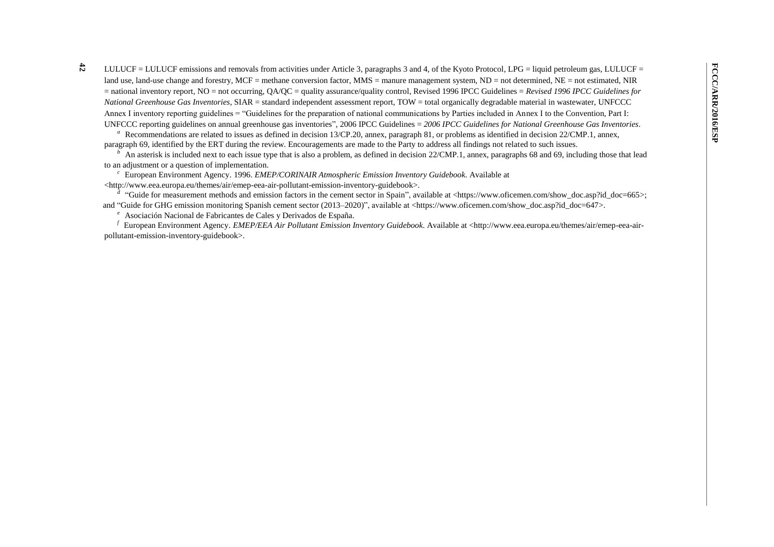**42** LULUCF = LULUCF emissions and removals from activities under Article 3, paragraphs 3 and 4, of the Kyoto Protocol, LPG = liquid petroleum gas, LULUCF = land use, land-use change and forestry, MCF = methane conversion factor, MMS = manure management system, ND = not determined, NE = not estimated, NIR = national inventory report, NO = not occurring, QA/QC = quality assurance/quality control, Revised 1996 IPCC Guidelines = *Revised 1996 IPCC Guidelines for National Greenhouse Gas Inventories*, SIAR = standard independent assessment report, TOW = total organically degradable material in wastewater, UNFCCC Annex I inventory reporting guidelines = "Guidelines for the preparation of national communications by Parties included in Annex I to the Convention, Part I: UNFCCC reporting guidelines on annual greenhouse gas inventories", 2006 IPCC Guidelines = *2006 IPCC Guidelines for National Greenhouse Gas Inventories*.

<sup>a</sup> Recommendations are related to issues as defined in decision 13/CP.20, annex, paragraph 81, or problems as identified in decision 22/CMP.1, annex, paragraph 69, identified by the ERT during the review. Encouragements are made to the Party to address all findings not related to such issues.

An asterisk is included next to each issue type that is also a problem, as defined in decision 22/CMP.1, annex, paragraphs 68 and 69, including those that lead to an adjustment or a question of implementation.

*<sup>c</sup>*European Environment Agency. 1996. *EMEP/CORINAIR Atmospheric Emission Inventory Guidebook*. Available at

<http://www.eea.europa.eu/themes/air/emep-eea-air-pollutant-emission-inventory-guidebook>.

*<sup>d</sup>*"Guide for measurement methods and emission factors in the cement sector in Spain", available at <https://www.oficemen.com/show\_doc.asp?id\_doc=665>; and "Guide for GHG emission monitoring Spanish cement sector (2013–2020)", available at <https://www.oficemen.com/show\_doc.asp?id\_doc=647>.

<sup>e</sup> Asociación Nacional de Fabricantes de Cales y Derivados de España.

*<sup>f</sup>*European Environment Agency. *EMEP/EEA Air Pollutant Emission Inventory Guidebook*. Available at <http://www.eea.europa.eu/themes/air/emep-eea-airpollutant-emission-inventory-guidebook>.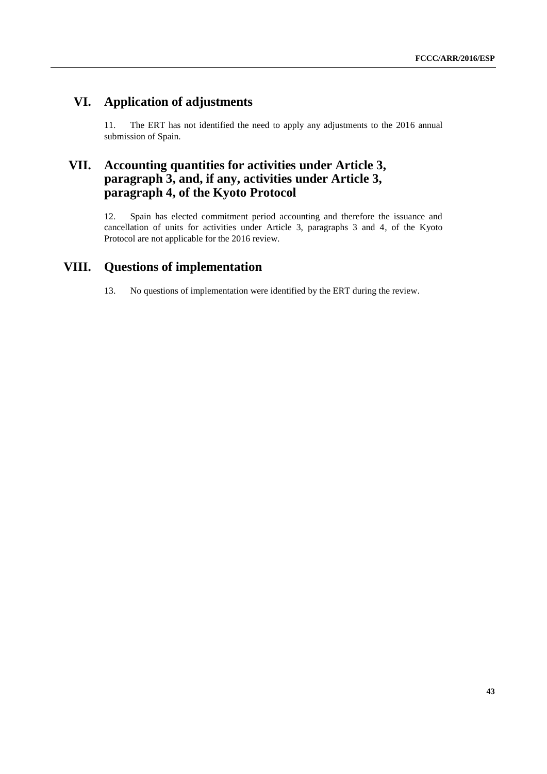# **VI. Application of adjustments**

11. The ERT has not identified the need to apply any adjustments to the 2016 annual submission of Spain.

## **VII. Accounting quantities for activities under Article 3, paragraph 3, and, if any, activities under Article 3, paragraph 4, of the Kyoto Protocol**

12. Spain has elected commitment period accounting and therefore the issuance and cancellation of units for activities under Article 3, paragraphs 3 and 4, of the Kyoto Protocol are not applicable for the 2016 review.

## **VIII. Questions of implementation**

13. No questions of implementation were identified by the ERT during the review.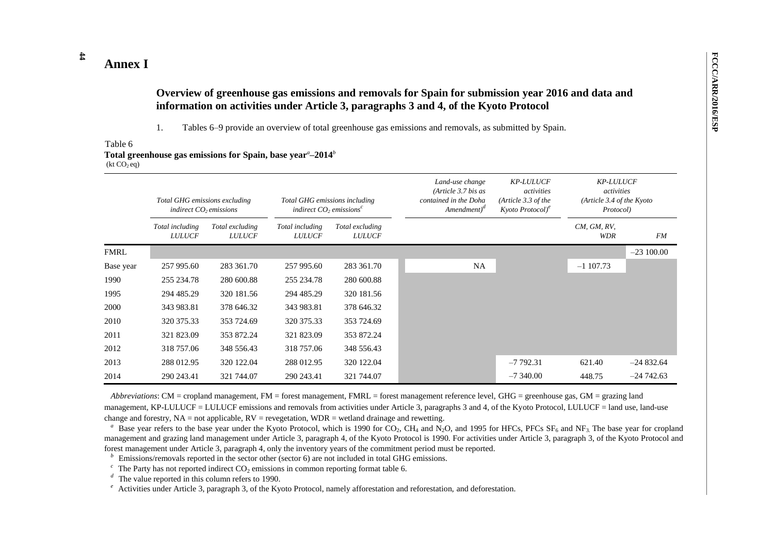# **Annex I**

**44**

### **Overview of greenhouse gas emissions and removals for Spain for submission year 2016 and data and information on activities under Article 3, paragraphs 3 and 4, of the Kyoto Protocol**

1. Tables 6–9 provide an overview of total greenhouse gas emissions and removals, as submitted by Spain.

#### Table 6 **Total greenhouse gas emissions for Spain, base year***<sup>a</sup>* **–2014***<sup>b</sup>*  $(kt CO<sub>2</sub> eq)$

|           | Total GHG emissions excluding<br>indirect CO <sub>2</sub> emissions |                                  | Total GHG emissions including<br>indirect $CO$ , emissions <sup>c</sup> |                                  | Land-use change<br>(Article $3.7$ bis as<br>contained in the Doha<br>Amendment) <sup>a</sup> | <b>KP-LULUCF</b><br>activities<br>(Article 3.3 of the)<br>Kyoto Protocol <sup>e</sup> | <b>KP-LULUCF</b><br>activities<br>(Article 3.4 of the Kyoto)<br>Protocol) |             |
|-----------|---------------------------------------------------------------------|----------------------------------|-------------------------------------------------------------------------|----------------------------------|----------------------------------------------------------------------------------------------|---------------------------------------------------------------------------------------|---------------------------------------------------------------------------|-------------|
|           | Total including<br><b>LULUCF</b>                                    | Total excluding<br><b>LULUCF</b> | Total including<br><b>LULUCF</b>                                        | Total excluding<br><i>LULUCF</i> |                                                                                              |                                                                                       | CM, GM, RV,<br><b>WDR</b>                                                 | FM          |
| FMRL      |                                                                     |                                  |                                                                         |                                  |                                                                                              |                                                                                       |                                                                           | $-23100.00$ |
| Base year | 257 995.60                                                          | 283 361.70                       | 257 995.60                                                              | 283 361.70                       | <b>NA</b>                                                                                    |                                                                                       | $-1107.73$                                                                |             |
| 1990      | 255 234.78                                                          | 280 600.88                       | 255 234.78                                                              | 280 600.88                       |                                                                                              |                                                                                       |                                                                           |             |
| 1995      | 294 485.29                                                          | 320 181.56                       | 294 485.29                                                              | 320 181.56                       |                                                                                              |                                                                                       |                                                                           |             |
| 2000      | 343 983.81                                                          | 378 646.32                       | 343 983.81                                                              | 378 646.32                       |                                                                                              |                                                                                       |                                                                           |             |
| 2010      | 320 375.33                                                          | 353 724.69                       | 320 375.33                                                              | 353 724.69                       |                                                                                              |                                                                                       |                                                                           |             |
| 2011      | 321 823.09                                                          | 353 872.24                       | 321 823.09                                                              | 353 872.24                       |                                                                                              |                                                                                       |                                                                           |             |
| 2012      | 318 757.06                                                          | 348 556.43                       | 318 757.06                                                              | 348 556.43                       |                                                                                              |                                                                                       |                                                                           |             |
| 2013      | 288 012.95                                                          | 320 122.04                       | 288 012.95                                                              | 320 122.04                       |                                                                                              | $-7792.31$                                                                            | 621.40                                                                    | $-24832.64$ |
| 2014      | 290 243.41                                                          | 321 744.07                       | 290 243.41                                                              | 321 744.07                       |                                                                                              | $-7340.00$                                                                            | 448.75                                                                    | $-24742.63$ |

*Abbreviations*: CM = cropland management, FM = forest management, FMRL = forest management reference level, GHG = greenhouse gas, GM = grazing land management, KP-LULUCF = LULUCF emissions and removals from activities under Article 3, paragraphs 3 and 4, of the Kyoto Protocol, LULUCF = land use, land-use change and forestry,  $NA = not$  applicable,  $RV =$  revegetation,  $WDR =$  wetland drainage and rewetting.

<sup>a</sup> Base year refers to the base year under the Kyoto Protocol, which is 1990 for CO<sub>2</sub>, CH<sub>4</sub> and N<sub>2</sub>O, and 1995 for HFCs, PFCs SF<sub>6</sub> and NF<sub>3</sub>. The base year for cropland management and grazing land management under Article 3, paragraph 4, of the Kyoto Protocol is 1990. For activities under Article 3, paragraph 3, of the Kyoto Protocol and forest management under Article 3, paragraph 4, only the inventory years of the commitment period must be reported.

 $\bar{p}$ Emissions/removals reported in the sector other (sector 6) are not included in total GHG emissions.

 $\overline{c}$  The Party has not reported indirect CO<sub>2</sub> emissions in common reporting format table 6.

 $\frac{d}{dx}$  The value reported in this column refers to 1990.

<sup>*e*</sup> Activities under Article 3, paragraph 3, of the Kyoto Protocol, namely afforestation and reforestation, and deforestation.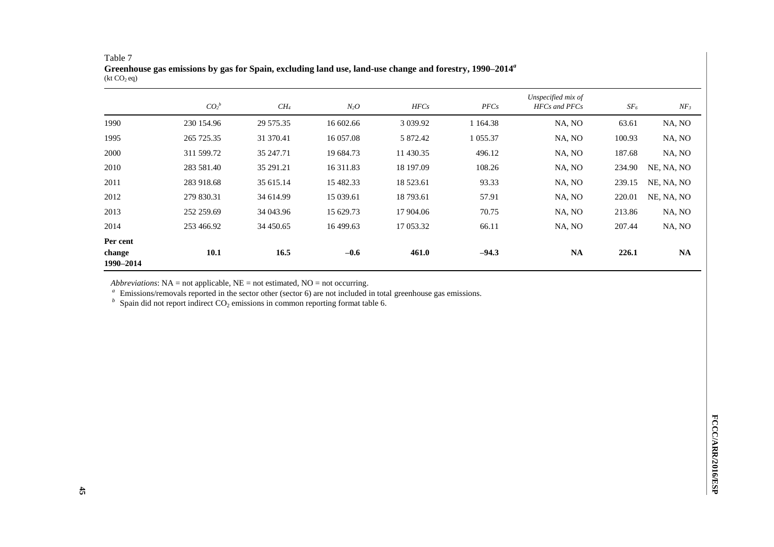| $\frac{1}{2}$                   |            |           |           |               |               |                                                   |                 |            |
|---------------------------------|------------|-----------|-----------|---------------|---------------|---------------------------------------------------|-----------------|------------|
|                                 | $CO_2{}^b$ | $CH_4$    | $N_2O$    | HFCs          | PFCs          | Unspecified mix of<br><b>HFCs</b> and <b>PFCs</b> | SF <sub>6</sub> | $NF_3$     |
| 1990                            | 230 154.96 | 29 575.35 | 16 602.66 | 3 0 3 9 . 9 2 | 1 1 64.38     | NA, NO                                            | 63.61           | NA, NO     |
| 1995                            | 265 725.35 | 31 370.41 | 16 057.08 | 5 872.42      | 1 0 5 5 . 3 7 | NA, NO                                            | 100.93          | NA, NO     |
| 2000                            | 311 599.72 | 35 247.71 | 19 684.73 | 11 430.35     | 496.12        | NA, NO                                            | 187.68          | NA, NO     |
| 2010                            | 283 581.40 | 35 291.21 | 16 311.83 | 18 197.09     | 108.26        | NA, NO                                            | 234.90          | NE, NA, NO |
| 2011                            | 283 918.68 | 35 615.14 | 15 482.33 | 18 523.61     | 93.33         | NA, NO                                            | 239.15          | NE, NA, NO |
| 2012                            | 279 830.31 | 34 614.99 | 15 039.61 | 18 793.61     | 57.91         | NA, NO                                            | 220.01          | NE, NA, NO |
| 2013                            | 252 259.69 | 34 043.96 | 15 629.73 | 17 904.06     | 70.75         | NA, NO                                            | 213.86          | NA, NO     |
| 2014                            | 253 466.92 | 34 450.65 | 16 499.63 | 17 053.32     | 66.11         | NA, NO                                            | 207.44          | NA, NO     |
| Per cent<br>change<br>1990-2014 | 10.1       | 16.5      | $-0.6$    | 461.0         | $-94.3$       | <b>NA</b>                                         | 226.1           | <b>NA</b>  |

#### Table 7 **Greenhouse gas emissions by gas for Spain, excluding land use, land-use change and forestry, 1990–2014***<sup>a</sup>*  $(kt CO<sub>2</sub> eq)$

*Abbreviations*: NA = not applicable, NE = not estimated, NO = not occurring.

*<sup>a</sup>*Emissions/removals reported in the sector other (sector 6) are not included in total greenhouse gas emissions.

 $b$  Spain did not report indirect CO<sub>2</sub> emissions in common reporting format table 6.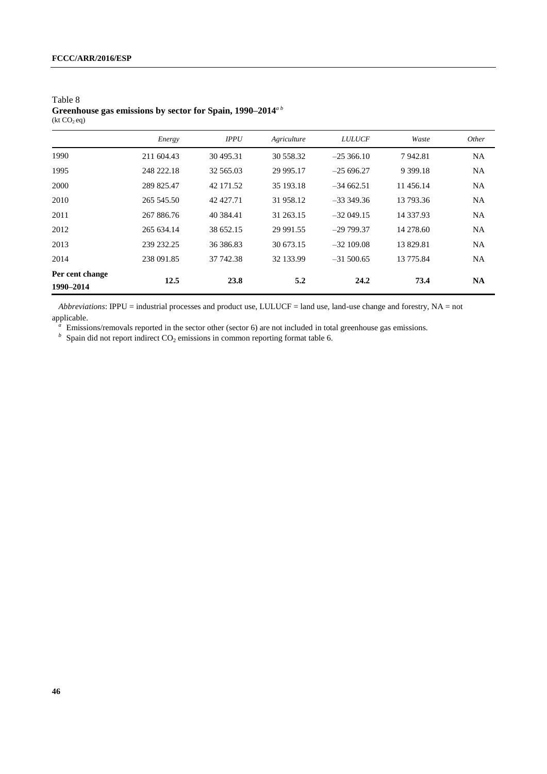|                              | Energy     | <b>IPPU</b> | Agriculture | <b>LULUCF</b> | Waste         | Other     |
|------------------------------|------------|-------------|-------------|---------------|---------------|-----------|
| 1990                         | 211 604.43 | 30 495.31   | 30 558.32   | $-25,366,10$  | 7942.81       | <b>NA</b> |
| 1995                         | 248 222.18 | 32 565.03   | 29 995.17   | $-25696.27$   | 9 3 9 9 . 1 8 | <b>NA</b> |
| 2000                         | 289 825.47 | 42 171.52   | 35 193.18   | $-34662.51$   | 11456.14      | <b>NA</b> |
| 2010                         | 265 545.50 | 42 427.71   | 31 958.12   | $-333349.36$  | 13 793.36     | <b>NA</b> |
| 2011                         | 267 886.76 | 40 384.41   | 31 263.15   | $-32049.15$   | 14 3 3 7.9 3  | <b>NA</b> |
| 2012                         | 265 634.14 | 38 652.15   | 29 991.55   | $-29799.37$   | 14 278.60     | <b>NA</b> |
| 2013                         | 239 232.25 | 36 386.83   | 30 673.15   | $-32109.08$   | 13829.81      | <b>NA</b> |
| 2014                         | 238 091.85 | 37 742.38   | 32 133.99   | $-31,500.65$  | 13 775.84     | NA        |
| Per cent change<br>1990-2014 | 12.5       | 23.8        | 5.2         | 24.2          | 73.4          | <b>NA</b> |

Table 8 **Greenhouse gas emissions by sector for Spain, 1990–2014***<sup>a</sup> <sup>b</sup>*  $(kt CO<sub>2</sub> eq)$ 

*Abbreviations*: IPPU = industrial processes and product use, LULUCF = land use, land-use change and forestry, NA = not applicable.

<sup>a</sup> Emissions/removals reported in the sector other (sector 6) are not included in total greenhouse gas emissions.

 $b$  Spain did not report indirect CO<sub>2</sub> emissions in common reporting format table 6.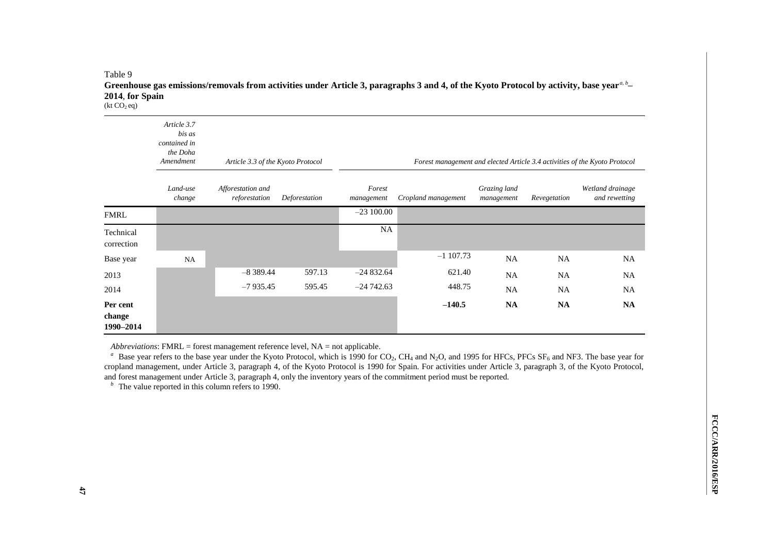#### Table 9 **Greenhouse gas emissions/removals from activities under Article 3, paragraphs 3 and 4, of the Kyoto Protocol by activity, base year***a, <sup>b</sup>* **– 2014**, **for Spain**  $(kt CO<sub>2</sub> eq)$

|                                 | Article 3.7<br>bis as<br>contained in<br>the Doha<br>Amendment | Article 3.3 of the Kyoto Protocol  |               | Forest management and elected Article 3.4 activities of the Kyoto Protocol |                     |                            |              |                                   |  |  |
|---------------------------------|----------------------------------------------------------------|------------------------------------|---------------|----------------------------------------------------------------------------|---------------------|----------------------------|--------------|-----------------------------------|--|--|
|                                 | Land-use<br>change                                             | Afforestation and<br>reforestation | Deforestation | Forest<br>management                                                       | Cropland management | Grazing land<br>management | Revegetation | Wetland drainage<br>and rewetting |  |  |
| <b>FMRL</b>                     |                                                                |                                    |               | $-23100.00$                                                                |                     |                            |              |                                   |  |  |
| Technical<br>correction         |                                                                |                                    |               | <b>NA</b>                                                                  |                     |                            |              |                                   |  |  |
| Base year                       | NA                                                             |                                    |               |                                                                            | $-1107.73$          | <b>NA</b>                  | <b>NA</b>    | <b>NA</b>                         |  |  |
| 2013                            |                                                                | $-8389.44$                         | 597.13        | $-24832.64$                                                                | 621.40              | <b>NA</b>                  | <b>NA</b>    | <b>NA</b>                         |  |  |
| 2014                            |                                                                | $-7935.45$                         | 595.45        | $-24742.63$                                                                | 448.75              | <b>NA</b>                  | <b>NA</b>    | <b>NA</b>                         |  |  |
| Per cent<br>change<br>1990-2014 |                                                                |                                    |               |                                                                            | $-140.5$            | <b>NA</b>                  | <b>NA</b>    | <b>NA</b>                         |  |  |

*Abbreviations*: FMRL = forest management reference level, NA = not applicable.

<sup>a</sup> Base year refers to the base year under the Kyoto Protocol, which is 1990 for CO<sub>2</sub>, CH<sub>4</sub> and N<sub>2</sub>O, and 1995 for HFCs, PFCs SF<sub>6</sub> and NF3. The base year for cropland management, under Article 3, paragraph 4, of the Kyoto Protocol is 1990 for Spain. For activities under Article 3, paragraph 3, of the Kyoto Protocol, and forest management under Article 3, paragraph 4, only the inventory years of the commitment period must be reported.

 $\overrightarrow{b}$  The value reported in this column refers to 1990.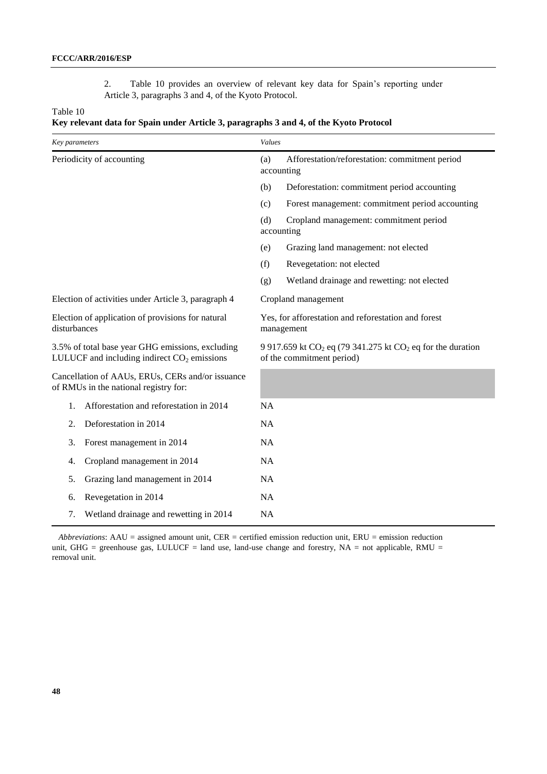2. Table 10 provides an overview of relevant key data for Spain's reporting under Article 3, paragraphs 3 and 4, of the Kyoto Protocol.

#### Table 10

| Key parameters                                                                                    |                                         | Values                                                                                      |                                                 |  |
|---------------------------------------------------------------------------------------------------|-----------------------------------------|---------------------------------------------------------------------------------------------|-------------------------------------------------|--|
| Periodicity of accounting                                                                         |                                         | Afforestation/reforestation: commitment period<br>(a)<br>accounting                         |                                                 |  |
|                                                                                                   |                                         | (b)                                                                                         | Deforestation: commitment period accounting     |  |
|                                                                                                   |                                         | (c)                                                                                         | Forest management: commitment period accounting |  |
|                                                                                                   |                                         | (d)<br>Cropland management: commitment period<br>accounting                                 |                                                 |  |
|                                                                                                   |                                         | (e)                                                                                         | Grazing land management: not elected            |  |
|                                                                                                   |                                         | (f)                                                                                         | Revegetation: not elected                       |  |
|                                                                                                   |                                         | (g)                                                                                         | Wetland drainage and rewetting: not elected     |  |
| Election of activities under Article 3, paragraph 4                                               |                                         | Cropland management                                                                         |                                                 |  |
| Election of application of provisions for natural<br>disturbances                                 |                                         | Yes, for afforestation and reforestation and forest<br>management                           |                                                 |  |
| 3.5% of total base year GHG emissions, excluding<br>LULUCF and including indirect $CO2$ emissions |                                         | 9 917.659 kt $CO2$ eq (79 341.275 kt $CO2$ eq for the duration<br>of the commitment period) |                                                 |  |
| Cancellation of AAUs, ERUs, CERs and/or issuance<br>of RMUs in the national registry for:         |                                         |                                                                                             |                                                 |  |
| 1.                                                                                                | Afforestation and reforestation in 2014 | <b>NA</b>                                                                                   |                                                 |  |
| 2.                                                                                                | Deforestation in 2014                   | <b>NA</b>                                                                                   |                                                 |  |
| 3.                                                                                                | Forest management in 2014               | <b>NA</b>                                                                                   |                                                 |  |
| 4.                                                                                                | Cropland management in 2014             | <b>NA</b>                                                                                   |                                                 |  |
| 5.                                                                                                | Grazing land management in 2014         | <b>NA</b>                                                                                   |                                                 |  |
| 6.                                                                                                | Revegetation in 2014                    | NA                                                                                          |                                                 |  |
| 7.                                                                                                | Wetland drainage and rewetting in 2014  | <b>NA</b>                                                                                   |                                                 |  |

*Abbreviations*: AAU = assigned amount unit, CER = certified emission reduction unit, ERU = emission reduction unit, GHG = greenhouse gas, LULUCF = land use, land-use change and forestry,  $NA = not$  applicable, RMU = removal unit.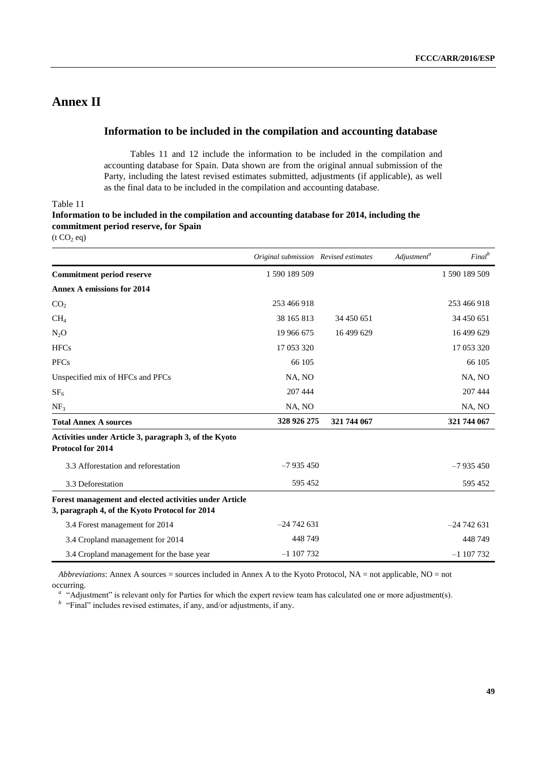## **Annex II**

### **Information to be included in the compilation and accounting database**

Tables 11 and 12 include the information to be included in the compilation and accounting database for Spain. Data shown are from the original annual submission of the Party, including the latest revised estimates submitted, adjustments (if applicable), as well as the final data to be included in the compilation and accounting database.

Table 11

| Information to be included in the compilation and accounting database for 2014, including the |
|-----------------------------------------------------------------------------------------------|
| commitment period reserve, for Spain                                                          |
|                                                                                               |

 $(t CO<sub>2</sub> eq)$ 

|                                                                                                          | Original submission Revised estimates |             | Adjustment <sup>a</sup> | Final <sup>b</sup> |
|----------------------------------------------------------------------------------------------------------|---------------------------------------|-------------|-------------------------|--------------------|
| <b>Commitment period reserve</b>                                                                         | 1 590 189 509                         |             |                         | 1 590 189 509      |
| <b>Annex A emissions for 2014</b>                                                                        |                                       |             |                         |                    |
| CO <sub>2</sub>                                                                                          | 253 466 918                           |             |                         | 253 466 918        |
| CH <sub>4</sub>                                                                                          | 38 165 813                            | 34 450 651  |                         | 34 450 651         |
| $N_2O$                                                                                                   | 19 966 675                            | 16 499 629  |                         | 16 499 629         |
| <b>HFCs</b>                                                                                              | 17 053 320                            |             |                         | 17 053 320         |
| <b>PFCs</b>                                                                                              | 66 105                                |             |                         | 66 105             |
| Unspecified mix of HFCs and PFCs                                                                         | NA, NO                                |             |                         | NA, NO             |
| SF <sub>6</sub>                                                                                          | 207 444                               |             |                         | 207 444            |
| NF <sub>3</sub>                                                                                          | NA, NO                                |             |                         | NA, NO             |
| <b>Total Annex A sources</b>                                                                             | 328 926 275                           | 321 744 067 |                         | 321 744 067        |
| Activities under Article 3, paragraph 3, of the Kyoto<br>Protocol for 2014                               |                                       |             |                         |                    |
| 3.3 Afforestation and reforestation                                                                      | $-7935450$                            |             |                         | $-7935450$         |
| 3.3 Deforestation                                                                                        | 595 452                               |             |                         | 595 452            |
| Forest management and elected activities under Article<br>3, paragraph 4, of the Kyoto Protocol for 2014 |                                       |             |                         |                    |
| 3.4 Forest management for 2014                                                                           | $-24742631$                           |             |                         | $-24742631$        |
| 3.4 Cropland management for 2014                                                                         | 448749                                |             |                         | 448749             |
| 3.4 Cropland management for the base year                                                                | $-1$ 107 732                          |             |                         | $-1107732$         |

*Abbreviations*: Annex A sources = sources included in Annex A to the Kyoto Protocol, NA = not applicable, NO = not occurring.

<sup>a</sup> "Adjustment" is relevant only for Parties for which the expert review team has calculated one or more adjustment(s).

*b* "Final" includes revised estimates, if any, and/or adjustments, if any.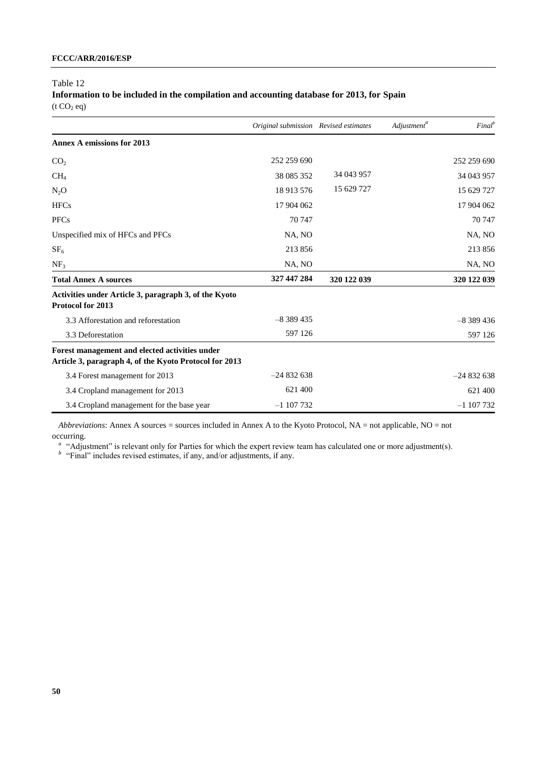Table 12

**Information to be included in the compilation and accounting database for 2013, for Spain**  $(t CO<sub>2</sub> eq)$ 

|                                                                                                          | Original submission Revised estimates |             | Adjustment <sup>a</sup> | $Final^b$   |
|----------------------------------------------------------------------------------------------------------|---------------------------------------|-------------|-------------------------|-------------|
| <b>Annex A emissions for 2013</b>                                                                        |                                       |             |                         |             |
| CO <sub>2</sub>                                                                                          | 252 259 690                           |             |                         | 252 259 690 |
| CH <sub>4</sub>                                                                                          | 38 085 352                            | 34 043 957  |                         | 34 043 957  |
| $N_2O$                                                                                                   | 18 913 576                            | 15 629 727  |                         | 15 629 727  |
| <b>HFCs</b>                                                                                              | 17 904 062                            |             |                         | 17 904 062  |
| <b>PFCs</b>                                                                                              | 70 747                                |             |                         | 70 747      |
| Unspecified mix of HFCs and PFCs                                                                         | NA, NO                                |             |                         | NA, NO      |
| SF <sub>6</sub>                                                                                          | 213 856                               |             |                         | 213856      |
| NF <sub>3</sub>                                                                                          | NA, NO                                |             |                         | NA, NO      |
| <b>Total Annex A sources</b>                                                                             | 327 447 284                           | 320 122 039 |                         | 320 122 039 |
| Activities under Article 3, paragraph 3, of the Kyoto<br>Protocol for 2013                               |                                       |             |                         |             |
| 3.3 Afforestation and reforestation                                                                      | $-8389435$                            |             |                         | $-8389436$  |
| 3.3 Deforestation                                                                                        | 597 126                               |             |                         | 597 126     |
| Forest management and elected activities under<br>Article 3, paragraph 4, of the Kyoto Protocol for 2013 |                                       |             |                         |             |
| 3.4 Forest management for 2013                                                                           | $-24832638$                           |             |                         | $-24832638$ |
| 3.4 Cropland management for 2013                                                                         | 621 400                               |             |                         | 621 400     |
| 3.4 Cropland management for the base year                                                                | $-1107732$                            |             |                         | $-1107732$  |

*Abbreviations*: Annex A sources = sources included in Annex A to the Kyoto Protocol, NA = not applicable, NO = not occurring.

<sup>a</sup> "Adjustment" is relevant only for Parties for which the expert review team has calculated one or more adjustment(s).

*b* "Final" includes revised estimates, if any, and/or adjustments, if any.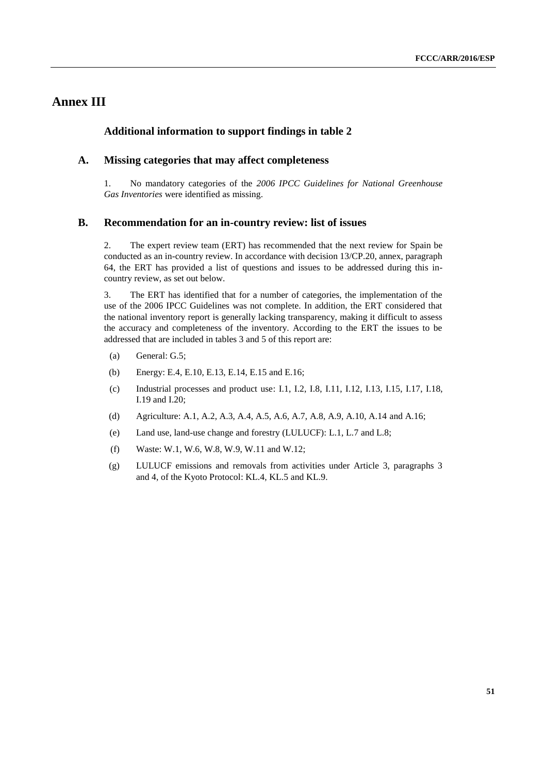## **Annex III**

#### **Additional information to support findings in table 2**

#### **A. Missing categories that may affect completeness**

1. No mandatory categories of the *2006 IPCC Guidelines for National Greenhouse Gas Inventories* were identified as missing.

#### **B. Recommendation for an in-country review: list of issues**

2. The expert review team (ERT) has recommended that the next review for Spain be conducted as an in-country review. In accordance with decision 13/CP.20, annex, paragraph 64, the ERT has provided a list of questions and issues to be addressed during this incountry review, as set out below.

3. The ERT has identified that for a number of categories, the implementation of the use of the 2006 IPCC Guidelines was not complete. In addition, the ERT considered that the national inventory report is generally lacking transparency, making it difficult to assess the accuracy and completeness of the inventory. According to the ERT the issues to be addressed that are included in tables 3 and 5 of this report are:

- (a) General: G.5;
- (b) Energy: E.4, E.10, E.13, E.14, E.15 and E.16;
- (c) Industrial processes and product use: I.1, I.2, I.8, I.11, I.12, I.13, I.15, I.17, I.18, I.19 and I.20;
- (d) Agriculture: A.1, A.2, A.3, A.4, A.5, A.6, A.7, A.8, A.9, A.10, A.14 and A.16;
- (e) Land use, land-use change and forestry (LULUCF): L.1, L.7 and L.8;
- (f) Waste: W.1, W.6, W.8, W.9, W.11 and W.12;
- (g) LULUCF emissions and removals from activities under Article 3, paragraphs 3 and 4, of the Kyoto Protocol: KL.4, KL.5 and KL.9.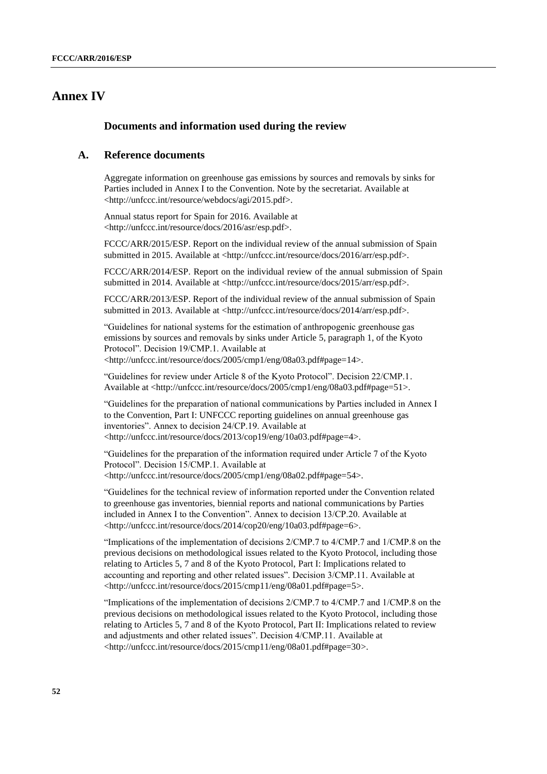## **Annex IV**

#### **Documents and information used during the review**

#### **A. Reference documents**

Aggregate information on greenhouse gas emissions by sources and removals by sinks for Parties included in Annex I to the Convention. Note by the secretariat. Available at <http://unfccc.int/resource/webdocs/agi/2015.pdf>.

Annual status report for Spain for 2016. Available at <http://unfccc.int/resource/docs/2016/asr/esp.pdf>.

FCCC/ARR/2015/ESP. Report on the individual review of the annual submission of Spain submitted in 2015. Available at <http://unfccc.int/resource/docs/2016/arr/esp.pdf>.

FCCC/ARR/2014/ESP. Report on the individual review of the annual submission of Spain submitted in 2014. Available at <http://unfccc.int/resource/docs/2015/arr/esp.pdf>.

FCCC/ARR/2013/ESP. Report of the individual review of the annual submission of Spain submitted in 2013. Available at <http://unfccc.int/resource/docs/2014/arr/esp.pdf>.

"Guidelines for national systems for the estimation of anthropogenic greenhouse gas emissions by sources and removals by sinks under Article 5, paragraph 1, of the Kyoto Protocol". Decision 19/CMP.1. Available at <http://unfccc.int/resource/docs/2005/cmp1/eng/08a03.pdf#page=14>.

"Guidelines for review under Article 8 of the Kyoto Protocol". Decision 22/CMP.1. Available at <http://unfccc.int/resource/docs/2005/cmp1/eng/08a03.pdf#page=51>.

"Guidelines for the preparation of national communications by Parties included in Annex I to the Convention, Part I: UNFCCC reporting guidelines on annual greenhouse gas inventories". Annex to decision 24/CP.19. Available at <http://unfccc.int/resource/docs/2013/cop19/eng/10a03.pdf#page=4>.

"Guidelines for the preparation of the information required under Article 7 of the Kyoto Protocol". Decision 15/CMP.1. Available at <http://unfccc.int/resource/docs/2005/cmp1/eng/08a02.pdf#page=54>.

"Guidelines for the technical review of information reported under the Convention related to greenhouse gas inventories, biennial reports and national communications by Parties included in Annex I to the Convention". Annex to decision 13/CP.20. Available at <http://unfccc.int/resource/docs/2014/cop20/eng/10a03.pdf#page=6>.

"Implications of the implementation of decisions 2/CMP.7 to 4/CMP.7 and 1/CMP.8 on the previous decisions on methodological issues related to the Kyoto Protocol, including those relating to Articles 5, 7 and 8 of the Kyoto Protocol, Part I: Implications related to accounting and reporting and other related issues". Decision 3/CMP.11. Available at <http://unfccc.int/resource/docs/2015/cmp11/eng/08a01.pdf#page=5>.

"Implications of the implementation of decisions 2/CMP.7 to 4/CMP.7 and 1/CMP.8 on the previous decisions on methodological issues related to the Kyoto Protocol, including those relating to Articles 5, 7 and 8 of the Kyoto Protocol, Part II: Implications related to review and adjustments and other related issues". Decision 4/CMP.11. Available at <http://unfccc.int/resource/docs/2015/cmp11/eng/08a01.pdf#page=30>.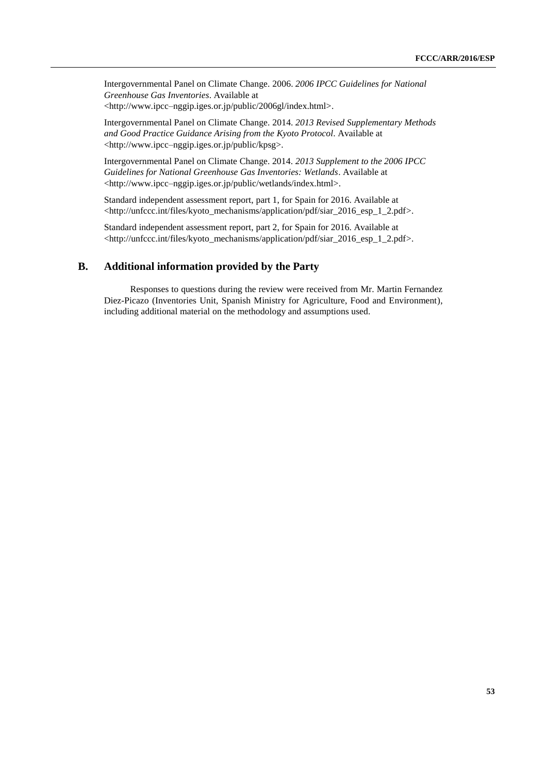Intergovernmental Panel on Climate Change. 2006. *2006 IPCC Guidelines for National Greenhouse Gas Inventories*. Available at <http://www.ipcc–nggip.iges.or.jp/public/2006gl/index.html>.

Intergovernmental Panel on Climate Change. 2014. *2013 Revised Supplementary Methods and Good Practice Guidance Arising from the Kyoto Protocol*. Available at <http://www.ipcc–nggip.iges.or.jp/public/kpsg>.

Intergovernmental Panel on Climate Change. 2014. *2013 Supplement to the 2006 IPCC Guidelines for National Greenhouse Gas Inventories: Wetlands*. Available at <http://www.ipcc–nggip.iges.or.jp/public/wetlands/index.html>.

Standard independent assessment report, part 1, for Spain for 2016. Available at <http://unfccc.int/files/kyoto\_mechanisms/application/pdf/siar\_2016\_esp\_1\_2.pdf>.

Standard independent assessment report, part 2, for Spain for 2016. Available at <http://unfccc.int/files/kyoto\_mechanisms/application/pdf/siar\_2016\_esp\_1\_2.pdf>.

### **B. Additional information provided by the Party**

Responses to questions during the review were received from Mr. Martin Fernandez Diez-Picazo (Inventories Unit, Spanish Ministry for Agriculture, Food and Environment), including additional material on the methodology and assumptions used.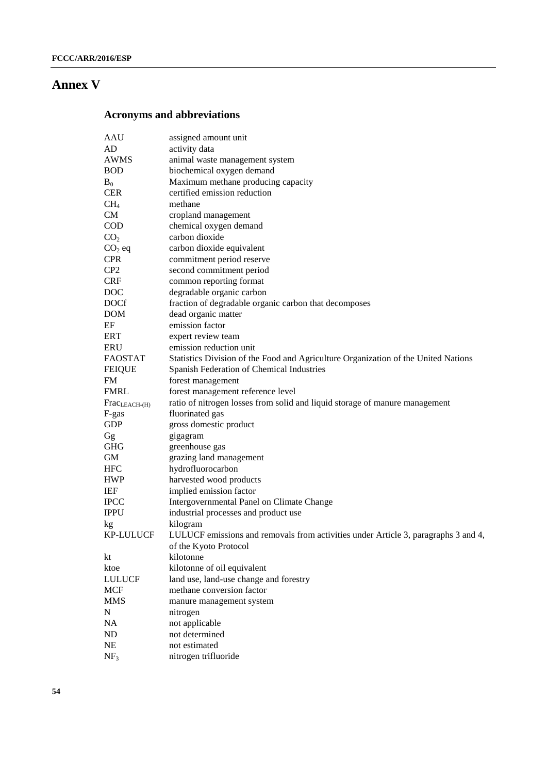## **Annex V**

## **Acronyms and abbreviations**

| AAU                       | assigned amount unit                                                               |
|---------------------------|------------------------------------------------------------------------------------|
| AD                        | activity data                                                                      |
| <b>AWMS</b>               | animal waste management system                                                     |
| <b>BOD</b>                | biochemical oxygen demand                                                          |
| $B_0$                     | Maximum methane producing capacity                                                 |
| <b>CER</b>                | certified emission reduction                                                       |
| CH <sub>4</sub>           | methane                                                                            |
| <b>CM</b>                 | cropland management                                                                |
| <b>COD</b>                | chemical oxygen demand                                                             |
| CO <sub>2</sub>           | carbon dioxide                                                                     |
| $CO2$ eq                  | carbon dioxide equivalent                                                          |
| <b>CPR</b>                | commitment period reserve                                                          |
| CP <sub>2</sub>           | second commitment period                                                           |
| <b>CRF</b>                | common reporting format                                                            |
| <b>DOC</b>                | degradable organic carbon                                                          |
| <b>DOCf</b>               | fraction of degradable organic carbon that decomposes                              |
| <b>DOM</b>                | dead organic matter                                                                |
| EF                        | emission factor                                                                    |
| <b>ERT</b>                | expert review team                                                                 |
| ERU                       | emission reduction unit                                                            |
| <b>FAOSTAT</b>            | Statistics Division of the Food and Agriculture Organization of the United Nations |
| <b>FEIQUE</b>             | Spanish Federation of Chemical Industries                                          |
| <b>FM</b>                 | forest management                                                                  |
| <b>FMRL</b>               | forest management reference level                                                  |
| Frac <sub>LEACH-(H)</sub> | ratio of nitrogen losses from solid and liquid storage of manure management        |
| F-gas                     | fluorinated gas                                                                    |
| <b>GDP</b>                | gross domestic product                                                             |
| Gg                        | gigagram                                                                           |
| <b>GHG</b>                | greenhouse gas                                                                     |
| GM                        | grazing land management                                                            |
| <b>HFC</b>                | hydrofluorocarbon                                                                  |
| <b>HWP</b>                | harvested wood products                                                            |
| IEF                       | implied emission factor                                                            |
| <b>IPCC</b>               | Intergovernmental Panel on Climate Change                                          |
| <b>IPPU</b>               | industrial processes and product use                                               |
| kg                        | kilogram                                                                           |
| <b>KP-LULUCF</b>          | LULUCF emissions and removals from activities under Article 3, paragraphs 3 and 4, |
|                           | of the Kyoto Protocol                                                              |
| kt                        | kilotonne                                                                          |
| ktoe                      | kilotonne of oil equivalent                                                        |
| <b>LULUCF</b>             | land use, land-use change and forestry                                             |
| <b>MCF</b>                | methane conversion factor                                                          |
| <b>MMS</b>                | manure management system                                                           |
| N                         | nitrogen                                                                           |
| NA                        | not applicable                                                                     |
| ND                        | not determined                                                                     |
| NE                        | not estimated                                                                      |
| NF <sub>3</sub>           | nitrogen trifluoride                                                               |
|                           |                                                                                    |